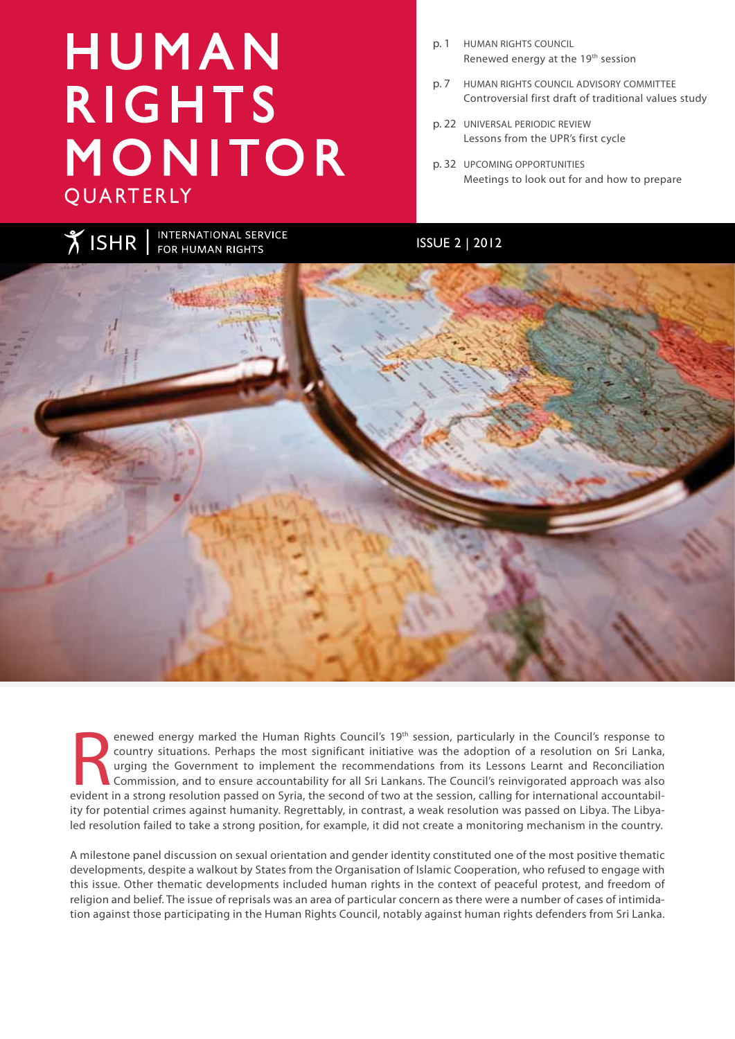# H U M A N **RIGHTS** MONITOR QUARTERLY

- p. 1 HUMAN RIGHTS COUNCIL Renewed energy at the 19th session
- p. 7 HUMAN RIGHTS COUNCIL ADVISORY COMMITTEE Controversial first draft of traditional values study
- p. 22 UNIVERSAL PERIODIC REVIEW Lessons from the UPR's first cycle
- p. 32 UPCOMING OPPORTUNITIES Meetings to look out for and how to prepare

INTERNATIONAL SERVICE<br>FOR HUMAN RIGHTS **XISHR** ISSUE 2 | 2012

Reviewed energy marked the Human Rights Council's 19<sup>th</sup> session, particularly in the Council's response to country situations. Perhaps the most significant initiative was the adoption of a resolution on Sri Lanka, urging enewed energy marked the Human Rights Council's 19th session, particularly in the Council's response to country situations. Perhaps the most significant initiative was the adoption of a resolution on Sri Lanka, urging the Government to implement the recommendations from its Lessons Learnt and Reconciliation Commission, and to ensure accountability for all Sri Lankans. The Council's reinvigorated approach was also ity for potential crimes against humanity. Regrettably, in contrast, a weak resolution was passed on Libya. The Libyaled resolution failed to take a strong position, for example, it did not create a monitoring mechanism in the country.

A milestone panel discussion on sexual orientation and gender identity constituted one of the most positive thematic developments, despite a walkout by States from the Organisation of Islamic Cooperation, who refused to engage with this issue. Other thematic developments included human rights in the context of peaceful protest, and freedom of religion and belief. The issue of reprisals was an area of particular concern as there were a number of cases of intimidation against those participating in the Human Rights Council, notably against human rights defenders from Sri Lanka.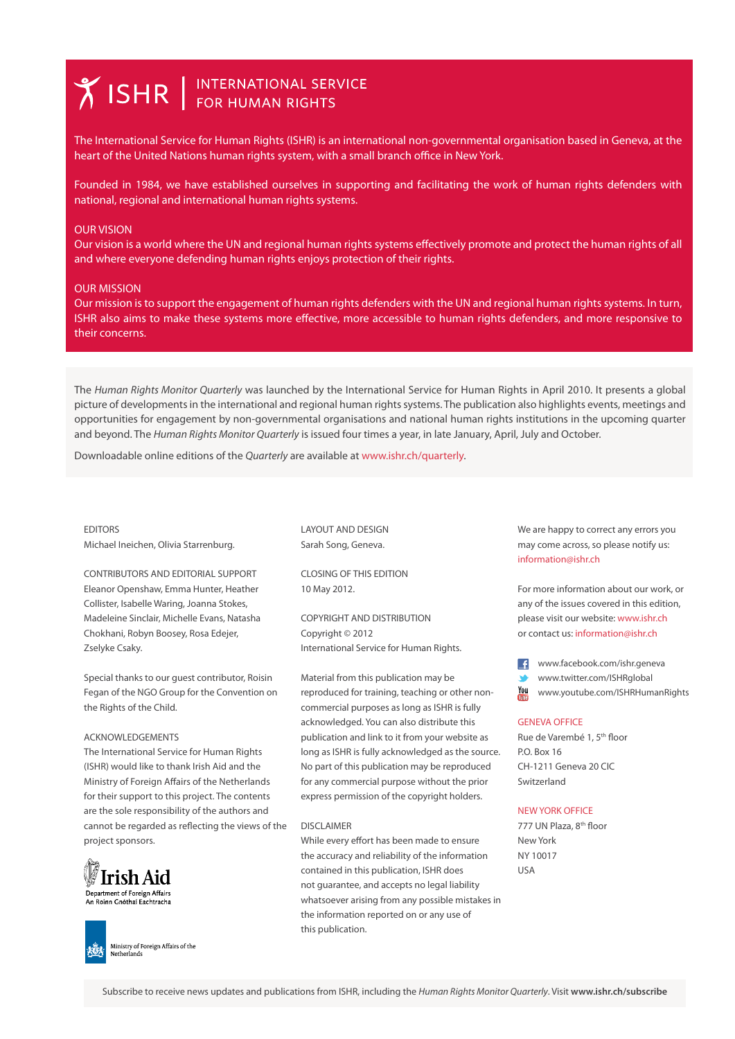# **Y ISHR** FOR HUMAN RIGHTS

The International Service for Human Rights (ISHR) is an international non-governmental organisation based in Geneva, at the heart of the United Nations human rights system, with a small branch office in New York.

Founded in 1984, we have established ourselves in supporting and facilitating the work of human rights defenders with national, regional and international human rights systems.

#### OUR VISION

Our vision is a world where the UN and regional human rights systems effectively promote and protect the human rights of all and where everyone defending human rights enjoys protection of their rights.

#### OUR MISSION

Our mission is to support the engagement of human rights defenders with the UN and regional human rights systems. In turn, ISHR also aims to make these systems more effective, more accessible to human rights defenders, and more responsive to their concerns.

The *Human Rights Monitor Quarterly* was launched by the International Service for Human Rights in April 2010. It presents a global picture of developments in the international and regional human rights systems. The publication also highlights events, meetings and opportunities for engagement by non-governmental organisations and national human rights institutions in the upcoming quarter and beyond. The *Human Rights Monitor Quarterly* is issued four times a year, in late January, April, July and October.

Downloadable online editions of the *Quarterly* are available at www.ishr.ch/quarterly.

### EDITORS

Michael Ineichen, Olivia Starrenburg.

CONTRIBUTORS AND EDITORIAL SUPPORT Eleanor Openshaw, Emma Hunter, Heather Collister, Isabelle Waring, Joanna Stokes, Madeleine Sinclair, Michelle Evans, Natasha Chokhani, Robyn Boosey, Rosa Edejer, Zselyke Csaky.

Special thanks to our guest contributor, Roisin Fegan of the NGO Group for the Convention on the Rights of the Child.

#### ACKNOWLEDGEMENTS

The International Service for Human Rights (ISHR) would like to thank Irish Aid and the Ministry of Foreign Affairs of the Netherlands for their support to this project. The contents are the sole responsibility of the authors and cannot be regarded as reflecting the views of the project sponsors.



Ministry of Foreign Affairs of the Netherlands

LAYOUT AND DESIGN Sarah Song, Geneva.

CLOSING OF THIS EDITION 10 May 2012.

COPYRIGHT AND DISTRIBUTION Copyright © 2012 International Service for Human Rights.

Material from this publication may be reproduced for training, teaching or other noncommercial purposes as long as ISHR is fully acknowledged. You can also distribute this publication and link to it from your website as long as ISHR is fully acknowledged as the source. No part of this publication may be reproduced for any commercial purpose without the prior express permission of the copyright holders.

#### DISCLAIMER

While every effort has been made to ensure the accuracy and reliability of the information contained in this publication, ISHR does not guarantee, and accepts no legal liability whatsoever arising from any possible mistakes in the information reported on or any use of this publication.

We are happy to correct any errors you may come across, so please notify us: information@ishr.ch

For more information about our work, or any of the issues covered in this edition, please visit our website: www.ishr.ch or contact us: information@ishr.ch

www.facebook.com/ishr.geneva

www.twitter.com/ISHRglobal

**You** www.youtube.com/ISHRHumanRights

#### GENEVA OFFICE

Rue de Varembé 1, 5th floor P.O. Box 16 CH-1211 Geneva 20 CIC Switzerland

#### NEW YORK OFFICE

777 UN Plaza, 8<sup>th</sup> floor New York NY 10017 USA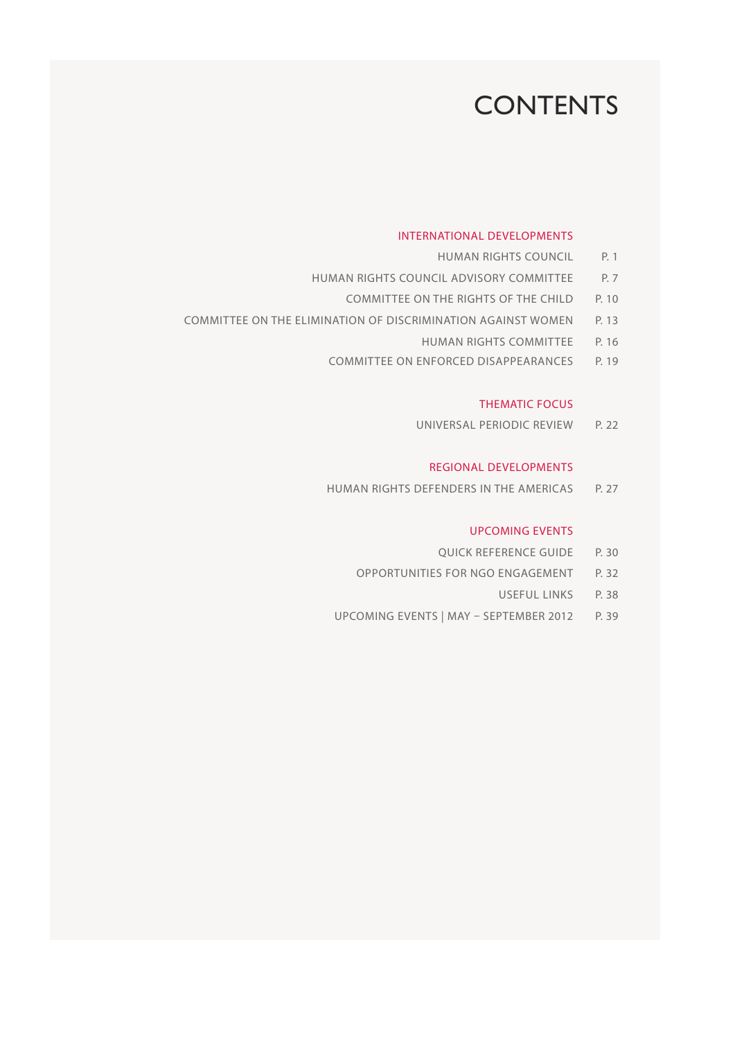# **CONTENTS**

# INTERNATIONAL DEVELOPMENTS

- HUMAN RIGHTS COUNCIL P. 1
- HUMAN RIGHTS COUNCIL ADVISORY COMMITTEE P. 7
	- COMMITTEE ON THE RIGHTS OF THE CHILD P. 10
- COMMITTEE ON THE ELIMINATION OF DISCRIMINATION AGAINST WOMEN P. 13
	- HUMAN RIGHTS COMMITTEE P. 16
	- COMMITTEE ON ENFORCED DISAPPEARANCES P. 19

# THEMATIC FOCUS

UNIVERSAL PERIODIC REVIEW P. 22

### REGIONAL DEVELOPMENTS

HUMAN RIGHTS DEFENDERS IN THE AMERICAS P. 27

# UPCOMING EVENTS

- **OUICK REFERENCE GUIDE P. 30**
- OPPORTUNITIES FOR NGO ENGAGEMENT P. 32
	- USEFUL LINKS P. 38
- UPCOMING EVENTS | MAY SEPTEMBER 2012 P. 39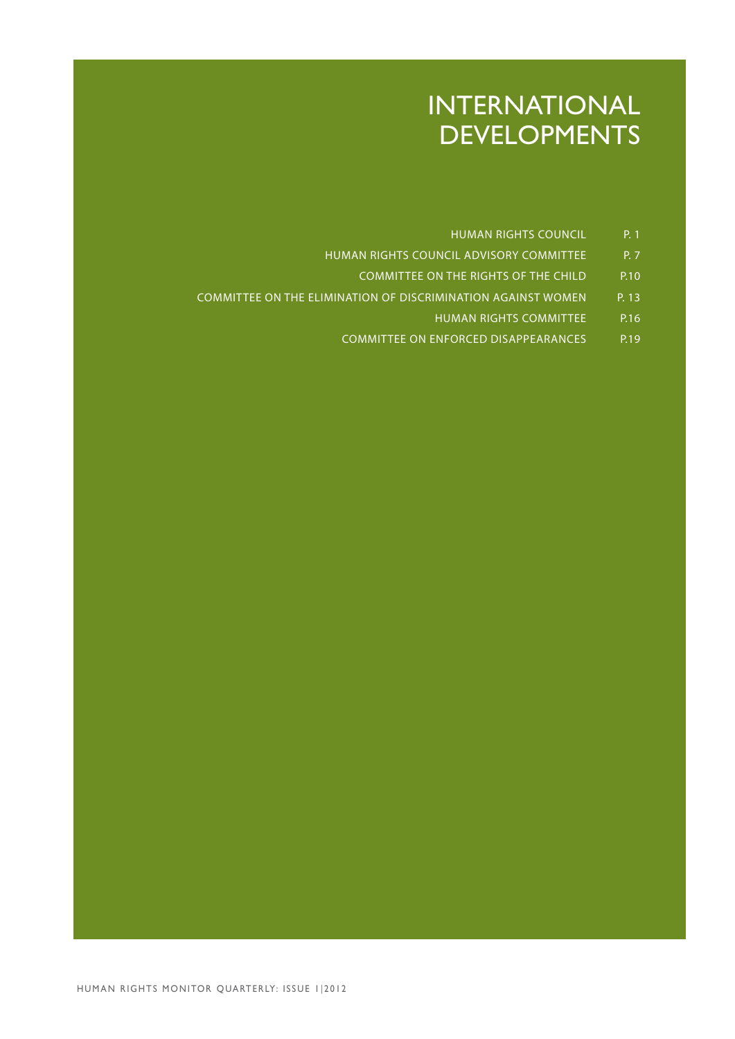# INTERNATIONAL DEVELOPMENTS

- HUMAN RIGHTS COUNCIL P. 1
- HUMAN RIGHTS COUNCIL ADVISORY COMMITTEE P. 7
	- COMMITTEE ON THE RIGHTS OF THE CHILD P.10
- COMMITTEE ON THE ELIMINATION OF DISCRIMINATION AGAINST WOMEN P. 13
	- HUMAN RIGHTS COMMITTEE P.16
	- COMMITTEE ON ENFORCED DISAPPEARANCES P.19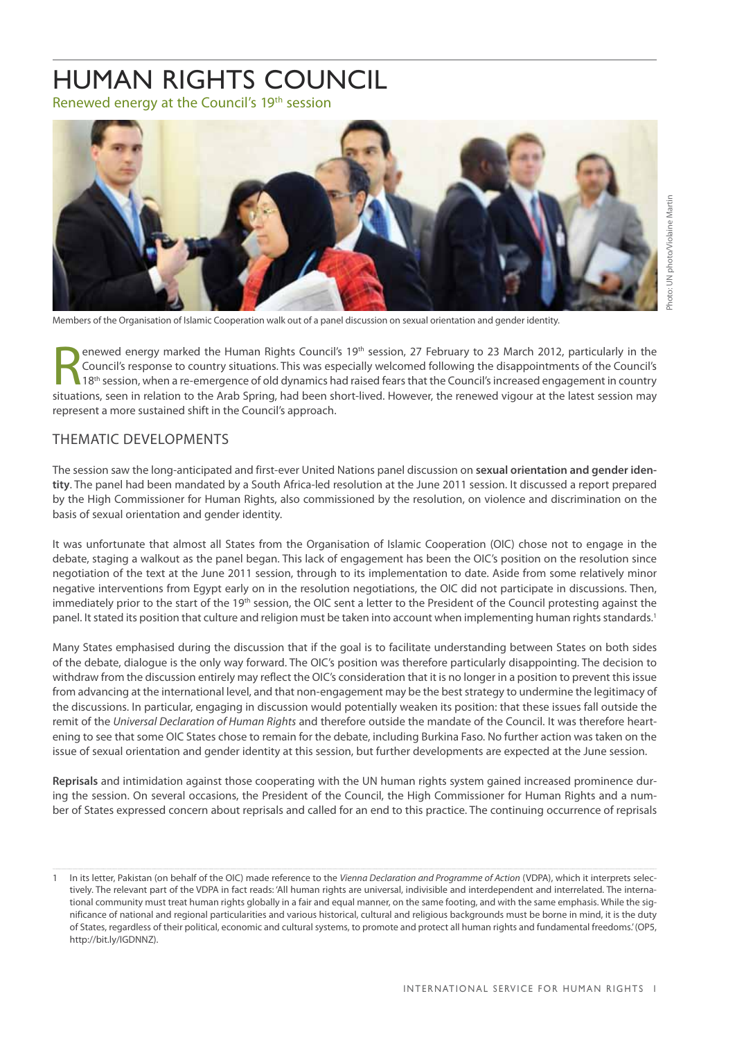# HUMAN RIGHTS COUNCIL

Renewed energy at the Council's 19<sup>th</sup> session



Members of the Organisation of Islamic Cooperation walk out of a panel discussion on sexual orientation and gender identity.

enewed energy marked the Human Rights Council's 19<sup>th</sup> session, 27 February to 23 March 2012, particularly in the<br>Council's response to country situations. This was especially welcomed following the disappointments of the Council's response to country situations. This was especially welcomed following the disappointments of the Council's situations, seen in relation to the Arab Spring, had been short-lived. However, the renewed vigour at the latest session may represent a more sustained shift in the Council's approach.

# THEMATIC DEVELOPMENTS

The session saw the long-anticipated and first-ever United Nations panel discussion on **sexual orientation and gender identity**. The panel had been mandated by a South Africa-led resolution at the June 2011 session. It discussed a report prepared by the High Commissioner for Human Rights, also commissioned by the resolution, on violence and discrimination on the basis of sexual orientation and gender identity.

It was unfortunate that almost all States from the Organisation of Islamic Cooperation (OIC) chose not to engage in the debate, staging a walkout as the panel began. This lack of engagement has been the OIC's position on the resolution since negotiation of the text at the June 2011 session, through to its implementation to date. Aside from some relatively minor negative interventions from Egypt early on in the resolution negotiations, the OIC did not participate in discussions. Then, immediately prior to the start of the 19<sup>th</sup> session, the OIC sent a letter to the President of the Council protesting against the panel. It stated its position that culture and religion must be taken into account when implementing human rights standards.<sup>1</sup>

Many States emphasised during the discussion that if the goal is to facilitate understanding between States on both sides of the debate, dialogue is the only way forward. The OIC's position was therefore particularly disappointing. The decision to withdraw from the discussion entirely may reflect the OIC's consideration that it is no longer in a position to prevent this issue from advancing at the international level, and that non-engagement may be the best strategy to undermine the legitimacy of the discussions. In particular, engaging in discussion would potentially weaken its position: that these issues fall outside the remit of the *Universal Declaration of Human Rights* and therefore outside the mandate of the Council. It was therefore heartening to see that some OIC States chose to remain for the debate, including Burkina Faso. No further action was taken on the issue of sexual orientation and gender identity at this session, but further developments are expected at the June session.

**Reprisals** and intimidation against those cooperating with the UN human rights system gained increased prominence during the session. On several occasions, the President of the Council, the High Commissioner for Human Rights and a number of States expressed concern about reprisals and called for an end to this practice. The continuing occurrence of reprisals

Photo: UN photo/Violaine Martin

oto: UN photo/Violaine Martin

In its letter, Pakistan (on behalf of the OIC) made reference to the *Vienna Declaration and Programme of Action* (VDPA), which it interprets selectively. The relevant part of the VDPA in fact reads: 'All human rights are universal, indivisible and interdependent and interrelated. The international community must treat human rights globally in a fair and equal manner, on the same footing, and with the same emphasis. While the significance of national and regional particularities and various historical, cultural and religious backgrounds must be borne in mind, it is the duty of States, regardless of their political, economic and cultural systems, to promote and protect all human rights and fundamental freedoms.' (OP5, http://bit.ly/IGDNNZ).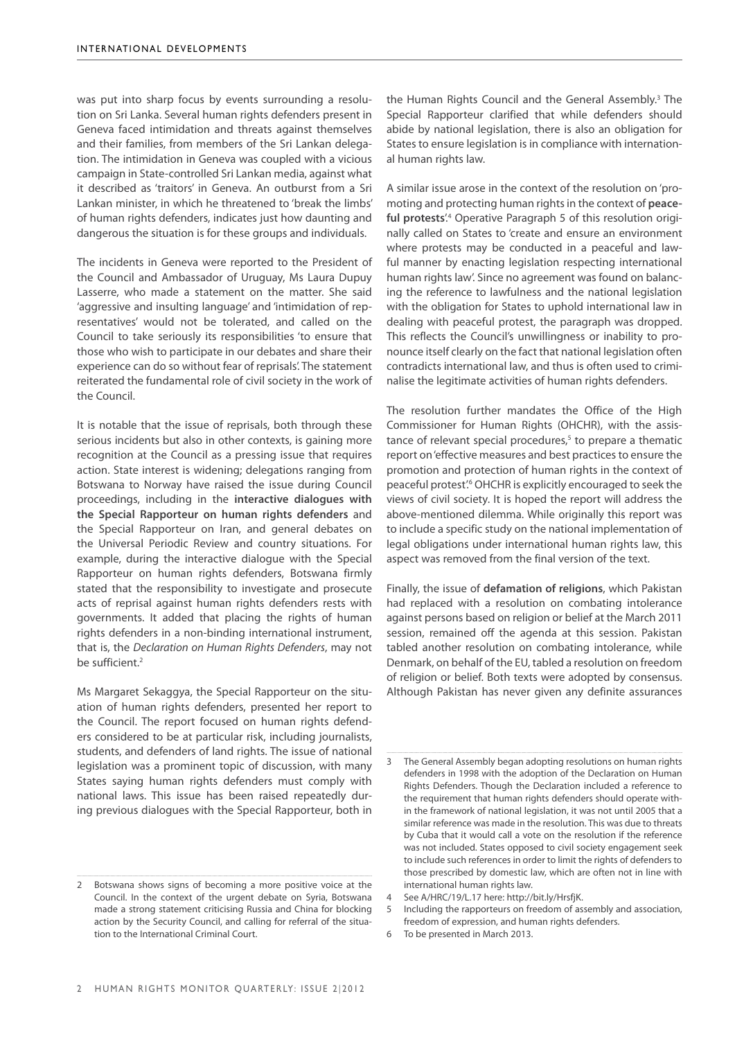was put into sharp focus by events surrounding a resolution on Sri Lanka. Several human rights defenders present in Geneva faced intimidation and threats against themselves and their families, from members of the Sri Lankan delegation. The intimidation in Geneva was coupled with a vicious campaign in State-controlled Sri Lankan media, against what it described as 'traitors' in Geneva. An outburst from a Sri Lankan minister, in which he threatened to 'break the limbs' of human rights defenders, indicates just how daunting and dangerous the situation is for these groups and individuals.

The incidents in Geneva were reported to the President of the Council and Ambassador of Uruguay, Ms Laura Dupuy Lasserre, who made a statement on the matter. She said 'aggressive and insulting language' and 'intimidation of representatives' would not be tolerated, and called on the Council to take seriously its responsibilities 'to ensure that those who wish to participate in our debates and share their experience can do so without fear of reprisals'. The statement reiterated the fundamental role of civil society in the work of the Council.

It is notable that the issue of reprisals, both through these serious incidents but also in other contexts, is gaining more recognition at the Council as a pressing issue that requires action. State interest is widening; delegations ranging from Botswana to Norway have raised the issue during Council proceedings, including in the **interactive dialogues with the Special Rapporteur on human rights defenders** and the Special Rapporteur on Iran, and general debates on the Universal Periodic Review and country situations. For example, during the interactive dialogue with the Special Rapporteur on human rights defenders, Botswana firmly stated that the responsibility to investigate and prosecute acts of reprisal against human rights defenders rests with governments. It added that placing the rights of human rights defenders in a non-binding international instrument, that is, the *Declaration on Human Rights Defenders*, may not be sufficient.<sup>2</sup>

Ms Margaret Sekaggya, the Special Rapporteur on the situation of human rights defenders, presented her report to the Council. The report focused on human rights defenders considered to be at particular risk, including journalists, students, and defenders of land rights. The issue of national legislation was a prominent topic of discussion, with many States saying human rights defenders must comply with national laws. This issue has been raised repeatedly during previous dialogues with the Special Rapporteur, both in

the Human Rights Council and the General Assembly.<sup>3</sup> The Special Rapporteur clarified that while defenders should abide by national legislation, there is also an obligation for States to ensure legislation is in compliance with international human rights law.

A similar issue arose in the context of the resolution on 'promoting and protecting human rights in the context of **peace**ful protests<sup>'4</sup> Operative Paragraph 5 of this resolution originally called on States to 'create and ensure an environment where protests may be conducted in a peaceful and lawful manner by enacting legislation respecting international human rights law'. Since no agreement was found on balancing the reference to lawfulness and the national legislation with the obligation for States to uphold international law in dealing with peaceful protest, the paragraph was dropped. This reflects the Council's unwillingness or inability to pronounce itself clearly on the fact that national legislation often contradicts international law, and thus is often used to criminalise the legitimate activities of human rights defenders.

The resolution further mandates the Office of the High Commissioner for Human Rights (OHCHR), with the assistance of relevant special procedures,<sup>5</sup> to prepare a thematic report on 'effective measures and best practices to ensure the promotion and protection of human rights in the context of peaceful protest'.<sup>6</sup> OHCHR is explicitly encouraged to seek the views of civil society. It is hoped the report will address the above-mentioned dilemma. While originally this report was to include a specific study on the national implementation of legal obligations under international human rights law, this aspect was removed from the final version of the text.

Finally, the issue of **defamation of religions**, which Pakistan had replaced with a resolution on combating intolerance against persons based on religion or belief at the March 2011 session, remained off the agenda at this session. Pakistan tabled another resolution on combating intolerance, while Denmark, on behalf of the EU, tabled a resolution on freedom of religion or belief. Both texts were adopted by consensus. Although Pakistan has never given any definite assurances

6 To be presented in March 2013.

Botswana shows signs of becoming a more positive voice at the Council. In the context of the urgent debate on Syria, Botswana made a strong statement criticising Russia and China for blocking action by the Security Council, and calling for referral of the situation to the International Criminal Court.

<sup>3</sup> The General Assembly began adopting resolutions on human rights defenders in 1998 with the adoption of the Declaration on Human Rights Defenders. Though the Declaration included a reference to the requirement that human rights defenders should operate within the framework of national legislation, it was not until 2005 that a similar reference was made in the resolution. This was due to threats by Cuba that it would call a vote on the resolution if the reference was not included. States opposed to civil society engagement seek to include such references in order to limit the rights of defenders to those prescribed by domestic law, which are often not in line with international human rights law.

See A/HRC/19/L.17 here: http://bit.ly/HrsfjK.

<sup>5</sup> Including the rapporteurs on freedom of assembly and association, freedom of expression, and human rights defenders.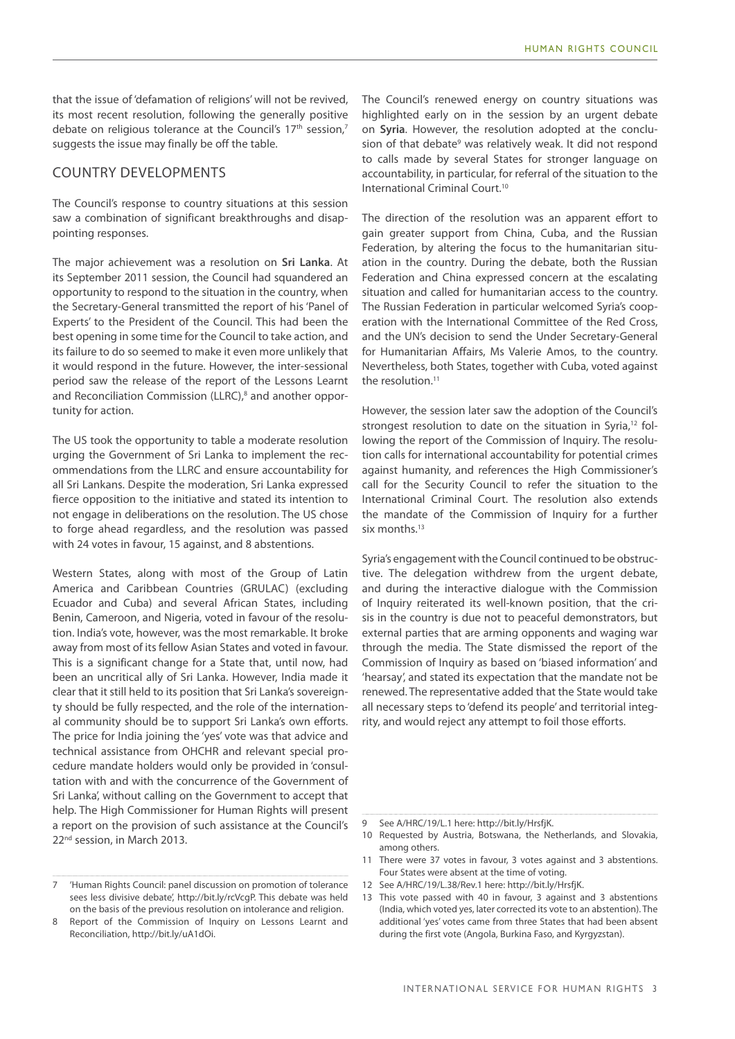that the issue of 'defamation of religions' will not be revived, its most recent resolution, following the generally positive debate on religious tolerance at the Council's 17<sup>th</sup> session,<sup>7</sup> suggests the issue may finally be off the table.

# COUNTRY DEVELOPMENTS

The Council's response to country situations at this session saw a combination of significant breakthroughs and disappointing responses.

The major achievement was a resolution on **Sri Lanka**. At its September 2011 session, the Council had squandered an opportunity to respond to the situation in the country, when the Secretary-General transmitted the report of his 'Panel of Experts' to the President of the Council. This had been the best opening in some time for the Council to take action, and its failure to do so seemed to make it even more unlikely that it would respond in the future. However, the inter-sessional period saw the release of the report of the Lessons Learnt and Reconciliation Commission (LLRC),<sup>8</sup> and another opportunity for action.

The US took the opportunity to table a moderate resolution urging the Government of Sri Lanka to implement the recommendations from the LLRC and ensure accountability for all Sri Lankans. Despite the moderation, Sri Lanka expressed fierce opposition to the initiative and stated its intention to not engage in deliberations on the resolution. The US chose to forge ahead regardless, and the resolution was passed with 24 votes in favour, 15 against, and 8 abstentions.

Western States, along with most of the Group of Latin America and Caribbean Countries (GRULAC) (excluding Ecuador and Cuba) and several African States, including Benin, Cameroon, and Nigeria, voted in favour of the resolution. India's vote, however, was the most remarkable. It broke away from most of its fellow Asian States and voted in favour. This is a significant change for a State that, until now, had been an uncritical ally of Sri Lanka. However, India made it clear that it still held to its position that Sri Lanka's sovereignty should be fully respected, and the role of the international community should be to support Sri Lanka's own efforts. The price for India joining the 'yes' vote was that advice and technical assistance from OHCHR and relevant special procedure mandate holders would only be provided in 'consultation with and with the concurrence of the Government of Sri Lanka', without calling on the Government to accept that help. The High Commissioner for Human Rights will present a report on the provision of such assistance at the Council's 22<sup>nd</sup> session, in March 2013.

The Council's renewed energy on country situations was highlighted early on in the session by an urgent debate on **Syria**. However, the resolution adopted at the conclusion of that debate<sup>9</sup> was relatively weak. It did not respond to calls made by several States for stronger language on accountability, in particular, for referral of the situation to the International Criminal Court.10

The direction of the resolution was an apparent effort to gain greater support from China, Cuba, and the Russian Federation, by altering the focus to the humanitarian situation in the country. During the debate, both the Russian Federation and China expressed concern at the escalating situation and called for humanitarian access to the country. The Russian Federation in particular welcomed Syria's cooperation with the International Committee of the Red Cross, and the UN's decision to send the Under Secretary-General for Humanitarian Affairs, Ms Valerie Amos, to the country. Nevertheless, both States, together with Cuba, voted against the resolution.<sup>11</sup>

However, the session later saw the adoption of the Council's strongest resolution to date on the situation in Syria,<sup>12</sup> following the report of the Commission of Inquiry. The resolution calls for international accountability for potential crimes against humanity, and references the High Commissioner's call for the Security Council to refer the situation to the International Criminal Court. The resolution also extends the mandate of the Commission of Inquiry for a further six months.<sup>13</sup>

Syria's engagement with the Council continued to be obstructive. The delegation withdrew from the urgent debate, and during the interactive dialogue with the Commission of Inquiry reiterated its well-known position, that the crisis in the country is due not to peaceful demonstrators, but external parties that are arming opponents and waging war through the media. The State dismissed the report of the Commission of Inquiry as based on 'biased information' and 'hearsay', and stated its expectation that the mandate not be renewed. The representative added that the State would take all necessary steps to 'defend its people' and territorial integrity, and would reject any attempt to foil those efforts.

<sup>7</sup> 'Human Rights Council: panel discussion on promotion of tolerance sees less divisive debate', http://bit.ly/rcVcgP. This debate was held on the basis of the previous resolution on intolerance and religion.

<sup>8</sup> Report of the Commission of Inquiry on Lessons Learnt and Reconciliation, http://bit.ly/uA1dOi.

<sup>9</sup> See A/HRC/19/L.1 here: http://bit.ly/HrsfjK.

<sup>10</sup> Requested by Austria, Botswana, the Netherlands, and Slovakia, among others.

<sup>11</sup> There were 37 votes in favour, 3 votes against and 3 abstentions. Four States were absent at the time of voting.

<sup>12</sup> See A/HRC/19/L.38/Rev.1 here: http://bit.ly/HrsfjK.

<sup>13</sup> This vote passed with 40 in favour, 3 against and 3 abstentions (India, which voted yes, later corrected its vote to an abstention). The additional 'yes' votes came from three States that had been absent during the first vote (Angola, Burkina Faso, and Kyrgyzstan).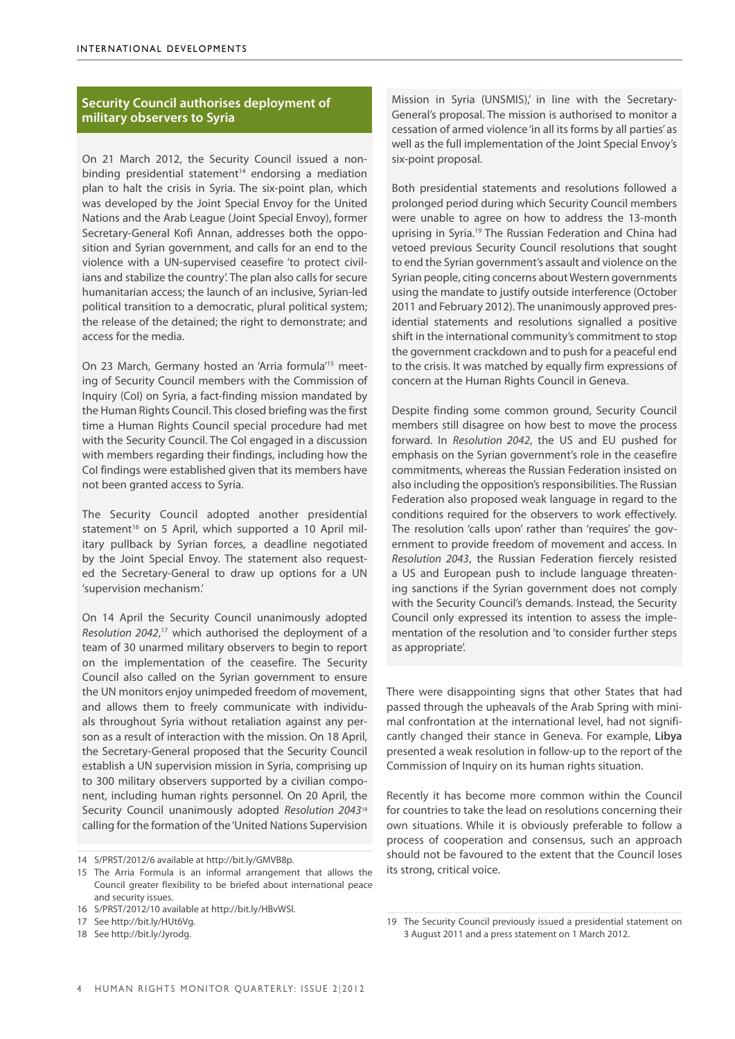# **Security Council authorises deployment of military observers to Syria**

On 21 March 2012, the Security Council issued a nonbinding presidential statement $14$  endorsing a mediation plan to halt the crisis in Syria. The six-point plan, which was developed by the Joint Special Envoy for the United Nations and the Arab League (Joint Special Envoy), former Secretary-General Kofi Annan, addresses both the opposition and Syrian government, and calls for an end to the violence with a UN-supervised ceasefire 'to protect civilians and stabilize the country'. The plan also calls for secure humanitarian access; the launch of an inclusive, Syrian-led political transition to a democratic, plural political system; the release of the detained; the right to demonstrate; and access for the media.

On 23 March, Germany hosted an 'Arria formula'15 meeting of Security Council members with the Commission of Inquiry (CoI) on Syria, a fact-finding mission mandated by the Human Rights Council. This closed briefing was the first time a Human Rights Council special procedure had met with the Security Council. The CoI engaged in a discussion with members regarding their findings, including how the CoI findings were established given that its members have not been granted access to Syria.

The Security Council adopted another presidential statement<sup>16</sup> on 5 April, which supported a 10 April military pullback by Syrian forces, a deadline negotiated by the Joint Special Envoy. The statement also requested the Secretary-General to draw up options for a UN 'supervision mechanism.'

On 14 April the Security Council unanimously adopted *Resolution 2042*, 17 which authorised the deployment of a team of 30 unarmed military observers to begin to report on the implementation of the ceasefire. The Security Council also called on the Syrian government to ensure the UN monitors enjoy unimpeded freedom of movement, and allows them to freely communicate with individuals throughout Syria without retaliation against any person as a result of interaction with the mission. On 18 April, the Secretary-General proposed that the Security Council establish a UN supervision mission in Syria, comprising up to 300 military observers supported by a civilian component, including human rights personnel. On 20 April, the Security Council unanimously adopted *Resolution 2043*<sup>18</sup> calling for the formation of the 'United Nations Supervision

Mission in Syria (UNSMIS),' in line with the Secretary-General's proposal. The mission is authorised to monitor a cessation of armed violence 'in all its forms by all parties' as well as the full implementation of the Joint Special Envoy's six-point proposal.

Both presidential statements and resolutions followed a prolonged period during which Security Council members were unable to agree on how to address the 13-month uprising in Syria.19 The Russian Federation and China had vetoed previous Security Council resolutions that sought to end the Syrian government's assault and violence on the Syrian people, citing concerns about Western governments using the mandate to justify outside interference (October 2011 and February 2012). The unanimously approved presidential statements and resolutions signalled a positive shift in the international community's commitment to stop the government crackdown and to push for a peaceful end to the crisis. It was matched by equally firm expressions of concern at the Human Rights Council in Geneva.

Despite finding some common ground, Security Council members still disagree on how best to move the process forward. In *Resolution 2042*, the US and EU pushed for emphasis on the Syrian government's role in the ceasefire commitments, whereas the Russian Federation insisted on also including the opposition's responsibilities. The Russian Federation also proposed weak language in regard to the conditions required for the observers to work effectively. The resolution 'calls upon' rather than 'requires' the government to provide freedom of movement and access. In *Resolution 2043*, the Russian Federation fiercely resisted a US and European push to include language threatening sanctions if the Syrian government does not comply with the Security Council's demands. Instead, the Security Council only expressed its intention to assess the implementation of the resolution and 'to consider further steps as appropriate'.

There were disappointing signs that other States that had passed through the upheavals of the Arab Spring with minimal confrontation at the international level, had not significantly changed their stance in Geneva. For example, **Libya** presented a weak resolution in follow-up to the report of the Commission of Inquiry on its human rights situation.

Recently it has become more common within the Council for countries to take the lead on resolutions concerning their own situations. While it is obviously preferable to follow a process of cooperation and consensus, such an approach should not be favoured to the extent that the Council loses its strong, critical voice.

<sup>14</sup> S/PRST/2012/6 available at http://bit.ly/GMVB8p.

<sup>15</sup> The Arria Formula is an informal arrangement that allows the Council greater flexibility to be briefed about international peace and security issues.

<sup>16</sup> S/PRST/2012/10 available at http://bit.ly/HBvWSl.

<sup>17</sup> See http://bit.ly/HUt6Vg.

<sup>18</sup> See http://bit.ly/Jyrodg.

<sup>19</sup> The Security Council previously issued a presidential statement on 3 August 2011 and a press statement on 1 March 2012.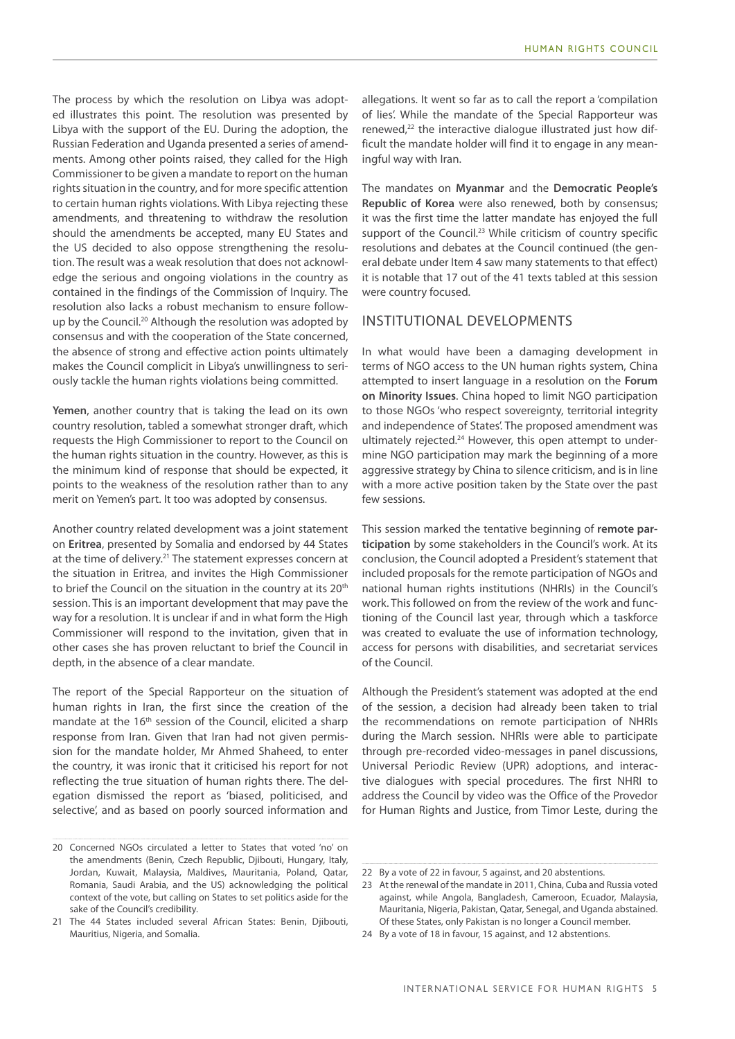The process by which the resolution on Libya was adopted illustrates this point. The resolution was presented by Libya with the support of the EU. During the adoption, the Russian Federation and Uganda presented a series of amendments. Among other points raised, they called for the High Commissioner to be given a mandate to report on the human rights situation in the country, and for more specific attention to certain human rights violations. With Libya rejecting these amendments, and threatening to withdraw the resolution should the amendments be accepted, many EU States and the US decided to also oppose strengthening the resolution. The result was a weak resolution that does not acknowledge the serious and ongoing violations in the country as contained in the findings of the Commission of Inquiry. The resolution also lacks a robust mechanism to ensure followup by the Council.<sup>20</sup> Although the resolution was adopted by consensus and with the cooperation of the State concerned, the absence of strong and effective action points ultimately makes the Council complicit in Libya's unwillingness to seriously tackle the human rights violations being committed.

**Yemen**, another country that is taking the lead on its own country resolution, tabled a somewhat stronger draft, which requests the High Commissioner to report to the Council on the human rights situation in the country. However, as this is the minimum kind of response that should be expected, it points to the weakness of the resolution rather than to any merit on Yemen's part. It too was adopted by consensus.

Another country related development was a joint statement on **Eritrea**, presented by Somalia and endorsed by 44 States at the time of delivery.<sup>21</sup> The statement expresses concern at the situation in Eritrea, and invites the High Commissioner to brief the Council on the situation in the country at its 20<sup>th</sup> session. This is an important development that may pave the way for a resolution. It is unclear if and in what form the High Commissioner will respond to the invitation, given that in other cases she has proven reluctant to brief the Council in depth, in the absence of a clear mandate.

The report of the Special Rapporteur on the situation of human rights in Iran, the first since the creation of the mandate at the 16<sup>th</sup> session of the Council, elicited a sharp response from Iran. Given that Iran had not given permission for the mandate holder, Mr Ahmed Shaheed, to enter the country, it was ironic that it criticised his report for not reflecting the true situation of human rights there. The delegation dismissed the report as 'biased, politicised, and selective', and as based on poorly sourced information and

allegations. It went so far as to call the report a 'compilation of lies'. While the mandate of the Special Rapporteur was renewed,<sup>22</sup> the interactive dialogue illustrated just how difficult the mandate holder will find it to engage in any meaningful way with Iran.

The mandates on **Myanmar** and the **Democratic People's Republic of Korea** were also renewed, both by consensus; it was the first time the latter mandate has enjoyed the full support of the Council.<sup>23</sup> While criticism of country specific resolutions and debates at the Council continued (the general debate under Item 4 saw many statements to that effect) it is notable that 17 out of the 41 texts tabled at this session were country focused.

# INSTITUTIONAL DEVELOPMENTS

In what would have been a damaging development in terms of NGO access to the UN human rights system, China attempted to insert language in a resolution on the **Forum on Minority Issues**. China hoped to limit NGO participation to those NGOs 'who respect sovereignty, territorial integrity and independence of States'. The proposed amendment was ultimately rejected.<sup>24</sup> However, this open attempt to undermine NGO participation may mark the beginning of a more aggressive strategy by China to silence criticism, and is in line with a more active position taken by the State over the past few sessions.

This session marked the tentative beginning of **remote participation** by some stakeholders in the Council's work. At its conclusion, the Council adopted a President's statement that included proposals for the remote participation of NGOs and national human rights institutions (NHRIs) in the Council's work. This followed on from the review of the work and functioning of the Council last year, through which a taskforce was created to evaluate the use of information technology, access for persons with disabilities, and secretariat services of the Council.

Although the President's statement was adopted at the end of the session, a decision had already been taken to trial the recommendations on remote participation of NHRIs during the March session. NHRIs were able to participate through pre-recorded video-messages in panel discussions, Universal Periodic Review (UPR) adoptions, and interactive dialogues with special procedures. The first NHRI to address the Council by video was the Office of the Provedor for Human Rights and Justice, from Timor Leste, during the

<sup>20</sup> Concerned NGOs circulated a letter to States that voted 'no' on the amendments (Benin, Czech Republic, Djibouti, Hungary, Italy, Jordan, Kuwait, Malaysia, Maldives, Mauritania, Poland, Qatar, Romania, Saudi Arabia, and the US) acknowledging the political context of the vote, but calling on States to set politics aside for the sake of the Council's credibility.

<sup>21</sup> The 44 States included several African States: Benin, Djibouti, Mauritius, Nigeria, and Somalia.

<sup>22</sup> By a vote of 22 in favour, 5 against, and 20 abstentions.

<sup>23</sup> At the renewal of the mandate in 2011, China, Cuba and Russia voted against, while Angola, Bangladesh, Cameroon, Ecuador, Malaysia, Mauritania, Nigeria, Pakistan, Qatar, Senegal, and Uganda abstained. Of these States, only Pakistan is no longer a Council member.

<sup>24</sup> By a vote of 18 in favour, 15 against, and 12 abstentions.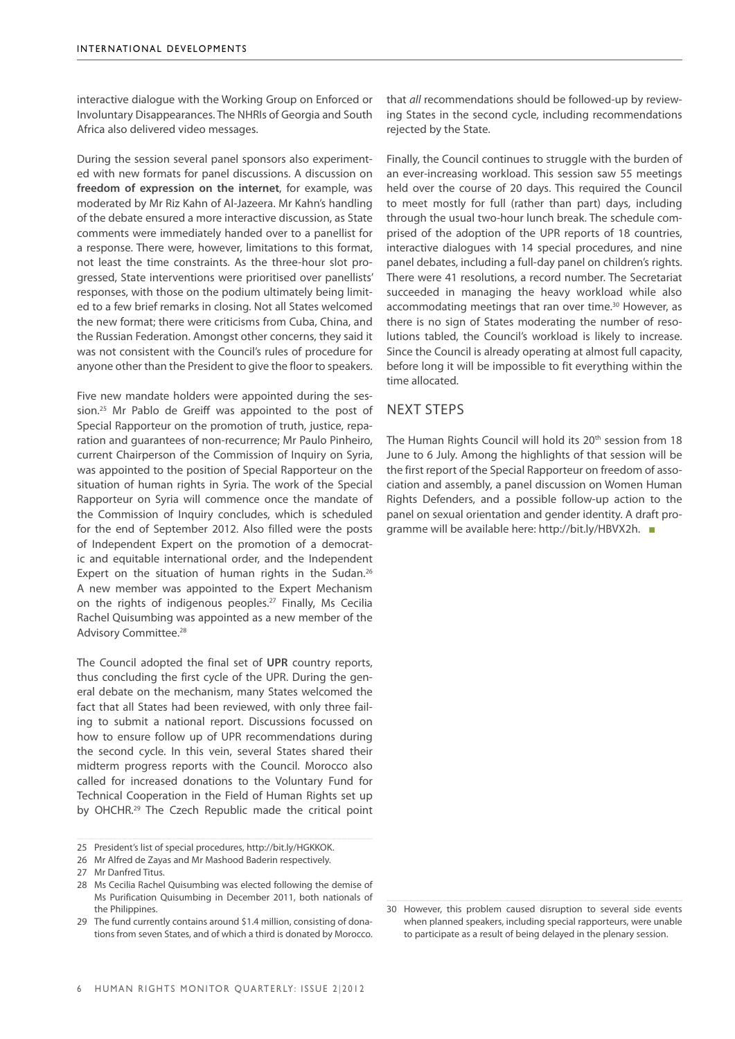interactive dialogue with the Working Group on Enforced or Involuntary Disappearances. The NHRIs of Georgia and South Africa also delivered video messages.

During the session several panel sponsors also experimented with new formats for panel discussions. A discussion on **freedom of expression on the internet**, for example, was moderated by Mr Riz Kahn of Al-Jazeera. Mr Kahn's handling of the debate ensured a more interactive discussion, as State comments were immediately handed over to a panellist for a response. There were, however, limitations to this format, not least the time constraints. As the three-hour slot progressed, State interventions were prioritised over panellists' responses, with those on the podium ultimately being limited to a few brief remarks in closing. Not all States welcomed the new format; there were criticisms from Cuba, China, and the Russian Federation. Amongst other concerns, they said it was not consistent with the Council's rules of procedure for anyone other than the President to give the floor to speakers.

Five new mandate holders were appointed during the session.25 Mr Pablo de Greiff was appointed to the post of Special Rapporteur on the promotion of truth, justice, reparation and guarantees of non-recurrence; Mr Paulo Pinheiro, current Chairperson of the Commission of Inquiry on Syria, was appointed to the position of Special Rapporteur on the situation of human rights in Syria. The work of the Special Rapporteur on Syria will commence once the mandate of the Commission of Inquiry concludes, which is scheduled for the end of September 2012. Also filled were the posts of Independent Expert on the promotion of a democratic and equitable international order, and the Independent Expert on the situation of human rights in the Sudan.<sup>26</sup> A new member was appointed to the Expert Mechanism on the rights of indigenous peoples.27 Finally, Ms Cecilia Rachel Quisumbing was appointed as a new member of the Advisory Committee.<sup>28</sup>

The Council adopted the final set of **UPR** country reports, thus concluding the first cycle of the UPR. During the general debate on the mechanism, many States welcomed the fact that all States had been reviewed, with only three failing to submit a national report. Discussions focussed on how to ensure follow up of UPR recommendations during the second cycle. In this vein, several States shared their midterm progress reports with the Council. Morocco also called for increased donations to the Voluntary Fund for Technical Cooperation in the Field of Human Rights set up by OHCHR.29 The Czech Republic made the critical point

that *all* recommendations should be followed-up by reviewing States in the second cycle, including recommendations rejected by the State.

Finally, the Council continues to struggle with the burden of an ever-increasing workload. This session saw 55 meetings held over the course of 20 days. This required the Council to meet mostly for full (rather than part) days, including through the usual two-hour lunch break. The schedule comprised of the adoption of the UPR reports of 18 countries, interactive dialogues with 14 special procedures, and nine panel debates, including a full-day panel on children's rights. There were 41 resolutions, a record number. The Secretariat succeeded in managing the heavy workload while also accommodating meetings that ran over time.<sup>30</sup> However, as there is no sign of States moderating the number of resolutions tabled, the Council's workload is likely to increase. Since the Council is already operating at almost full capacity, before long it will be impossible to fit everything within the time allocated.

# NEXT STEPS

The Human Rights Council will hold its 20th session from 18 June to 6 July. Among the highlights of that session will be the first report of the Special Rapporteur on freedom of association and assembly, a panel discussion on Women Human Rights Defenders, and a possible follow-up action to the panel on sexual orientation and gender identity. A draft programme will be available here: http://bit.ly/HBVX2h. ■

<sup>25</sup> President's list of special procedures, http://bit.ly/HGKKOK.

<sup>26</sup> Mr Alfred de Zayas and Mr Mashood Baderin respectively.

<sup>27</sup> Mr Danfred Titus.

<sup>28</sup> Ms Cecilia Rachel Quisumbing was elected following the demise of Ms Purification Quisumbing in December 2011, both nationals of the Philippines.

<sup>29</sup> The fund currently contains around \$1.4 million, consisting of donations from seven States, and of which a third is donated by Morocco.

<sup>30</sup> However, this problem caused disruption to several side events when planned speakers, including special rapporteurs, were unable to participate as a result of being delayed in the plenary session.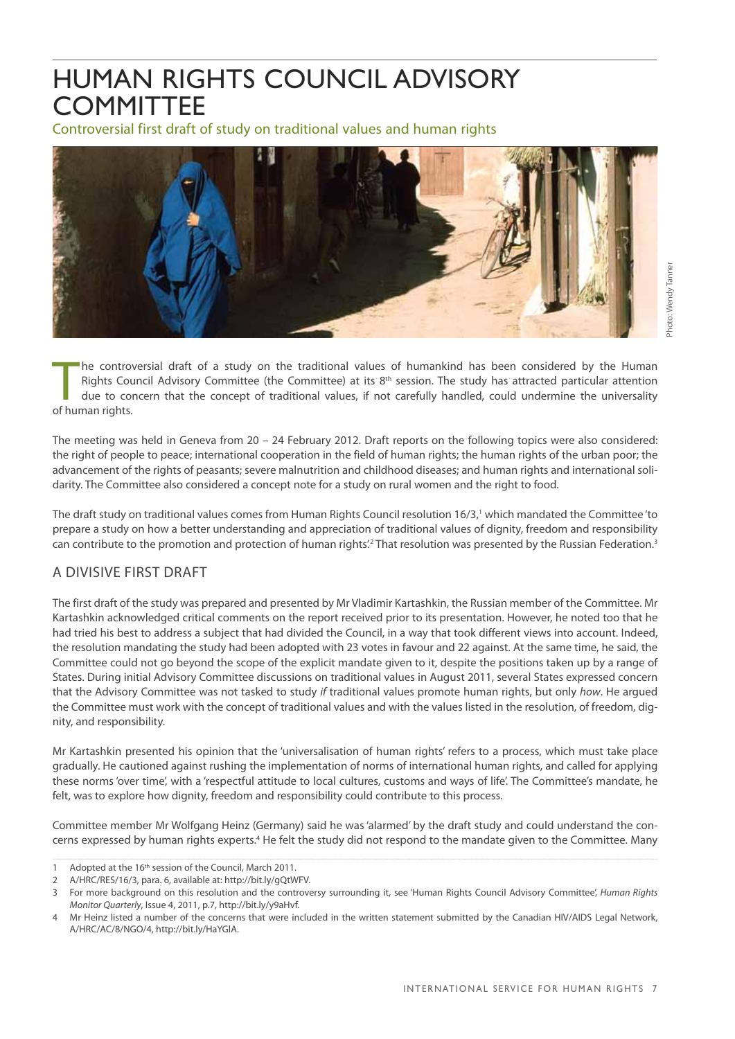# HUMAN RIGHTS COUNCIL ADVISORY **COMMITTEE**

Controversial first draft of study on traditional values and human rights



he contro<br>
Rights Cou<br>
due to co<br>
of human rights. he controversial draft of a study on the traditional values of humankind has been considered by the Human Rights Council Advisory Committee (the Committee) at its  $8<sup>th</sup>$  session. The study has attracted particular attention due to concern that the concept of traditional values, if not carefully handled, could undermine the universality

The meeting was held in Geneva from 20 – 24 February 2012. Draft reports on the following topics were also considered: the right of people to peace; international cooperation in the field of human rights; the human rights of the urban poor; the advancement of the rights of peasants; severe malnutrition and childhood diseases; and human rights and international solidarity. The Committee also considered a concept note for a study on rural women and the right to food.

The draft study on traditional values comes from Human Rights Council resolution 16/3,<sup>1</sup> which mandated the Committee*'*to prepare a study on how a better understanding and appreciation of traditional values of dignity, freedom and responsibility can contribute to the promotion and protection of human rights.<sup>2</sup> That resolution was presented by the Russian Federation.<sup>3</sup>

# A divisive first draft

The first draft of the study was prepared and presented by Mr Vladimir Kartashkin, the Russian member of the Committee. Mr Kartashkin acknowledged critical comments on the report received prior to its presentation. However, he noted too that he had tried his best to address a subject that had divided the Council, in a way that took different views into account. Indeed, the resolution mandating the study had been adopted with 23 votes in favour and 22 against. At the same time, he said, the Committee could not go beyond the scope of the explicit mandate given to it, despite the positions taken up by a range of States. During initial Advisory Committee discussions on traditional values in August 2011, several States expressed concern that the Advisory Committee was not tasked to study *if* traditional values promote human rights, but only *how*. He argued the Committee must work with the concept of traditional values and with the values listed in the resolution, of freedom, dignity, and responsibility.

Mr Kartashkin presented his opinion that the 'universalisation of human rights' refers to a process, which must take place gradually. He cautioned against rushing the implementation of norms of international human rights, and called for applying these norms 'over time', with a 'respectful attitude to local cultures, customs and ways of life'. The Committee's mandate, he felt, was to explore how dignity, freedom and responsibility could contribute to this process.

Committee member Mr Wolfgang Heinz (Germany) said he was 'alarmed' by the draft study and could understand the concerns expressed by human rights experts.<sup>4</sup> He felt the study did not respond to the mandate given to the Committee. Many

<sup>1</sup> Adopted at the 16<sup>th</sup> session of the Council, March 2011.

<sup>2</sup> A/HRC/RES/16/3, para. 6, available at: http://bit.ly/gQtWFV.

<sup>3</sup> For more background on this resolution and the controversy surrounding it, see 'Human Rights Council Advisory Committee', *Human Rights Monitor Quarterly*, Issue 4, 2011, p.7, http://bit.ly/y9aHvf.

<sup>4</sup> Mr Heinz listed a number of the concerns that were included in the written statement submitted by the Canadian HIV/AIDS Legal Network, A/HRC/AC/8/NGO/4, http://bit.ly/HaYGlA.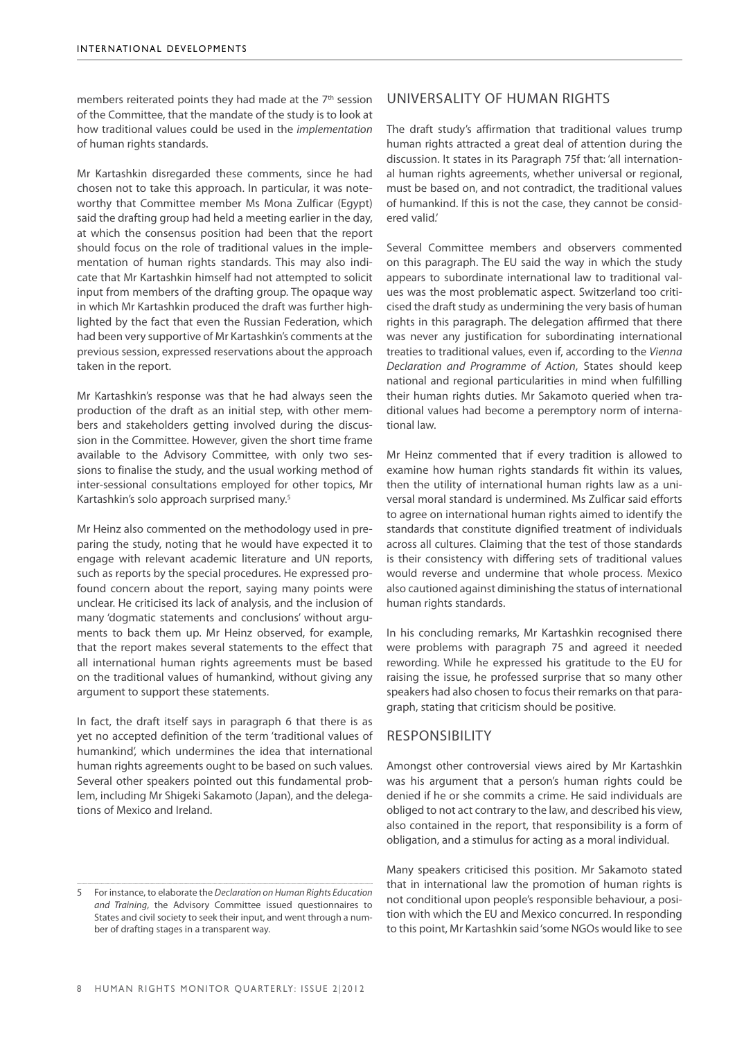members reiterated points they had made at the 7<sup>th</sup> session of the Committee, that the mandate of the study is to look at how traditional values could be used in the *implementation* of human rights standards.

Mr Kartashkin disregarded these comments, since he had chosen not to take this approach. In particular, it was noteworthy that Committee member Ms Mona Zulficar (Egypt) said the drafting group had held a meeting earlier in the day, at which the consensus position had been that the report should focus on the role of traditional values in the implementation of human rights standards. This may also indicate that Mr Kartashkin himself had not attempted to solicit input from members of the drafting group. The opaque way in which Mr Kartashkin produced the draft was further highlighted by the fact that even the Russian Federation, which had been very supportive of Mr Kartashkin's comments at the previous session, expressed reservations about the approach taken in the report.

Mr Kartashkin's response was that he had always seen the production of the draft as an initial step, with other members and stakeholders getting involved during the discussion in the Committee. However, given the short time frame available to the Advisory Committee, with only two sessions to finalise the study, and the usual working method of inter-sessional consultations employed for other topics, Mr Kartashkin's solo approach surprised many.5

Mr Heinz also commented on the methodology used in preparing the study, noting that he would have expected it to engage with relevant academic literature and UN reports, such as reports by the special procedures. He expressed profound concern about the report, saying many points were unclear. He criticised its lack of analysis, and the inclusion of many 'dogmatic statements and conclusions' without arguments to back them up. Mr Heinz observed, for example, that the report makes several statements to the effect that all international human rights agreements must be based on the traditional values of humankind, without giving any argument to support these statements.

In fact, the draft itself says in paragraph 6 that there is as yet no accepted definition of the term 'traditional values of humankind', which undermines the idea that international human rights agreements ought to be based on such values. Several other speakers pointed out this fundamental problem, including Mr Shigeki Sakamoto (Japan), and the delegations of Mexico and Ireland.

# Universality of human rights

The draft study's affirmation that traditional values trump human rights attracted a great deal of attention during the discussion. It states in its Paragraph 75f that: 'all international human rights agreements, whether universal or regional, must be based on, and not contradict, the traditional values of humankind. If this is not the case, they cannot be considered valid.'

Several Committee members and observers commented on this paragraph. The EU said the way in which the study appears to subordinate international law to traditional values was the most problematic aspect. Switzerland too criticised the draft study as undermining the very basis of human rights in this paragraph. The delegation affirmed that there was never any justification for subordinating international treaties to traditional values, even if, according to the *Vienna Declaration and Programme of Action*, States should keep national and regional particularities in mind when fulfilling their human rights duties. Mr Sakamoto queried when traditional values had become a peremptory norm of international law.

Mr Heinz commented that if every tradition is allowed to examine how human rights standards fit within its values, then the utility of international human rights law as a universal moral standard is undermined. Ms Zulficar said efforts to agree on international human rights aimed to identify the standards that constitute dignified treatment of individuals across all cultures. Claiming that the test of those standards is their consistency with differing sets of traditional values would reverse and undermine that whole process. Mexico also cautioned against diminishing the status of international human rights standards.

In his concluding remarks, Mr Kartashkin recognised there were problems with paragraph 75 and agreed it needed rewording. While he expressed his gratitude to the EU for raising the issue, he professed surprise that so many other speakers had also chosen to focus their remarks on that paragraph, stating that criticism should be positive.

# **RESPONSIBILITY**

Amongst other controversial views aired by Mr Kartashkin was his argument that a person's human rights could be denied if he or she commits a crime. He said individuals are obliged to not act contrary to the law, and described his view, also contained in the report, that responsibility is a form of obligation, and a stimulus for acting as a moral individual.

Many speakers criticised this position. Mr Sakamoto stated that in international law the promotion of human rights is not conditional upon people's responsible behaviour, a position with which the EU and Mexico concurred. In responding to this point, Mr Kartashkin said 'some NGOs would like to see

<sup>5</sup> For instance, to elaborate the *Declaration on Human Rights Education and Training*, the Advisory Committee issued questionnaires to States and civil society to seek their input, and went through a number of drafting stages in a transparent way.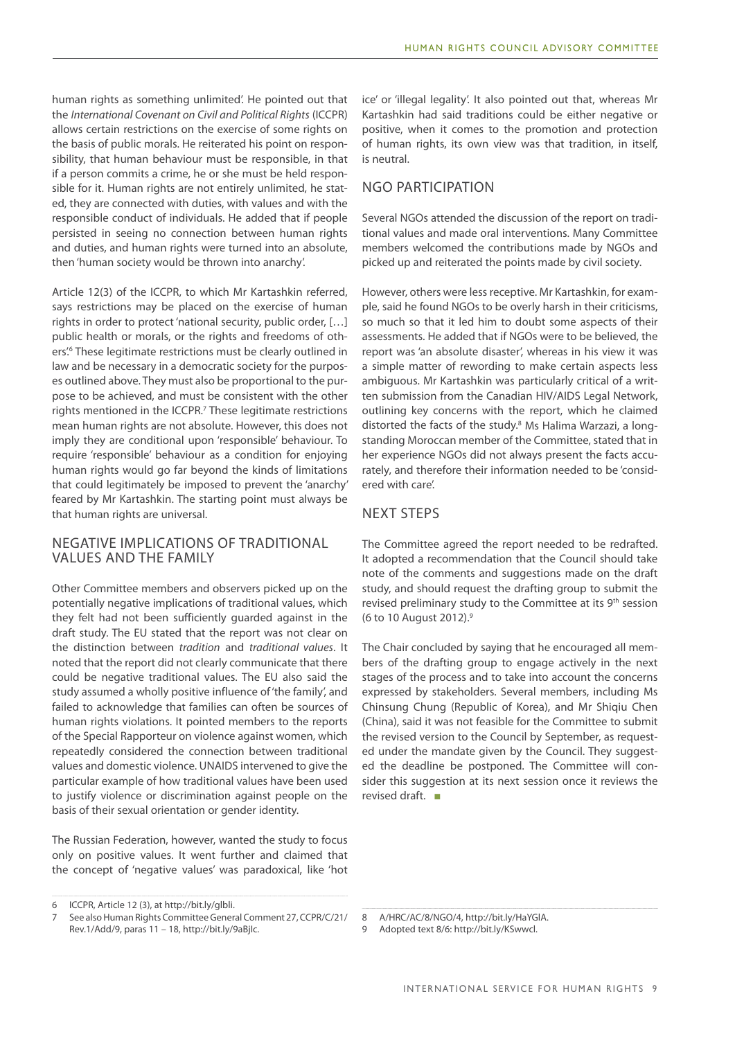human rights as something unlimited'. He pointed out that the *International Covenant on Civil and Political Rights* (ICCPR) allows certain restrictions on the exercise of some rights on the basis of public morals. He reiterated his point on responsibility, that human behaviour must be responsible, in that if a person commits a crime, he or she must be held responsible for it. Human rights are not entirely unlimited, he stated, they are connected with duties, with values and with the responsible conduct of individuals. He added that if people persisted in seeing no connection between human rights and duties, and human rights were turned into an absolute, then 'human society would be thrown into anarchy'.

Article 12(3) of the ICCPR, to which Mr Kartashkin referred, says restrictions may be placed on the exercise of human rights in order to protect 'national security, public order, […] public health or morals, or the rights and freedoms of others'<sup>6</sup> These legitimate restrictions must be clearly outlined in law and be necessary in a democratic society for the purposes outlined above. They must also be proportional to the purpose to be achieved, and must be consistent with the other rights mentioned in the ICCPR.<sup>7</sup> These legitimate restrictions mean human rights are not absolute. However, this does not imply they are conditional upon 'responsible' behaviour. To require 'responsible' behaviour as a condition for enjoying human rights would go far beyond the kinds of limitations that could legitimately be imposed to prevent the 'anarchy' feared by Mr Kartashkin. The starting point must always be that human rights are universal.

# Negative implications of traditional values and the family

Other Committee members and observers picked up on the potentially negative implications of traditional values, which they felt had not been sufficiently guarded against in the draft study. The EU stated that the report was not clear on the distinction between *tradition* and *traditional values*. It noted that the report did not clearly communicate that there could be negative traditional values. The EU also said the study assumed a wholly positive influence of 'the family', and failed to acknowledge that families can often be sources of human rights violations. It pointed members to the reports of the Special Rapporteur on violence against women, which repeatedly considered the connection between traditional values and domestic violence. UNAIDS intervened to give the particular example of how traditional values have been used to justify violence or discrimination against people on the basis of their sexual orientation or gender identity.

The Russian Federation, however, wanted the study to focus only on positive values. It went further and claimed that the concept of 'negative values' was paradoxical, like 'hot

ice' or 'illegal legality'. It also pointed out that, whereas Mr Kartashkin had said traditions could be either negative or positive, when it comes to the promotion and protection of human rights, its own view was that tradition, in itself, is neutral.

# NGO participation

Several NGOs attended the discussion of the report on traditional values and made oral interventions. Many Committee members welcomed the contributions made by NGOs and picked up and reiterated the points made by civil society.

However, others were less receptive. Mr Kartashkin, for example, said he found NGOs to be overly harsh in their criticisms, so much so that it led him to doubt some aspects of their assessments. He added that if NGOs were to be believed, the report was 'an absolute disaster', whereas in his view it was a simple matter of rewording to make certain aspects less ambiguous. Mr Kartashkin was particularly critical of a written submission from the Canadian HIV/AIDS Legal Network, outlining key concerns with the report, which he claimed distorted the facts of the study.<sup>8</sup> Ms Halima Warzazi, a longstanding Moroccan member of the Committee, stated that in her experience NGOs did not always present the facts accurately, and therefore their information needed to be 'considered with care'.

# Next steps

The Committee agreed the report needed to be redrafted. It adopted a recommendation that the Council should take note of the comments and suggestions made on the draft study, and should request the drafting group to submit the revised preliminary study to the Committee at its 9th session (6 to 10 August 2012).9

The Chair concluded by saying that he encouraged all members of the drafting group to engage actively in the next stages of the process and to take into account the concerns expressed by stakeholders. Several members, including Ms Chinsung Chung (Republic of Korea), and Mr Shiqiu Chen (China), said it was not feasible for the Committee to submit the revised version to the Council by September, as requested under the mandate given by the Council. They suggested the deadline be postponed. The Committee will consider this suggestion at its next session once it reviews the revised draft. ■

<sup>6</sup> ICCPR, Article 12 (3), at http://bit.ly/glbli.

<sup>7</sup> See also Human Rights Committee General Comment 27, CCPR/C/21/ Rev.1/Add/9, paras 11 – 18, http://bit.ly/9aBjIc.

<sup>8</sup> A/HRC/AC/8/NGO/4, http://bit.ly/HaYGlA.

<sup>9</sup> Adopted text 8/6: http://bit.ly/KSwwcl.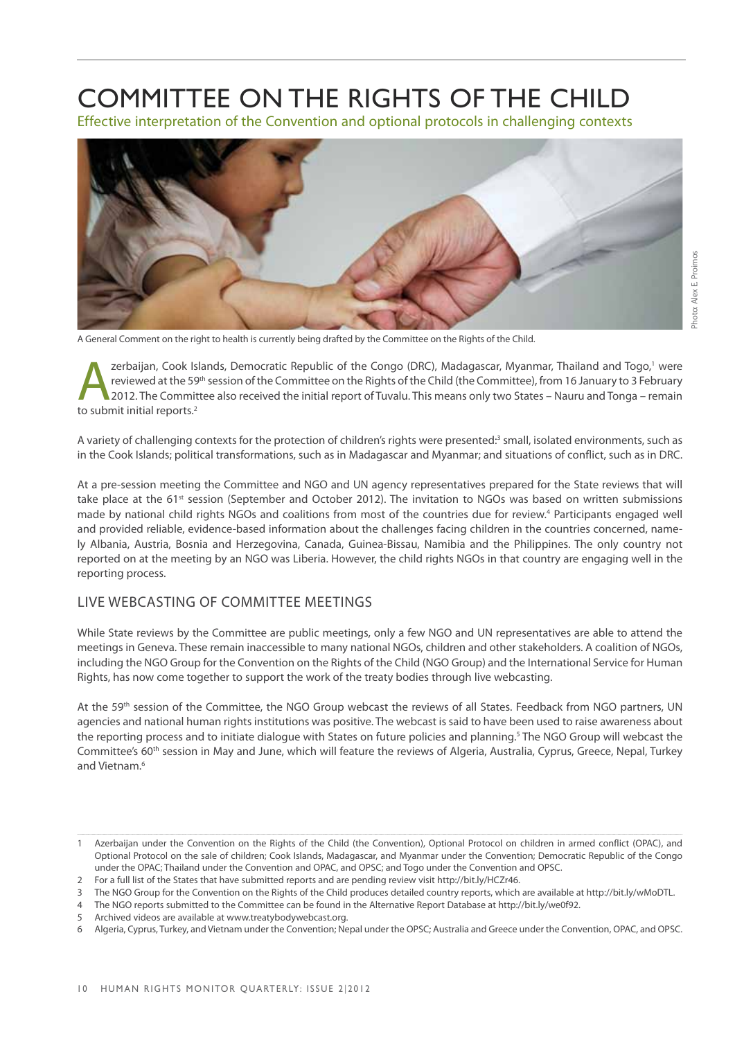# Committee on the Rights of the Child

Effective interpretation of the Convention and optional protocols in challenging contexts



A General Comment on the right to health is currently being drafted by the Committee on the Rights of the Child.

zerbaijan, Cook Islands, Democratic Republic of the Congo (DRC), Madagascar, Myanmar, Thailand and Togo,<sup>1</sup> were<br>
2012. The Committee also received the initial report of Tuvalu. This means only two States – Nauru and Tonga zerbaijan, Cook Islands, Democratic Republic of the Congo (DRC), Madagascar, Myanmar, Thailand and Togo,<sup>1</sup> were reviewed at the 59th session of the Committee on the Rights of the Child (the Committee), from 16 January to 3 February to submit initial reports.<sup>2</sup>

A variety of challenging contexts for the protection of children's rights were presented:<sup>3</sup> small, isolated environments, such as in the Cook Islands; political transformations, such as in Madagascar and Myanmar; and situations of conflict, such as in DRC.

At a pre-session meeting the Committee and NGO and UN agency representatives prepared for the State reviews that will take place at the 61<sup>st</sup> session (September and October 2012). The invitation to NGOs was based on written submissions made by national child rights NGOs and coalitions from most of the countries due for review.4 Participants engaged well and provided reliable, evidence-based information about the challenges facing children in the countries concerned, namely Albania, Austria, Bosnia and Herzegovina, Canada, Guinea-Bissau, Namibia and the Philippines. The only country not reported on at the meeting by an NGO was Liberia. However, the child rights NGOs in that country are engaging well in the reporting process.

# LIVE WEBCASTING OF COMMITTEE MEETINGS

While State reviews by the Committee are public meetings, only a few NGO and UN representatives are able to attend the meetings in Geneva. These remain inaccessible to many national NGOs, children and other stakeholders. A coalition of NGOs, including the NGO Group for the Convention on the Rights of the Child (NGO Group) and the International Service for Human Rights, has now come together to support the work of the treaty bodies through live webcasting.

At the 59<sup>th</sup> session of the Committee, the NGO Group webcast the reviews of all States. Feedback from NGO partners, UN agencies and national human rights institutions was positive. The webcast is said to have been used to raise awareness about the reporting process and to initiate dialogue with States on future policies and planning.<sup>5</sup> The NGO Group will webcast the Committee's 60th session in May and June, which will feature the reviews of Algeria, Australia, Cyprus, Greece, Nepal, Turkey and Vietnam.6

<sup>1</sup> Azerbaijan under the Convention on the Rights of the Child (the Convention), Optional Protocol on children in armed conflict (OPAC), and Optional Protocol on the sale of children; Cook Islands, Madagascar, and Myanmar under the Convention; Democratic Republic of the Congo under the OPAC; Thailand under the Convention and OPAC, and OPSC; and Togo under the Convention and OPSC.

<sup>2</sup> For a full list of the States that have submitted reports and are pending review visit http://bit.ly/HCZr46.

<sup>3</sup> The NGO Group for the Convention on the Rights of the Child produces detailed country reports, which are available at http://bit.ly/wMoDTL.

<sup>4</sup> The NGO reports submitted to the Committee can be found in the Alternative Report Database at http://bit.ly/we0f92.

<sup>5</sup> Archived videos are available at www.treatybodywebcast.org.

<sup>6</sup> Algeria, Cyprus, Turkey, and Vietnam under the Convention; Nepal under the OPSC; Australia and Greece under the Convention, OPAC, and OPSC.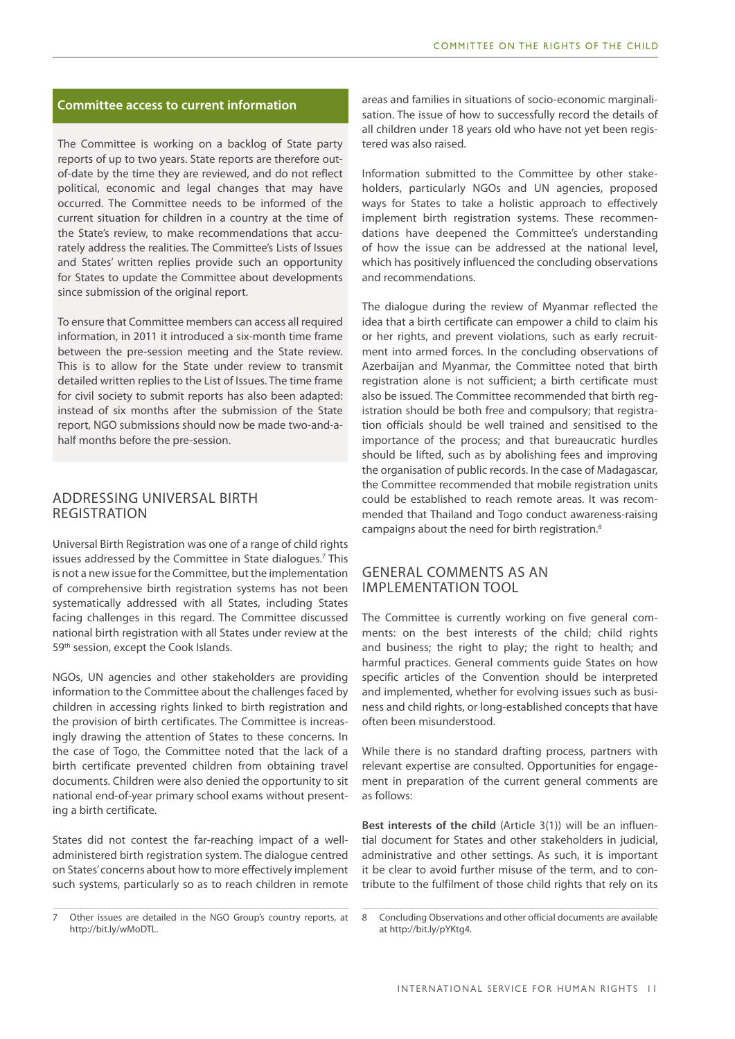### **Committee access to current information**

The Committee is working on a backlog of State party reports of up to two years. State reports are therefore outof-date by the time they are reviewed, and do not reflect political, economic and legal changes that may have occurred. The Committee needs to be informed of the current situation for children in a country at the time of the State's review, to make recommendations that accurately address the realities. The Committee's Lists of Issues and States' written replies provide such an opportunity for States to update the Committee about developments since submission of the original report.

To ensure that Committee members can access all required information, in 2011 it introduced a six-month time frame between the pre-session meeting and the State review. This is to allow for the State under review to transmit detailed written replies to the List of Issues. The time frame for civil society to submit reports has also been adapted: instead of six months after the submission of the State report, NGO submissions should now be made two-and-ahalf months before the pre-session.

# ADDRESSING UNIVERSAL BIRTH REGISTRATION

Universal Birth Registration was one of a range of child rights issues addressed by the Committee in State dialogues.<sup>7</sup> This is not a new issue for the Committee, but the implementation of comprehensive birth registration systems has not been systematically addressed with all States, including States facing challenges in this regard. The Committee discussed national birth registration with all States under review at the 59<sup>th</sup> session, except the Cook Islands.

NGOs, UN agencies and other stakeholders are providing information to the Committee about the challenges faced by children in accessing rights linked to birth registration and the provision of birth certificates. The Committee is increasingly drawing the attention of States to these concerns. In the case of Togo, the Committee noted that the lack of a birth certificate prevented children from obtaining travel documents. Children were also denied the opportunity to sit national end-of-year primary school exams without presenting a birth certificate.

States did not contest the far-reaching impact of a welladministered birth registration system. The dialogue centred on States' concerns about how to more effectively implement such systems, particularly so as to reach children in remote

areas and families in situations of socio-economic marginalisation. The issue of how to successfully record the details of all children under 18 years old who have not yet been registered was also raised.

Information submitted to the Committee by other stakeholders, particularly NGOs and UN agencies, proposed ways for States to take a holistic approach to effectively implement birth registration systems. These recommendations have deepened the Committee's understanding of how the issue can be addressed at the national level, which has positively influenced the concluding observations and recommendations.

The dialogue during the review of Myanmar reflected the idea that a birth certificate can empower a child to claim his or her rights, and prevent violations, such as early recruitment into armed forces. In the concluding observations of Azerbaijan and Myanmar, the Committee noted that birth registration alone is not sufficient; a birth certificate must also be issued. The Committee recommended that birth registration should be both free and compulsory; that registration officials should be well trained and sensitised to the importance of the process; and that bureaucratic hurdles should be lifted, such as by abolishing fees and improving the organisation of public records. In the case of Madagascar, the Committee recommended that mobile registration units could be established to reach remote areas. It was recommended that Thailand and Togo conduct awareness-raising campaigns about the need for birth registration.8

# GENERAL COMMENTS AS AN IMPLEMENTATION TOOL

The Committee is currently working on five general comments: on the best interests of the child; child rights and business; the right to play; the right to health; and harmful practices. General comments guide States on how specific articles of the Convention should be interpreted and implemented, whether for evolving issues such as business and child rights, or long-established concepts that have often been misunderstood.

While there is no standard drafting process, partners with relevant expertise are consulted. Opportunities for engagement in preparation of the current general comments are as follows:

**Best interests of the child** (Article 3(1)) will be an influential document for States and other stakeholders in judicial, administrative and other settings. As such, it is important it be clear to avoid further misuse of the term, and to contribute to the fulfilment of those child rights that rely on its

<sup>7</sup> Other issues are detailed in the NGO Group's country reports, at http://bit.ly/wMoDTL.

<sup>8</sup> Concluding Observations and other official documents are available at http://bit.ly/pYKtg4.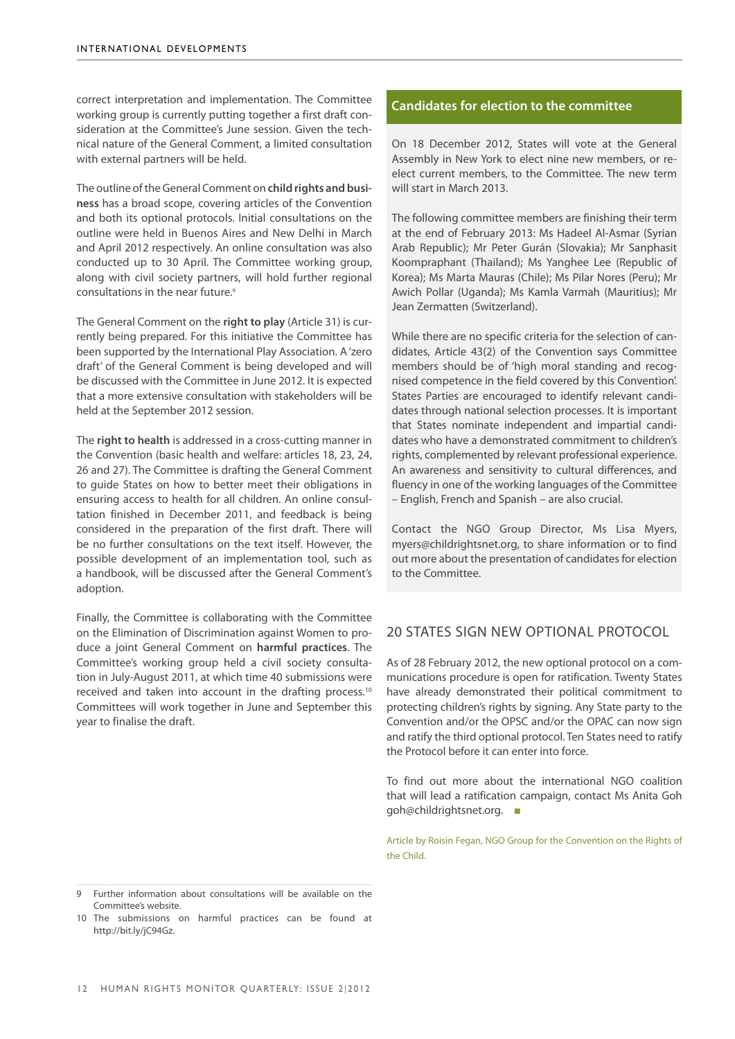correct interpretation and implementation. The Committee working group is currently putting together a first draft consideration at the Committee's June session. Given the technical nature of the General Comment, a limited consultation with external partners will be held.

The outline of the General Comment on **child rights and business** has a broad scope, covering articles of the Convention and both its optional protocols. Initial consultations on the outline were held in Buenos Aires and New Delhi in March and April 2012 respectively. An online consultation was also conducted up to 30 April. The Committee working group, along with civil society partners, will hold further regional consultations in the near future.<sup>9</sup>

The General Comment on the **right to play** (Article 31) is currently being prepared. For this initiative the Committee has been supported by the International Play Association. A 'zero draft' of the General Comment is being developed and will be discussed with the Committee in June 2012. It is expected that a more extensive consultation with stakeholders will be held at the September 2012 session.

The **right to health** is addressed in a cross-cutting manner in the Convention (basic health and welfare: articles 18, 23, 24, 26 and 27). The Committee is drafting the General Comment to guide States on how to better meet their obligations in ensuring access to health for all children. An online consultation finished in December 2011, and feedback is being considered in the preparation of the first draft. There will be no further consultations on the text itself. However, the possible development of an implementation tool, such as a handbook, will be discussed after the General Comment's adoption.

Finally, the Committee is collaborating with the Committee on the Elimination of Discrimination against Women to produce a joint General Comment on **harmful practices**. The Committee's working group held a civil society consultation in July-August 2011, at which time 40 submissions were received and taken into account in the drafting process.<sup>10</sup> Committees will work together in June and September this year to finalise the draft.

### **Candidates for election to the committee**

On 18 December 2012, States will vote at the General Assembly in New York to elect nine new members, or reelect current members, to the Committee. The new term will start in March 2013.

The following committee members are finishing their term at the end of February 2013: Ms Hadeel Al-Asmar (Syrian Arab Republic); Mr Peter Gurán (Slovakia); Mr Sanphasit Koompraphant (Thailand); Ms Yanghee Lee (Republic of Korea); Ms Marta Mauras (Chile); Ms Pilar Nores (Peru); Mr Awich Pollar (Uganda); Ms Kamla Varmah (Mauritius); Mr Jean Zermatten (Switzerland).

While there are no specific criteria for the selection of candidates, Article 43(2) of the Convention says Committee members should be of 'high moral standing and recognised competence in the field covered by this Convention'. States Parties are encouraged to identify relevant candidates through national selection processes. It is important that States nominate independent and impartial candidates who have a demonstrated commitment to children's rights, complemented by relevant professional experience. An awareness and sensitivity to cultural differences, and fluency in one of the working languages of the Committee – English, French and Spanish – are also crucial.

Contact the NGO Group Director, Ms Lisa Myers, myers@childrightsnet.org, to share information or to find out more about the presentation of candidates for election to the Committee.

# 20 STATES SIGN NEW OPTIONAL PROTOCOL

As of 28 February 2012, the new optional protocol on a communications procedure is open for ratification. Twenty States have already demonstrated their political commitment to protecting children's rights by signing. Any State party to the Convention and/or the OPSC and/or the OPAC can now sign and ratify the third optional protocol. Ten States need to ratify the Protocol before it can enter into force.

To find out more about the international NGO coalition that will lead a ratification campaign, contact Ms Anita Goh goh@childrightsnet.org. ■

Article by Roisin Fegan, NGO Group for the Convention on the Rights of the Child.

Further information about consultations will be available on the Committee's website.

<sup>10</sup> The submissions on harmful practices can be found at http://bit.ly/jC94Gz.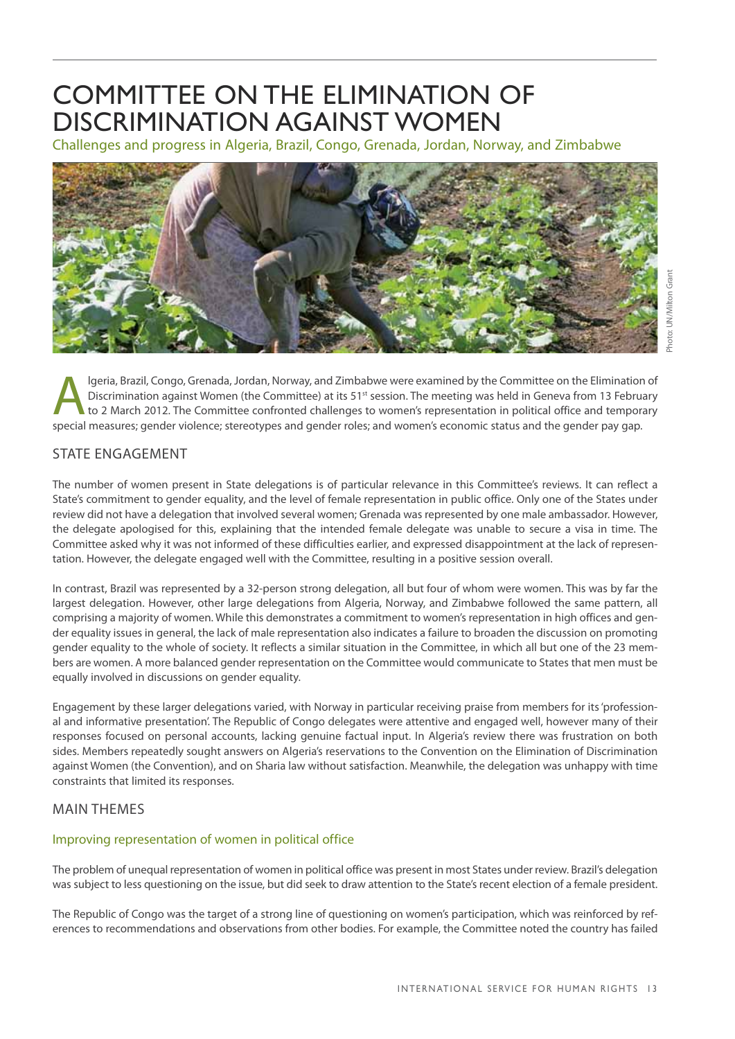# COMMITTEE ON THE ELIMINATION OF DISCRIMINATION AGAINST WOMEN

Challenges and progress in Algeria, Brazil, Congo, Grenada, Jordan, Norway, and Zimbabwe



Igeria, Brazil, Congo, Grenada, Jordan, Norway, and Zimbabwe were examined by the Committee on the Elimination of<br>Discrimination against Women (the Committee) at its 51<sup>st</sup> session. The meeting was held in Geneva from 13 F Discrimination against Women (the Committee) at its 51<sup>st</sup> session. The meeting was held in Geneva from 13 February special measures; gender violence; stereotypes and gender roles; and women's economic status and the gender pay gap.

# STATE ENGAGEMENT

The number of women present in State delegations is of particular relevance in this Committee's reviews. It can reflect a State's commitment to gender equality, and the level of female representation in public office. Only one of the States under review did not have a delegation that involved several women; Grenada was represented by one male ambassador. However, the delegate apologised for this, explaining that the intended female delegate was unable to secure a visa in time. The Committee asked why it was not informed of these difficulties earlier, and expressed disappointment at the lack of representation. However, the delegate engaged well with the Committee, resulting in a positive session overall.

In contrast, Brazil was represented by a 32-person strong delegation, all but four of whom were women. This was by far the largest delegation. However, other large delegations from Algeria, Norway, and Zimbabwe followed the same pattern, all comprising a majority of women. While this demonstrates a commitment to women's representation in high offices and gender equality issues in general, the lack of male representation also indicates a failure to broaden the discussion on promoting gender equality to the whole of society. It reflects a similar situation in the Committee, in which all but one of the 23 members are women. A more balanced gender representation on the Committee would communicate to States that men must be equally involved in discussions on gender equality.

Engagement by these larger delegations varied, with Norway in particular receiving praise from members for its 'professional and informative presentation'. The Republic of Congo delegates were attentive and engaged well, however many of their responses focused on personal accounts, lacking genuine factual input. In Algeria's review there was frustration on both sides. Members repeatedly sought answers on Algeria's reservations to the Convention on the Elimination of Discrimination against Women (the Convention), and on Sharia law without satisfaction. Meanwhile, the delegation was unhappy with time constraints that limited its responses.

# MAIN THEMES

# Improving representation of women in political office

The problem of unequal representation of women in political office was present in most States under review. Brazil's delegation was subject to less questioning on the issue, but did seek to draw attention to the State's recent election of a female president.

The Republic of Congo was the target of a strong line of questioning on women's participation, which was reinforced by references to recommendations and observations from other bodies. For example, the Committee noted the country has failed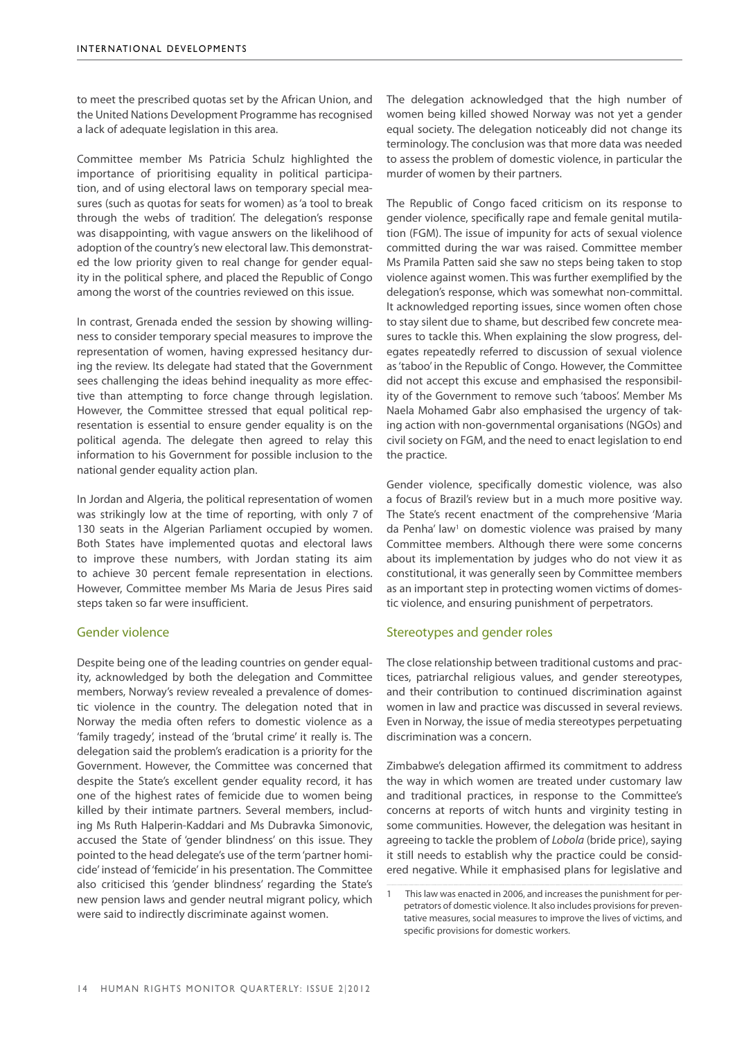to meet the prescribed quotas set by the African Union, and the United Nations Development Programme has recognised a lack of adequate legislation in this area.

Committee member Ms Patricia Schulz highlighted the importance of prioritising equality in political participation, and of using electoral laws on temporary special measures (such as quotas for seats for women) as 'a tool to break through the webs of tradition'. The delegation's response was disappointing, with vague answers on the likelihood of adoption of the country's new electoral law. This demonstrated the low priority given to real change for gender equality in the political sphere, and placed the Republic of Congo among the worst of the countries reviewed on this issue.

In contrast, Grenada ended the session by showing willingness to consider temporary special measures to improve the representation of women, having expressed hesitancy during the review. Its delegate had stated that the Government sees challenging the ideas behind inequality as more effective than attempting to force change through legislation. However, the Committee stressed that equal political representation is essential to ensure gender equality is on the political agenda. The delegate then agreed to relay this information to his Government for possible inclusion to the national gender equality action plan.

In Jordan and Algeria, the political representation of women was strikingly low at the time of reporting, with only 7 of 130 seats in the Algerian Parliament occupied by women. Both States have implemented quotas and electoral laws to improve these numbers, with Jordan stating its aim to achieve 30 percent female representation in elections. However, Committee member Ms Maria de Jesus Pires said steps taken so far were insufficient.

### Gender violence

Despite being one of the leading countries on gender equality, acknowledged by both the delegation and Committee members, Norway's review revealed a prevalence of domestic violence in the country. The delegation noted that in Norway the media often refers to domestic violence as a 'family tragedy', instead of the 'brutal crime' it really is. The delegation said the problem's eradication is a priority for the Government. However, the Committee was concerned that despite the State's excellent gender equality record, it has one of the highest rates of femicide due to women being killed by their intimate partners. Several members, including Ms Ruth Halperin-Kaddari and Ms Dubravka Simonovic, accused the State of 'gender blindness' on this issue. They pointed to the head delegate's use of the term 'partner homicide' instead of 'femicide' in his presentation. The Committee also criticised this 'gender blindness' regarding the State's new pension laws and gender neutral migrant policy, which were said to indirectly discriminate against women.

The delegation acknowledged that the high number of women being killed showed Norway was not yet a gender equal society. The delegation noticeably did not change its terminology. The conclusion was that more data was needed to assess the problem of domestic violence, in particular the murder of women by their partners.

The Republic of Congo faced criticism on its response to gender violence, specifically rape and female genital mutilation (FGM). The issue of impunity for acts of sexual violence committed during the war was raised. Committee member Ms Pramila Patten said she saw no steps being taken to stop violence against women. This was further exemplified by the delegation's response, which was somewhat non-committal. It acknowledged reporting issues, since women often chose to stay silent due to shame, but described few concrete measures to tackle this. When explaining the slow progress, delegates repeatedly referred to discussion of sexual violence as 'taboo' in the Republic of Congo. However, the Committee did not accept this excuse and emphasised the responsibility of the Government to remove such 'taboos'. Member Ms Naela Mohamed Gabr also emphasised the urgency of taking action with non-governmental organisations (NGOs) and civil society on FGM, and the need to enact legislation to end the practice.

Gender violence, specifically domestic violence, was also a focus of Brazil's review but in a much more positive way. The State's recent enactment of the comprehensive 'Maria da Penha' law<sup>1</sup> on domestic violence was praised by many Committee members. Although there were some concerns about its implementation by judges who do not view it as constitutional, it was generally seen by Committee members as an important step in protecting women victims of domestic violence, and ensuring punishment of perpetrators.

# Stereotypes and gender roles

The close relationship between traditional customs and practices, patriarchal religious values, and gender stereotypes, and their contribution to continued discrimination against women in law and practice was discussed in several reviews. Even in Norway, the issue of media stereotypes perpetuating discrimination was a concern.

Zimbabwe's delegation affirmed its commitment to address the way in which women are treated under customary law and traditional practices, in response to the Committee's concerns at reports of witch hunts and virginity testing in some communities. However, the delegation was hesitant in agreeing to tackle the problem of *Lobola* (bride price), saying it still needs to establish why the practice could be considered negative. While it emphasised plans for legislative and

<sup>1</sup> This law was enacted in 2006, and increases the punishment for perpetrators of domestic violence. It also includes provisions for preventative measures, social measures to improve the lives of victims, and specific provisions for domestic workers.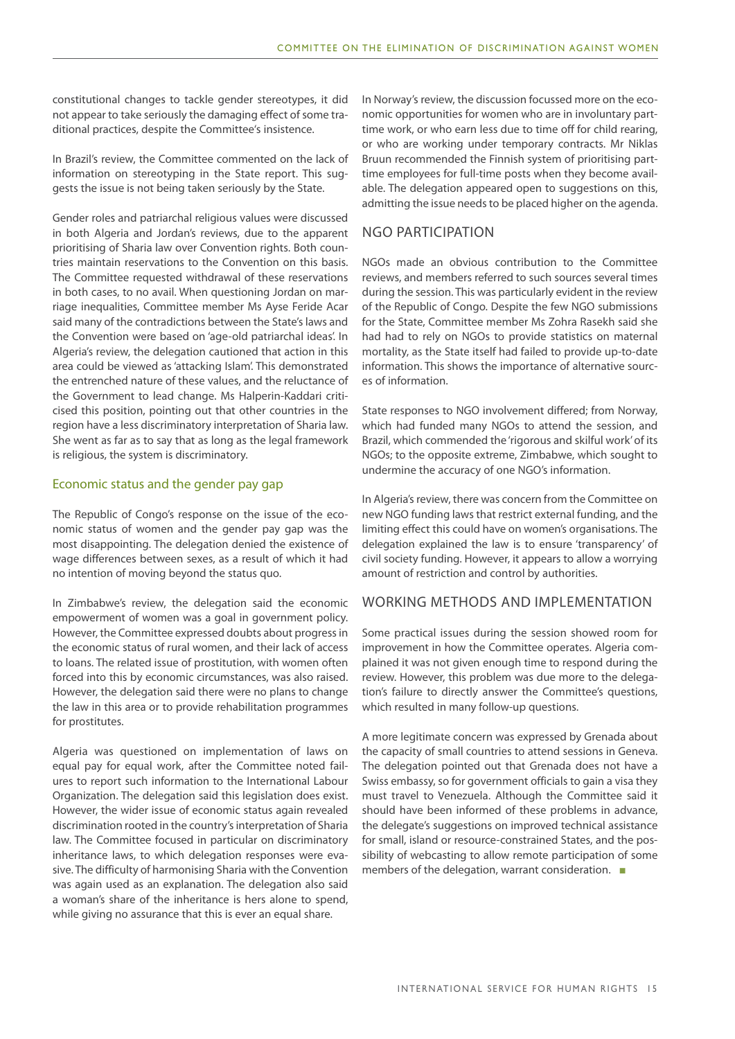constitutional changes to tackle gender stereotypes, it did not appear to take seriously the damaging effect of some traditional practices, despite the Committee's insistence.

In Brazil's review, the Committee commented on the lack of information on stereotyping in the State report. This suggests the issue is not being taken seriously by the State.

Gender roles and patriarchal religious values were discussed in both Algeria and Jordan's reviews, due to the apparent prioritising of Sharia law over Convention rights. Both countries maintain reservations to the Convention on this basis. The Committee requested withdrawal of these reservations in both cases, to no avail. When questioning Jordan on marriage inequalities, Committee member Ms Ayse Feride Acar said many of the contradictions between the State's laws and the Convention were based on 'age-old patriarchal ideas'. In Algeria's review, the delegation cautioned that action in this area could be viewed as 'attacking Islam'. This demonstrated the entrenched nature of these values, and the reluctance of the Government to lead change. Ms Halperin-Kaddari criticised this position, pointing out that other countries in the region have a less discriminatory interpretation of Sharia law. She went as far as to say that as long as the legal framework is religious, the system is discriminatory.

### Economic status and the gender pay gap

The Republic of Congo's response on the issue of the economic status of women and the gender pay gap was the most disappointing. The delegation denied the existence of wage differences between sexes, as a result of which it had no intention of moving beyond the status quo.

In Zimbabwe's review, the delegation said the economic empowerment of women was a goal in government policy. However, the Committee expressed doubts about progress in the economic status of rural women, and their lack of access to loans. The related issue of prostitution, with women often forced into this by economic circumstances, was also raised. However, the delegation said there were no plans to change the law in this area or to provide rehabilitation programmes for prostitutes.

Algeria was questioned on implementation of laws on equal pay for equal work, after the Committee noted failures to report such information to the International Labour Organization. The delegation said this legislation does exist. However, the wider issue of economic status again revealed discrimination rooted in the country's interpretation of Sharia law. The Committee focused in particular on discriminatory inheritance laws, to which delegation responses were evasive. The difficulty of harmonising Sharia with the Convention was again used as an explanation. The delegation also said a woman's share of the inheritance is hers alone to spend, while giving no assurance that this is ever an equal share.

In Norway's review, the discussion focussed more on the economic opportunities for women who are in involuntary parttime work, or who earn less due to time off for child rearing, or who are working under temporary contracts. Mr Niklas Bruun recommended the Finnish system of prioritising parttime employees for full-time posts when they become available. The delegation appeared open to suggestions on this, admitting the issue needs to be placed higher on the agenda.

# NGO PARTICIPATION

NGOs made an obvious contribution to the Committee reviews, and members referred to such sources several times during the session. This was particularly evident in the review of the Republic of Congo. Despite the few NGO submissions for the State, Committee member Ms Zohra Rasekh said she had had to rely on NGOs to provide statistics on maternal mortality, as the State itself had failed to provide up-to-date information. This shows the importance of alternative sources of information.

State responses to NGO involvement differed; from Norway, which had funded many NGOs to attend the session, and Brazil, which commended the 'rigorous and skilful work' of its NGOs; to the opposite extreme, Zimbabwe, which sought to undermine the accuracy of one NGO's information.

In Algeria's review, there was concern from the Committee on new NGO funding laws that restrict external funding, and the limiting effect this could have on women's organisations. The delegation explained the law is to ensure 'transparency' of civil society funding. However, it appears to allow a worrying amount of restriction and control by authorities.

# WORKING METHODS AND IMPLEMENTATION

Some practical issues during the session showed room for improvement in how the Committee operates. Algeria complained it was not given enough time to respond during the review. However, this problem was due more to the delegation's failure to directly answer the Committee's questions, which resulted in many follow-up questions.

A more legitimate concern was expressed by Grenada about the capacity of small countries to attend sessions in Geneva. The delegation pointed out that Grenada does not have a Swiss embassy, so for government officials to gain a visa they must travel to Venezuela. Although the Committee said it should have been informed of these problems in advance, the delegate's suggestions on improved technical assistance for small, island or resource-constrained States, and the possibility of webcasting to allow remote participation of some members of the delegation, warrant consideration. ■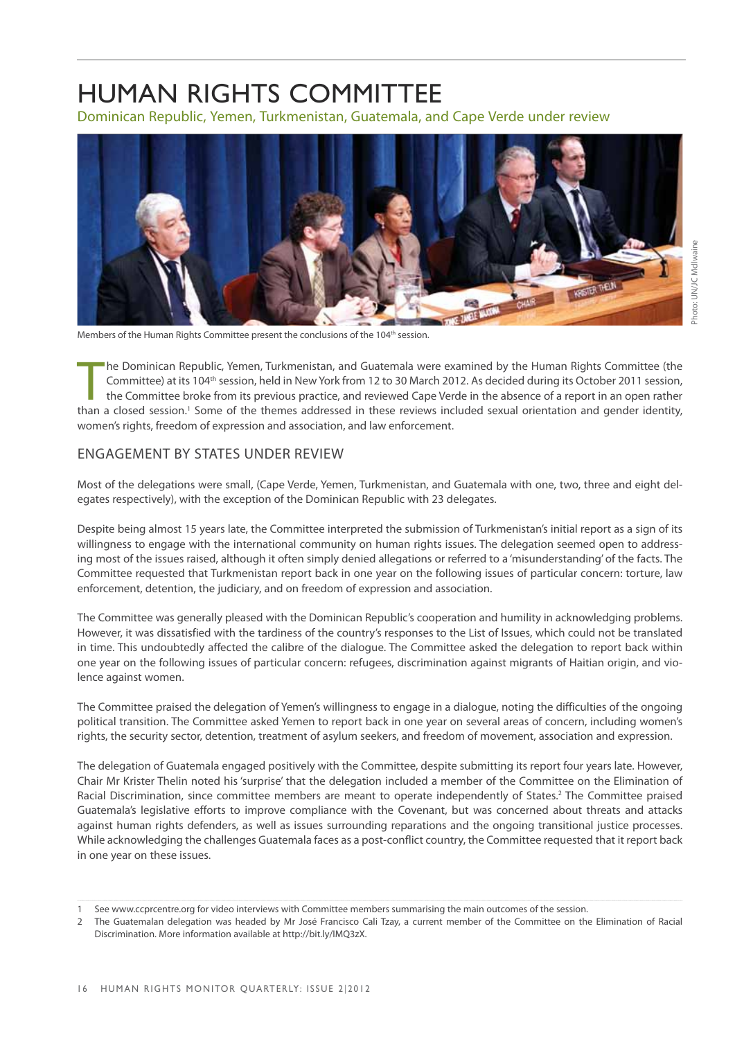# HUMAN RIGHTS COMMITTEE

Dominican Republic, Yemen, Turkmenistan, Guatemala, and Cape Verde under review



Members of the Human Rights Committee present the conclusions of the 104<sup>th</sup> session.

The Dominican Republic, Yemen, Turkmenistan, and Guatemala were examined by the Human Rights Committee (the Committee) at its 104<sup>th</sup> session, held in New York from 12 to 30 March 2012. As decided during its October 2011 s he Dominican Republic, Yemen, Turkmenistan, and Guatemala were examined by the Human Rights Committee (the Committee) at its 104<sup>th</sup> session, held in New York from 12 to 30 March 2012. As decided during its October 2011 session, the Committee broke from its previous practice, and reviewed Cape Verde in the absence of a report in an open rather women's rights, freedom of expression and association, and law enforcement.

# ENGAGEMENT BY STATES UNDER REVIEW

Most of the delegations were small, (Cape Verde, Yemen, Turkmenistan, and Guatemala with one, two, three and eight delegates respectively), with the exception of the Dominican Republic with 23 delegates.

Despite being almost 15 years late, the Committee interpreted the submission of Turkmenistan's initial report as a sign of its willingness to engage with the international community on human rights issues. The delegation seemed open to addressing most of the issues raised, although it often simply denied allegations or referred to a 'misunderstanding' of the facts. The Committee requested that Turkmenistan report back in one year on the following issues of particular concern: torture, law enforcement, detention, the judiciary, and on freedom of expression and association.

The Committee was generally pleased with the Dominican Republic's cooperation and humility in acknowledging problems. However, it was dissatisfied with the tardiness of the country's responses to the List of Issues, which could not be translated in time. This undoubtedly affected the calibre of the dialogue. The Committee asked the delegation to report back within one year on the following issues of particular concern: refugees, discrimination against migrants of Haitian origin, and violence against women.

The Committee praised the delegation of Yemen's willingness to engage in a dialogue, noting the difficulties of the ongoing political transition. The Committee asked Yemen to report back in one year on several areas of concern, including women's rights, the security sector, detention, treatment of asylum seekers, and freedom of movement, association and expression.

The delegation of Guatemala engaged positively with the Committee, despite submitting its report four years late. However, Chair Mr Krister Thelin noted his 'surprise' that the delegation included a member of the Committee on the Elimination of Racial Discrimination, since committee members are meant to operate independently of States.<sup>2</sup> The Committee praised Guatemala's legislative efforts to improve compliance with the Covenant, but was concerned about threats and attacks against human rights defenders, as well as issues surrounding reparations and the ongoing transitional justice processes. While acknowledging the challenges Guatemala faces as a post-conflict country, the Committee requested that it report back in one year on these issues.

<sup>1</sup> See www.ccprcentre.org for video interviews with Committee members summarising the main outcomes of the session.

<sup>2</sup> The Guatemalan delegation was headed by Mr José Francisco Cali Tzay, a current member of the Committee on the Elimination of Racial Discrimination. More information available at http://bit.ly/IMQ3zX.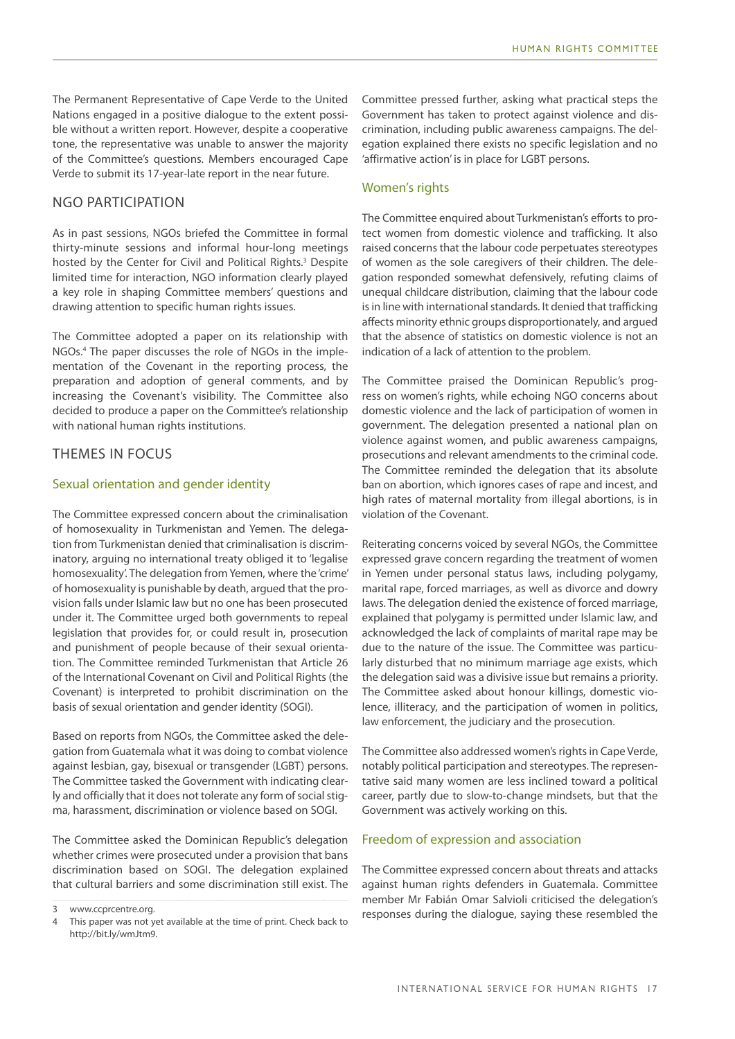The Permanent Representative of Cape Verde to the United Nations engaged in a positive dialogue to the extent possible without a written report. However, despite a cooperative tone, the representative was unable to answer the majority of the Committee's questions. Members encouraged Cape Verde to submit its 17-year-late report in the near future.

# NGO PARTICIPATION

As in past sessions, NGOs briefed the Committee in formal thirty-minute sessions and informal hour-long meetings hosted by the Center for Civil and Political Rights.<sup>3</sup> Despite limited time for interaction, NGO information clearly played a key role in shaping Committee members' questions and drawing attention to specific human rights issues.

The Committee adopted a paper on its relationship with NGOs.4 The paper discusses the role of NGOs in the implementation of the Covenant in the reporting process, the preparation and adoption of general comments, and by increasing the Covenant's visibility. The Committee also decided to produce a paper on the Committee's relationship with national human rights institutions.

# THEMES IN FOCUS

### Sexual orientation and gender identity

The Committee expressed concern about the criminalisation of homosexuality in Turkmenistan and Yemen. The delegation from Turkmenistan denied that criminalisation is discriminatory, arguing no international treaty obliged it to 'legalise homosexuality'. The delegation from Yemen, where the 'crime' of homosexuality is punishable by death, argued that the provision falls under Islamic law but no one has been prosecuted under it. The Committee urged both governments to repeal legislation that provides for, or could result in, prosecution and punishment of people because of their sexual orientation. The Committee reminded Turkmenistan that Article 26 of the International Covenant on Civil and Political Rights (the Covenant) is interpreted to prohibit discrimination on the basis of sexual orientation and gender identity (SOGI).

Based on reports from NGOs, the Committee asked the delegation from Guatemala what it was doing to combat violence against lesbian, gay, bisexual or transgender (LGBT) persons. The Committee tasked the Government with indicating clearly and officially that it does not tolerate any form of social stigma, harassment, discrimination or violence based on SOGI.

The Committee asked the Dominican Republic's delegation whether crimes were prosecuted under a provision that bans discrimination based on SOGI. The delegation explained that cultural barriers and some discrimination still exist. The

Committee pressed further, asking what practical steps the Government has taken to protect against violence and discrimination, including public awareness campaigns. The delegation explained there exists no specific legislation and no 'affirmative action' is in place for LGBT persons.

# Women's rights

The Committee enquired about Turkmenistan's efforts to protect women from domestic violence and trafficking. It also raised concerns that the labour code perpetuates stereotypes of women as the sole caregivers of their children. The delegation responded somewhat defensively, refuting claims of unequal childcare distribution, claiming that the labour code is in line with international standards. It denied that trafficking affects minority ethnic groups disproportionately, and argued that the absence of statistics on domestic violence is not an indication of a lack of attention to the problem.

The Committee praised the Dominican Republic's progress on women's rights, while echoing NGO concerns about domestic violence and the lack of participation of women in government. The delegation presented a national plan on violence against women, and public awareness campaigns, prosecutions and relevant amendments to the criminal code. The Committee reminded the delegation that its absolute ban on abortion, which ignores cases of rape and incest, and high rates of maternal mortality from illegal abortions, is in violation of the Covenant.

Reiterating concerns voiced by several NGOs, the Committee expressed grave concern regarding the treatment of women in Yemen under personal status laws, including polygamy, marital rape, forced marriages, as well as divorce and dowry laws. The delegation denied the existence of forced marriage, explained that polygamy is permitted under Islamic law, and acknowledged the lack of complaints of marital rape may be due to the nature of the issue. The Committee was particularly disturbed that no minimum marriage age exists, which the delegation said was a divisive issue but remains a priority. The Committee asked about honour killings, domestic violence, illiteracy, and the participation of women in politics, law enforcement, the judiciary and the prosecution.

The Committee also addressed women's rights in Cape Verde, notably political participation and stereotypes. The representative said many women are less inclined toward a political career, partly due to slow-to-change mindsets, but that the Government was actively working on this.

### Freedom of expression and association

The Committee expressed concern about threats and attacks against human rights defenders in Guatemala. Committee member Mr Fabián Omar Salvioli criticised the delegation's responses during the dialogue, saying these resembled the

<sup>3</sup> www.ccprcentre.org.

<sup>4</sup> This paper was not yet available at the time of print. Check back to http://bit.ly/wmJtm9.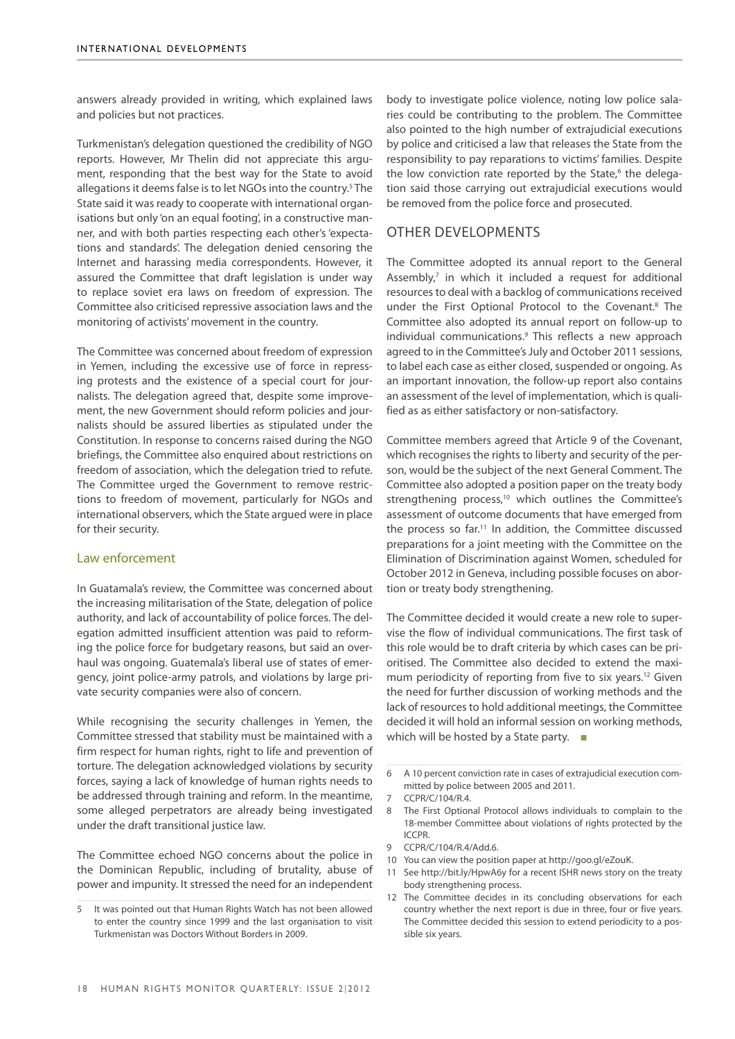answers already provided in writing, which explained laws and policies but not practices.

Turkmenistan's delegation questioned the credibility of NGO reports. However, Mr Thelin did not appreciate this argument, responding that the best way for the State to avoid allegations it deems false is to let NGOs into the country.<sup>5</sup> The State said it was ready to cooperate with international organisations but only 'on an equal footing', in a constructive manner, and with both parties respecting each other's 'expectations and standards'. The delegation denied censoring the Internet and harassing media correspondents. However, it assured the Committee that draft legislation is under way to replace soviet era laws on freedom of expression. The Committee also criticised repressive association laws and the monitoring of activists' movement in the country.

The Committee was concerned about freedom of expression in Yemen, including the excessive use of force in repressing protests and the existence of a special court for journalists. The delegation agreed that, despite some improvement, the new Government should reform policies and journalists should be assured liberties as stipulated under the Constitution. In response to concerns raised during the NGO briefings, the Committee also enquired about restrictions on freedom of association, which the delegation tried to refute. The Committee urged the Government to remove restrictions to freedom of movement, particularly for NGOs and international observers, which the State argued were in place for their security.

### Law enforcement

In Guatamala's review, the Committee was concerned about the increasing militarisation of the State, delegation of police authority, and lack of accountability of police forces. The delegation admitted insufficient attention was paid to reforming the police force for budgetary reasons, but said an overhaul was ongoing. Guatemala's liberal use of states of emergency, joint police-army patrols, and violations by large private security companies were also of concern.

While recognising the security challenges in Yemen, the Committee stressed that stability must be maintained with a firm respect for human rights, right to life and prevention of torture. The delegation acknowledged violations by security forces, saying a lack of knowledge of human rights needs to be addressed through training and reform. In the meantime, some alleged perpetrators are already being investigated under the draft transitional justice law.

The Committee echoed NGO concerns about the police in the Dominican Republic, including of brutality, abuse of power and impunity. It stressed the need for an independent body to investigate police violence, noting low police salaries could be contributing to the problem. The Committee also pointed to the high number of extrajudicial executions by police and criticised a law that releases the State from the responsibility to pay reparations to victims' families. Despite the low conviction rate reported by the State,<sup>6</sup> the delegation said those carrying out extrajudicial executions would be removed from the police force and prosecuted.

# OTHER DEVELOPMENTS

The Committee adopted its annual report to the General Assembly,<sup>7</sup> in which it included a request for additional resources to deal with a backlog of communications received under the First Optional Protocol to the Covenant.<sup>8</sup> The Committee also adopted its annual report on follow-up to individual communications.9 This reflects a new approach agreed to in the Committee's July and October 2011 sessions, to label each case as either closed, suspended or ongoing. As an important innovation, the follow-up report also contains an assessment of the level of implementation, which is qualified as as either satisfactory or non-satisfactory.

Committee members agreed that Article 9 of the Covenant, which recognises the rights to liberty and security of the person, would be the subject of the next General Comment. The Committee also adopted a position paper on the treaty body strengthening process,<sup>10</sup> which outlines the Committee's assessment of outcome documents that have emerged from the process so far.11 In addition, the Committee discussed preparations for a joint meeting with the Committee on the Elimination of Discrimination against Women, scheduled for October 2012 in Geneva, including possible focuses on abortion or treaty body strengthening.

The Committee decided it would create a new role to supervise the flow of individual communications. The first task of this role would be to draft criteria by which cases can be prioritised. The Committee also decided to extend the maximum periodicity of reporting from five to six years.<sup>12</sup> Given the need for further discussion of working methods and the lack of resources to hold additional meetings, the Committee decided it will hold an informal session on working methods, which will be hosted by a State party. ■

- 7 CCPR/C/104/R.4.
- 8 The First Optional Protocol allows individuals to complain to the 18-member Committee about violations of rights protected by the ICCPR.
- 9 CCPR/C/104/R.4/Add.6.
- 10 You can view the position paper at http://goo.gl/eZouK.
- 11 See http://bit.ly/HpwA6y for a recent ISHR news story on the treaty body strengthening process.
- 12 The Committee decides in its concluding observations for each country whether the next report is due in three, four or five years. The Committee decided this session to extend periodicity to a possible six years.

<sup>5</sup> It was pointed out that Human Rights Watch has not been allowed to enter the country since 1999 and the last organisation to visit Turkmenistan was Doctors Without Borders in 2009.

<sup>6</sup> A 10 percent conviction rate in cases of extrajudicial execution committed by police between 2005 and 2011.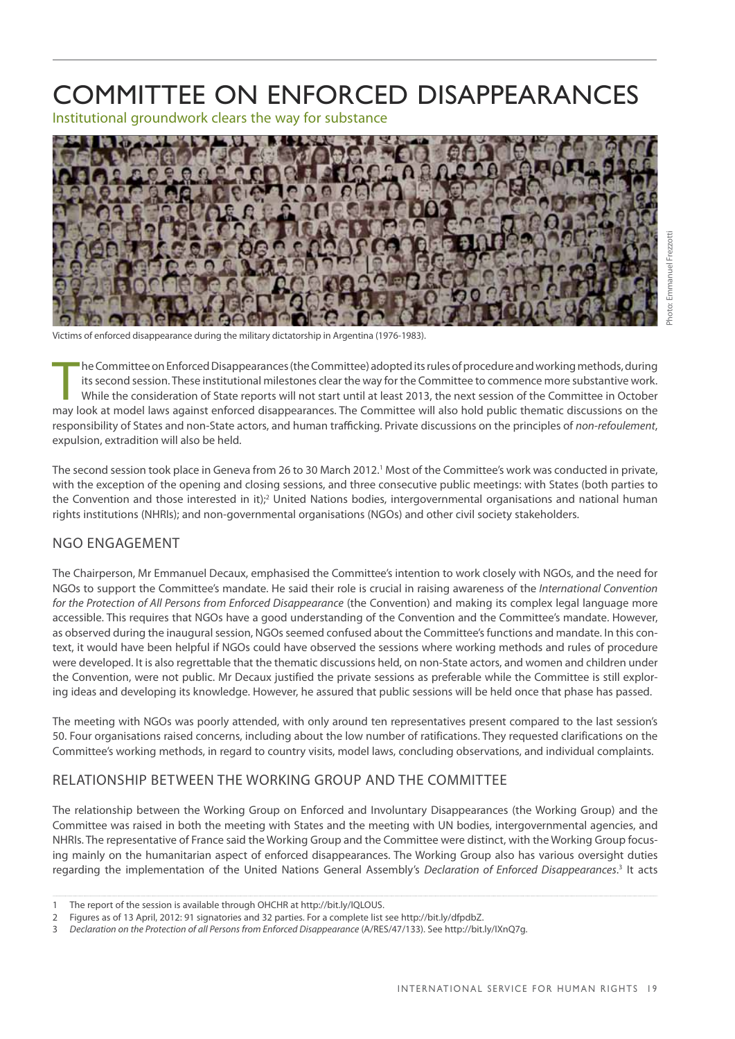# Committee on Enforced Disappearances

Institutional groundwork clears the way for substance



Victims of enforced disappearance during the military dictatorship in Argentina (1976-1983).

The Committee on Enforced Disappearances (the Committee) adopted its rules of procedure and working methods, during<br>its second session. These institutional milestones clear the way for the Committee to commence more substa he Committee on Enforced Disappearances (the Committee) adopted its rules of procedure and working methods, during its second session. These institutional milestones clear the way for the Committee to commence more substantive work. While the consideration of State reports will not start until at least 2013, the next session of the Committee in October responsibility of States and non-State actors, and human trafficking. Private discussions on the principles of *non-refoulement*, expulsion, extradition will also be held.

The second session took place in Geneva from 26 to 30 March 2012.<sup>1</sup> Most of the Committee's work was conducted in private, with the exception of the opening and closing sessions, and three consecutive public meetings: with States (both parties to the Convention and those interested in it);<sup>2</sup> United Nations bodies, intergovernmental organisations and national human rights institutions (NHRIs); and non-governmental organisations (NGOs) and other civil society stakeholders.

# NGO engagement

The Chairperson, Mr Emmanuel Decaux, emphasised the Committee's intention to work closely with NGOs, and the need for NGOs to support the Committee's mandate. He said their role is crucial in raising awareness of the *International Convention for the Protection of All Persons from Enforced Disappearance* (the Convention) and making its complex legal language more accessible. This requires that NGOs have a good understanding of the Convention and the Committee's mandate. However, as observed during the inaugural session, NGOs seemed confused about the Committee's functions and mandate. In this context, it would have been helpful if NGOs could have observed the sessions where working methods and rules of procedure were developed. It is also regrettable that the thematic discussions held, on non-State actors, and women and children under the Convention, were not public. Mr Decaux justified the private sessions as preferable while the Committee is still exploring ideas and developing its knowledge. However, he assured that public sessions will be held once that phase has passed.

The meeting with NGOs was poorly attended, with only around ten representatives present compared to the last session's 50. Four organisations raised concerns, including about the low number of ratifications. They requested clarifications on the Committee's working methods, in regard to country visits, model laws, concluding observations, and individual complaints.

# Relationship between the Working Group and the Committee

The relationship between the Working Group on Enforced and Involuntary Disappearances (the Working Group) and the Committee was raised in both the meeting with States and the meeting with UN bodies, intergovernmental agencies, and NHRIs. The representative of France said the Working Group and the Committee were distinct, with the Working Group focusing mainly on the humanitarian aspect of enforced disappearances. The Working Group also has various oversight duties regarding the implementation of the United Nations General Assembly's Declaration of Enforced Disappearances.<sup>3</sup> It acts

<sup>1</sup> The report of the session is available through OHCHR at http://bit.ly/IQLOUS.

<sup>2</sup> Figures as of 13 April, 2012: 91 signatories and 32 parties. For a complete list see http://bit.ly/dfpdbZ.

<sup>3</sup> *Declaration on the Protection of all Persons from Enforced Disappearance* (A/RES/47/133). See http://bit.ly/IXnQ7g.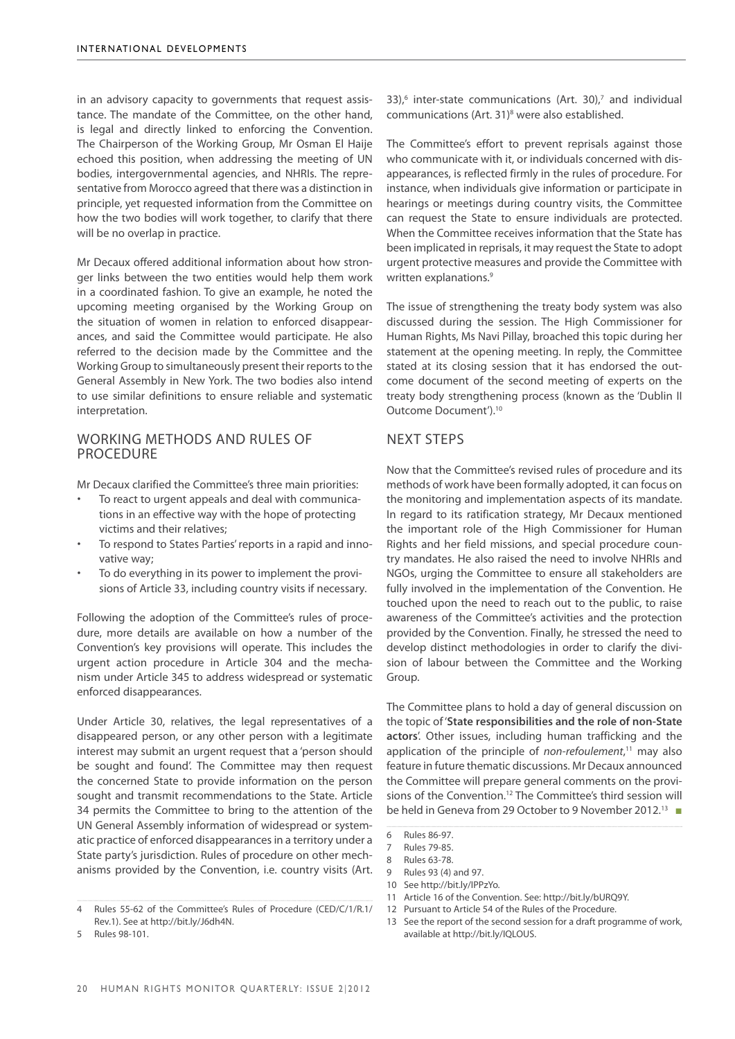in an advisory capacity to governments that request assistance. The mandate of the Committee, on the other hand, is legal and directly linked to enforcing the Convention. The Chairperson of the Working Group, Mr Osman El Haije echoed this position, when addressing the meeting of UN bodies, intergovernmental agencies, and NHRIs. The representative from Morocco agreed that there was a distinction in principle, yet requested information from the Committee on how the two bodies will work together, to clarify that there will be no overlap in practice.

Mr Decaux offered additional information about how stronger links between the two entities would help them work in a coordinated fashion. To give an example, he noted the upcoming meeting organised by the Working Group on the situation of women in relation to enforced disappearances, and said the Committee would participate. He also referred to the decision made by the Committee and the Working Group to simultaneously present their reports to the General Assembly in New York. The two bodies also intend to use similar definitions to ensure reliable and systematic interpretation.

# working methods and rules of **PROCEDURE**

Mr Decaux clarified the Committee's three main priorities:

- To react to urgent appeals and deal with communications in an effective way with the hope of protecting victims and their relatives;
- To respond to States Parties' reports in a rapid and innovative way;
- To do everything in its power to implement the provisions of Article 33, including country visits if necessary.

Following the adoption of the Committee's rules of procedure, more details are available on how a number of the Convention's key provisions will operate. This includes the urgent action procedure in Article 304 and the mechanism under Article 345 to address widespread or systematic enforced disappearances.

Under Article 30, relatives, the legal representatives of a disappeared person, or any other person with a legitimate interest may submit an urgent request that a 'person should be sought and found'. The Committee may then request the concerned State to provide information on the person sought and transmit recommendations to the State. Article 34 permits the Committee to bring to the attention of the UN General Assembly information of widespread or systematic practice of enforced disappearances in a territory under a State party's jurisdiction. Rules of procedure on other mechanisms provided by the Convention, i.e. country visits (Art. 33), $6$  inter-state communications (Art. 30), $7$  and individual communications (Art. 31)<sup>8</sup> were also established.

The Committee's effort to prevent reprisals against those who communicate with it, or individuals concerned with disappearances, is reflected firmly in the rules of procedure. For instance, when individuals give information or participate in hearings or meetings during country visits, the Committee can request the State to ensure individuals are protected. When the Committee receives information that the State has been implicated in reprisals, it may request the State to adopt urgent protective measures and provide the Committee with written explanations.<sup>9</sup>

The issue of strengthening the treaty body system was also discussed during the session. The High Commissioner for Human Rights, Ms Navi Pillay, broached this topic during her statement at the opening meeting. In reply, the Committee stated at its closing session that it has endorsed the outcome document of the second meeting of experts on the treaty body strengthening process (known as the 'Dublin II Outcome Document').10

# Next steps

Now that the Committee's revised rules of procedure and its methods of work have been formally adopted, it can focus on the monitoring and implementation aspects of its mandate. In regard to its ratification strategy, Mr Decaux mentioned the important role of the High Commissioner for Human Rights and her field missions, and special procedure country mandates. He also raised the need to involve NHRIs and NGOs, urging the Committee to ensure all stakeholders are fully involved in the implementation of the Convention. He touched upon the need to reach out to the public, to raise awareness of the Committee's activities and the protection provided by the Convention. Finally, he stressed the need to develop distinct methodologies in order to clarify the division of labour between the Committee and the Working Group.

The Committee plans to hold a day of general discussion on the topic of '**State responsibilities and the role of non-State actors**'. Other issues, including human trafficking and the application of the principle of *non-refoulement*, 11 may also feature in future thematic discussions. Mr Decaux announced the Committee will prepare general comments on the provisions of the Convention.<sup>12</sup> The Committee's third session will be held in Geneva from 29 October to 9 November 2012.<sup>13</sup> ■

- 10 See http://bit.ly/IPPzYo.
- 11 Article 16 of the Convention. See: http://bit.ly/bURQ9Y.
- 12 Pursuant to Article 54 of the Rules of the Procedure.

<sup>4</sup> Rules 55-62 of the Committee's Rules of Procedure (CED/C/1/R.1/ Rev.1). See at http://bit.ly/J6dh4N.

<sup>5</sup> Rules 98-101.

<sup>6</sup> Rules 86-97.

<sup>7</sup> Rules 79-85.<br>8 Rules 63-78

<sup>8</sup> Rules 63-78.

<sup>9</sup> Rules 93 (4) and 97.

<sup>13</sup> See the report of the second session for a draft programme of work, available at http://bit.ly/IQLOUS.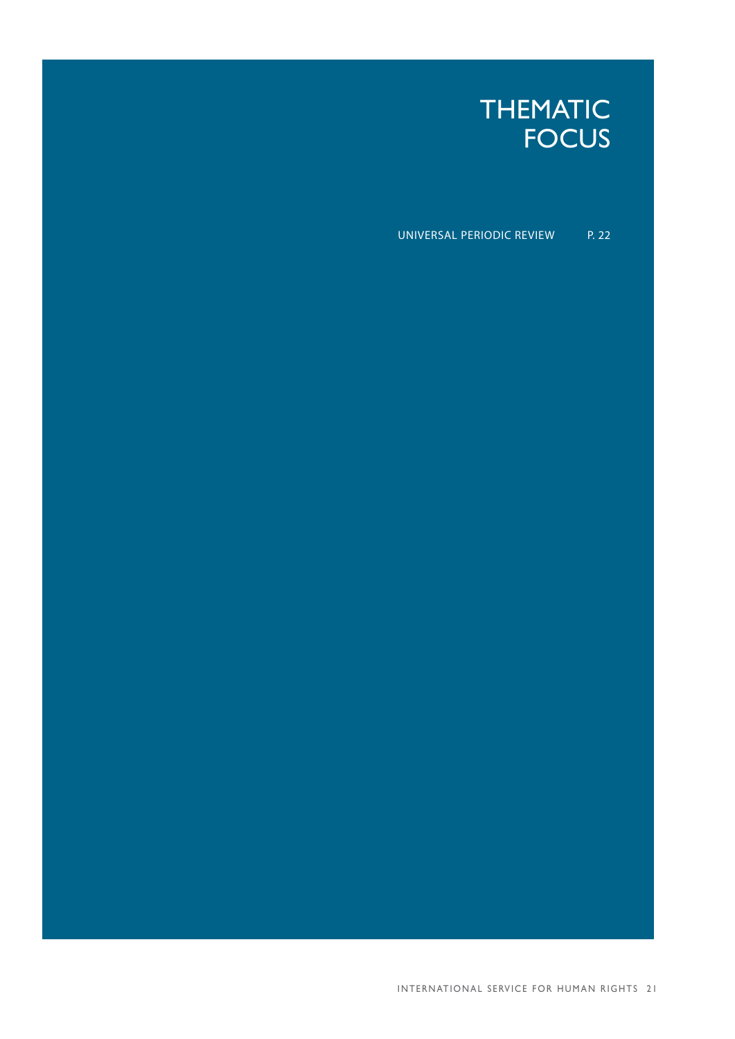# THEMATIC FOCUS

Universal Periodic Review p. 22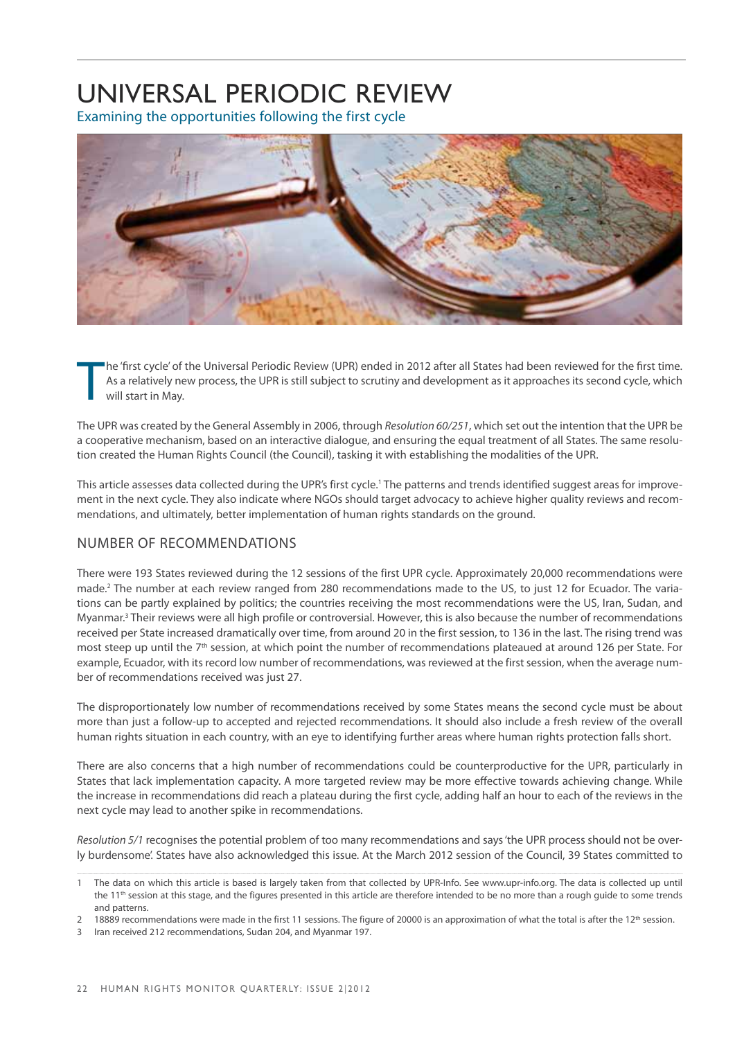# Universal Periodic Review

Examining the opportunities following the first cycle



T he 'first cycle' of the Universal Periodic Review (UPR) ended in 2012 after all States had been reviewed for the first time. As a relatively new process, the UPR is still subject to scrutiny and development as it approaches its second cycle, which will start in May.

The UPR was created by the General Assembly in 2006, through *Resolution 60/251*, which set out the intention that the UPR be a cooperative mechanism, based on an interactive dialogue, and ensuring the equal treatment of all States. The same resolution created the Human Rights Council (the Council), tasking it with establishing the modalities of the UPR.

This article assesses data collected during the UPR's first cycle.<sup>1</sup> The patterns and trends identified suggest areas for improvement in the next cycle. They also indicate where NGOs should target advocacy to achieve higher quality reviews and recommendations, and ultimately, better implementation of human rights standards on the ground.

# Number of recommendations

There were 193 States reviewed during the 12 sessions of the first UPR cycle. Approximately 20,000 recommendations were made.<sup>2</sup> The number at each review ranged from 280 recommendations made to the US, to just 12 for Ecuador. The variations can be partly explained by politics; the countries receiving the most recommendations were the US, Iran, Sudan, and Myanmar.<sup>3</sup> Their reviews were all high profile or controversial. However, this is also because the number of recommendations received per State increased dramatically over time, from around 20 in the first session, to 136 in the last. The rising trend was most steep up until the 7<sup>th</sup> session, at which point the number of recommendations plateaued at around 126 per State. For example, Ecuador, with its record low number of recommendations, was reviewed at the first session, when the average number of recommendations received was just 27.

The disproportionately low number of recommendations received by some States means the second cycle must be about more than just a follow-up to accepted and rejected recommendations. It should also include a fresh review of the overall human rights situation in each country, with an eye to identifying further areas where human rights protection falls short.

There are also concerns that a high number of recommendations could be counterproductive for the UPR, particularly in States that lack implementation capacity. A more targeted review may be more effective towards achieving change. While the increase in recommendations did reach a plateau during the first cycle, adding half an hour to each of the reviews in the next cycle may lead to another spike in recommendations.

*Resolution 5/1* recognises the potential problem of too many recommendations and says 'the UPR process should not be overly burdensome'. States have also acknowledged this issue. At the March 2012 session of the Council, 39 States committed to

<sup>1</sup> The data on which this article is based is largely taken from that collected by UPR-Info. See www.upr-info.org. The data is collected up until the 11<sup>th</sup> session at this stage, and the figures presented in this article are therefore intended to be no more than a rough guide to some trends and patterns.

<sup>18889</sup> recommendations were made in the first 11 sessions. The figure of 20000 is an approximation of what the total is after the 12<sup>th</sup> session.

<sup>3</sup> Iran received 212 recommendations, Sudan 204, and Myanmar 197.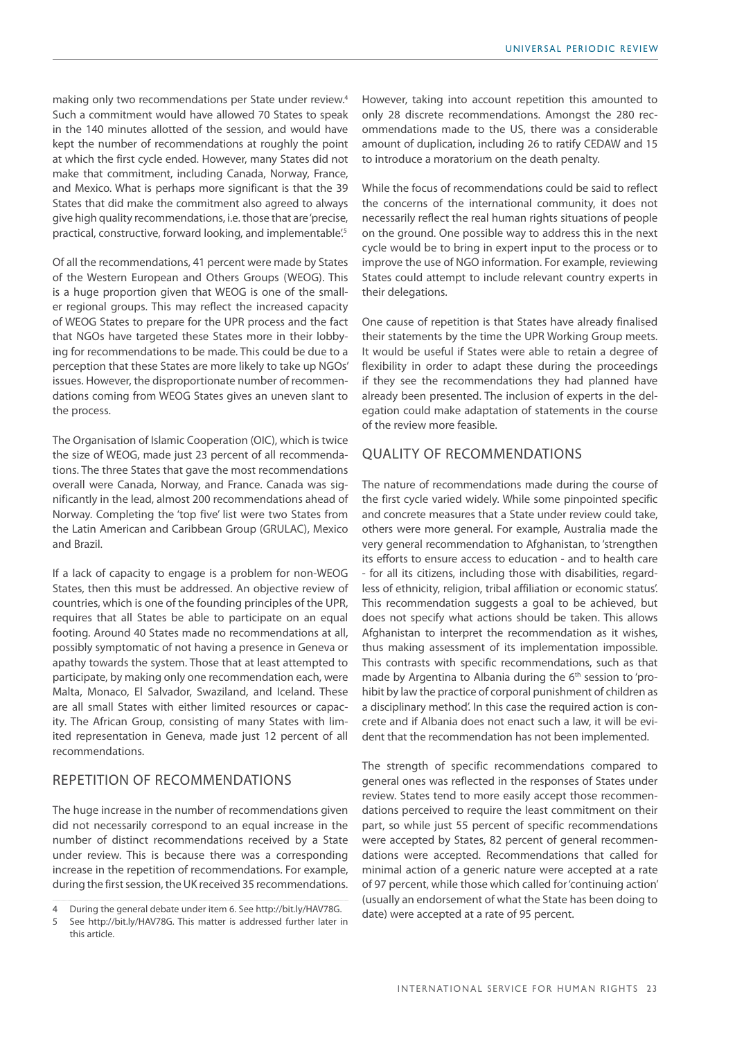making only two recommendations per State under review.4 Such a commitment would have allowed 70 States to speak in the 140 minutes allotted of the session, and would have kept the number of recommendations at roughly the point at which the first cycle ended. However, many States did not make that commitment, including Canada, Norway, France, and Mexico. What is perhaps more significant is that the 39 States that did make the commitment also agreed to always give high quality recommendations, i.e. those that are 'precise, practical, constructive, forward looking, and implementable.<sup>5</sup>

Of all the recommendations, 41 percent were made by States of the Western European and Others Groups (WEOG). This is a huge proportion given that WEOG is one of the smaller regional groups. This may reflect the increased capacity of WEOG States to prepare for the UPR process and the fact that NGOs have targeted these States more in their lobbying for recommendations to be made. This could be due to a perception that these States are more likely to take up NGOs' issues. However, the disproportionate number of recommendations coming from WEOG States gives an uneven slant to the process.

The Organisation of Islamic Cooperation (OIC), which is twice the size of WEOG, made just 23 percent of all recommendations. The three States that gave the most recommendations overall were Canada, Norway, and France. Canada was significantly in the lead, almost 200 recommendations ahead of Norway. Completing the 'top five' list were two States from the Latin American and Caribbean Group (GRULAC), Mexico and Brazil.

If a lack of capacity to engage is a problem for non-WEOG States, then this must be addressed. An objective review of countries, which is one of the founding principles of the UPR, requires that all States be able to participate on an equal footing. Around 40 States made no recommendations at all, possibly symptomatic of not having a presence in Geneva or apathy towards the system. Those that at least attempted to participate, by making only one recommendation each, were Malta, Monaco, El Salvador, Swaziland, and Iceland. These are all small States with either limited resources or capacity. The African Group, consisting of many States with limited representation in Geneva, made just 12 percent of all recommendations.

# Repetition of recommendations

The huge increase in the number of recommendations given did not necessarily correspond to an equal increase in the number of distinct recommendations received by a State under review. This is because there was a corresponding increase in the repetition of recommendations. For example, during the first session, the UK received 35 recommendations.

However, taking into account repetition this amounted to only 28 discrete recommendations. Amongst the 280 recommendations made to the US, there was a considerable amount of duplication, including 26 to ratify CEDAW and 15 to introduce a moratorium on the death penalty.

While the focus of recommendations could be said to reflect the concerns of the international community, it does not necessarily reflect the real human rights situations of people on the ground. One possible way to address this in the next cycle would be to bring in expert input to the process or to improve the use of NGO information. For example, reviewing States could attempt to include relevant country experts in their delegations.

One cause of repetition is that States have already finalised their statements by the time the UPR Working Group meets. It would be useful if States were able to retain a degree of flexibility in order to adapt these during the proceedings if they see the recommendations they had planned have already been presented. The inclusion of experts in the delegation could make adaptation of statements in the course of the review more feasible.

# Quality of recommendations

The nature of recommendations made during the course of the first cycle varied widely. While some pinpointed specific and concrete measures that a State under review could take, others were more general. For example, Australia made the very general recommendation to Afghanistan, to 'strengthen its efforts to ensure access to education - and to health care - for all its citizens, including those with disabilities, regardless of ethnicity, religion, tribal affiliation or economic status'. This recommendation suggests a goal to be achieved, but does not specify what actions should be taken. This allows Afghanistan to interpret the recommendation as it wishes. thus making assessment of its implementation impossible. This contrasts with specific recommendations, such as that made by Argentina to Albania during the 6<sup>th</sup> session to 'prohibit by law the practice of corporal punishment of children as a disciplinary method'. In this case the required action is concrete and if Albania does not enact such a law, it will be evident that the recommendation has not been implemented.

The strength of specific recommendations compared to general ones was reflected in the responses of States under review. States tend to more easily accept those recommendations perceived to require the least commitment on their part, so while just 55 percent of specific recommendations were accepted by States, 82 percent of general recommendations were accepted. Recommendations that called for minimal action of a generic nature were accepted at a rate of 97 percent, while those which called for 'continuing action' (usually an endorsement of what the State has been doing to date) were accepted at a rate of 95 percent.

<sup>4</sup> During the general debate under item 6. See http://bit.ly/HAV78G.

<sup>5</sup> See http://bit.ly/HAV78G. This matter is addressed further later in this article.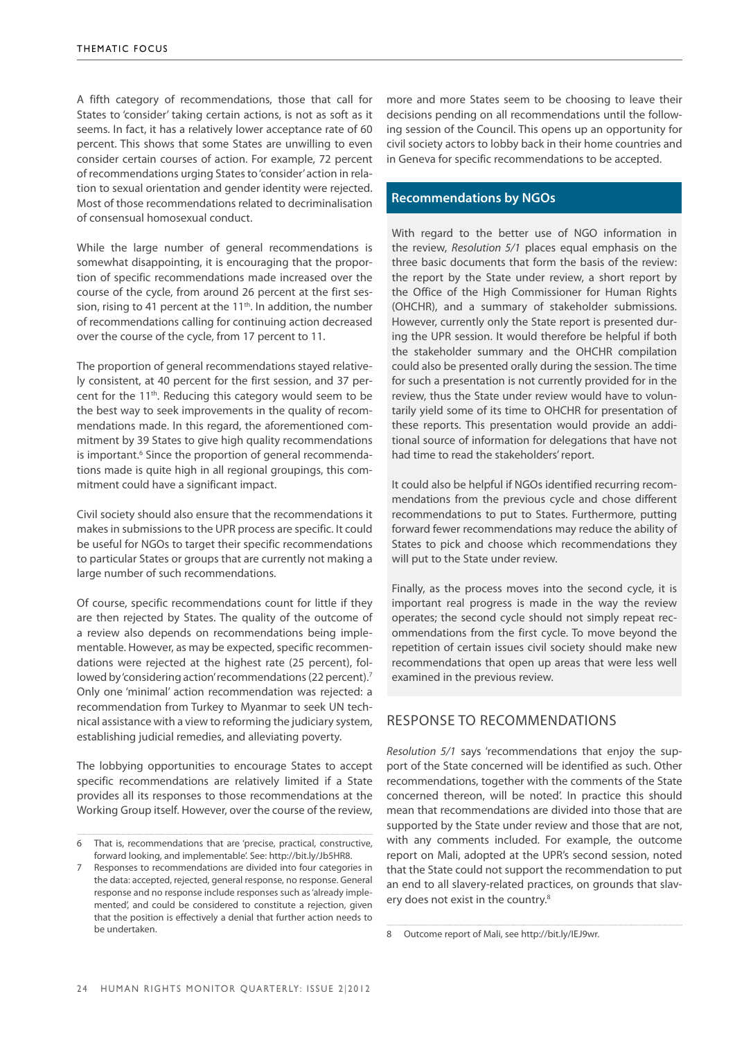A fifth category of recommendations, those that call for States to 'consider' taking certain actions, is not as soft as it seems. In fact, it has a relatively lower acceptance rate of 60 percent. This shows that some States are unwilling to even consider certain courses of action. For example, 72 percent of recommendations urging States to 'consider' action in relation to sexual orientation and gender identity were rejected. Most of those recommendations related to decriminalisation of consensual homosexual conduct.

While the large number of general recommendations is somewhat disappointing, it is encouraging that the proportion of specific recommendations made increased over the course of the cycle, from around 26 percent at the first session, rising to 41 percent at the  $11<sup>th</sup>$ . In addition, the number of recommendations calling for continuing action decreased over the course of the cycle, from 17 percent to 11.

The proportion of general recommendations stayed relatively consistent, at 40 percent for the first session, and 37 percent for the 11<sup>th</sup>. Reducing this category would seem to be the best way to seek improvements in the quality of recommendations made. In this regard, the aforementioned commitment by 39 States to give high quality recommendations is important.<sup>6</sup> Since the proportion of general recommendations made is quite high in all regional groupings, this commitment could have a significant impact.

Civil society should also ensure that the recommendations it makes in submissions to the UPR process are specific. It could be useful for NGOs to target their specific recommendations to particular States or groups that are currently not making a large number of such recommendations.

Of course, specific recommendations count for little if they are then rejected by States. The quality of the outcome of a review also depends on recommendations being implementable. However, as may be expected, specific recommendations were rejected at the highest rate (25 percent), followed by 'considering action' recommendations (22 percent).<sup>7</sup> Only one 'minimal' action recommendation was rejected: a recommendation from Turkey to Myanmar to seek UN technical assistance with a view to reforming the judiciary system, establishing judicial remedies, and alleviating poverty.

The lobbying opportunities to encourage States to accept specific recommendations are relatively limited if a State provides all its responses to those recommendations at the Working Group itself. However, over the course of the review,

more and more States seem to be choosing to leave their decisions pending on all recommendations until the following session of the Council. This opens up an opportunity for civil society actors to lobby back in their home countries and in Geneva for specific recommendations to be accepted.

# **Recommendations by NGOs**

With regard to the better use of NGO information in the review, *Resolution 5/1* places equal emphasis on the three basic documents that form the basis of the review: the report by the State under review, a short report by the Office of the High Commissioner for Human Rights (OHCHR), and a summary of stakeholder submissions. However, currently only the State report is presented during the UPR session. It would therefore be helpful if both the stakeholder summary and the OHCHR compilation could also be presented orally during the session. The time for such a presentation is not currently provided for in the review, thus the State under review would have to voluntarily yield some of its time to OHCHR for presentation of these reports. This presentation would provide an additional source of information for delegations that have not had time to read the stakeholders' report.

It could also be helpful if NGOs identified recurring recommendations from the previous cycle and chose different recommendations to put to States. Furthermore, putting forward fewer recommendations may reduce the ability of States to pick and choose which recommendations they will put to the State under review.

Finally, as the process moves into the second cycle, it is important real progress is made in the way the review operates; the second cycle should not simply repeat recommendations from the first cycle. To move beyond the repetition of certain issues civil society should make new recommendations that open up areas that were less well examined in the previous review.

# Response to recommendations

*Resolution 5/1* says 'recommendations that enjoy the support of the State concerned will be identified as such. Other recommendations, together with the comments of the State concerned thereon, will be noted'. In practice this should mean that recommendations are divided into those that are supported by the State under review and those that are not, with any comments included. For example, the outcome report on Mali, adopted at the UPR's second session, noted that the State could not support the recommendation to put an end to all slavery-related practices, on grounds that slavery does not exist in the country.8

<sup>6</sup> That is, recommendations that are 'precise, practical, constructive, forward looking, and implementable'. See: http://bit.ly/Jb5HR8.

Responses to recommendations are divided into four categories in the data: accepted, rejected, general response, no response. General response and no response include responses such as 'already implemented', and could be considered to constitute a rejection, given that the position is effectively a denial that further action needs to be undertaken.

<sup>8</sup> Outcome report of Mali, see http://bit.ly/IEJ9wr.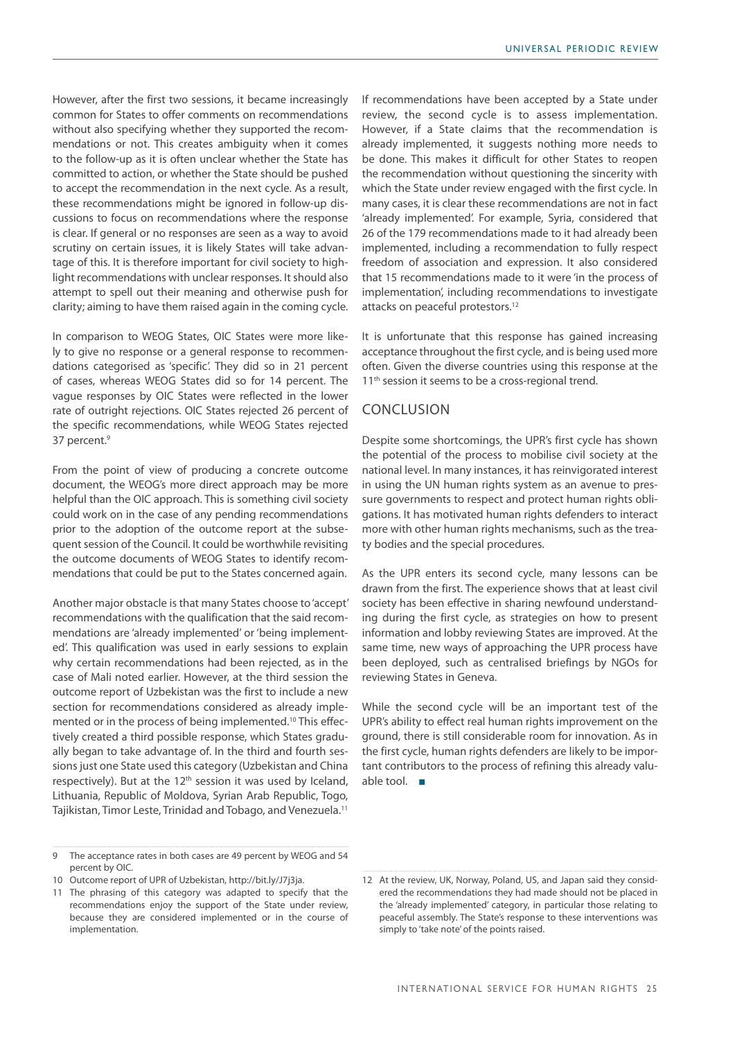However, after the first two sessions, it became increasingly common for States to offer comments on recommendations without also specifying whether they supported the recommendations or not. This creates ambiguity when it comes to the follow-up as it is often unclear whether the State has committed to action, or whether the State should be pushed to accept the recommendation in the next cycle. As a result, these recommendations might be ignored in follow-up discussions to focus on recommendations where the response is clear. If general or no responses are seen as a way to avoid scrutiny on certain issues, it is likely States will take advantage of this. It is therefore important for civil society to highlight recommendations with unclear responses. It should also attempt to spell out their meaning and otherwise push for clarity; aiming to have them raised again in the coming cycle.

In comparison to WEOG States, OIC States were more likely to give no response or a general response to recommendations categorised as 'specific'. They did so in 21 percent of cases, whereas WEOG States did so for 14 percent. The vague responses by OIC States were reflected in the lower rate of outright rejections. OIC States rejected 26 percent of the specific recommendations, while WEOG States rejected 37 percent.<sup>9</sup>

From the point of view of producing a concrete outcome document, the WEOG's more direct approach may be more helpful than the OIC approach. This is something civil society could work on in the case of any pending recommendations prior to the adoption of the outcome report at the subsequent session of the Council. It could be worthwhile revisiting the outcome documents of WEOG States to identify recommendations that could be put to the States concerned again.

Another major obstacle is that many States choose to 'accept' recommendations with the qualification that the said recommendations are 'already implemented' or 'being implemented'. This qualification was used in early sessions to explain why certain recommendations had been rejected, as in the case of Mali noted earlier. However, at the third session the outcome report of Uzbekistan was the first to include a new section for recommendations considered as already implemented or in the process of being implemented.<sup>10</sup> This effectively created a third possible response, which States gradually began to take advantage of. In the third and fourth sessions just one State used this category (Uzbekistan and China respectively). But at the 12<sup>th</sup> session it was used by Iceland, Lithuania, Republic of Moldova, Syrian Arab Republic, Togo, Tajikistan, Timor Leste, Trinidad and Tobago, and Venezuela.<sup>11</sup>

If recommendations have been accepted by a State under review, the second cycle is to assess implementation. However, if a State claims that the recommendation is already implemented, it suggests nothing more needs to be done. This makes it difficult for other States to reopen the recommendation without questioning the sincerity with which the State under review engaged with the first cycle. In many cases, it is clear these recommendations are not in fact 'already implemented'. For example, Syria, considered that 26 of the 179 recommendations made to it had already been implemented, including a recommendation to fully respect freedom of association and expression. It also considered that 15 recommendations made to it were 'in the process of implementation', including recommendations to investigate attacks on peaceful protestors.12

It is unfortunate that this response has gained increasing acceptance throughout the first cycle, and is being used more often. Given the diverse countries using this response at the 11<sup>th</sup> session it seems to be a cross-regional trend.

# Conclusion

Despite some shortcomings, the UPR's first cycle has shown the potential of the process to mobilise civil society at the national level. In many instances, it has reinvigorated interest in using the UN human rights system as an avenue to pressure governments to respect and protect human rights obligations. It has motivated human rights defenders to interact more with other human rights mechanisms, such as the treaty bodies and the special procedures.

As the UPR enters its second cycle, many lessons can be drawn from the first. The experience shows that at least civil society has been effective in sharing newfound understanding during the first cycle, as strategies on how to present information and lobby reviewing States are improved. At the same time, new ways of approaching the UPR process have been deployed, such as centralised briefings by NGOs for reviewing States in Geneva.

While the second cycle will be an important test of the UPR's ability to effect real human rights improvement on the ground, there is still considerable room for innovation. As in the first cycle, human rights defenders are likely to be important contributors to the process of refining this already valuable tool. ■

<sup>9</sup> The acceptance rates in both cases are 49 percent by WEOG and 54 percent by OIC.

<sup>10</sup> Outcome report of UPR of Uzbekistan, http://bit.ly/J7j3ja.

<sup>11</sup> The phrasing of this category was adapted to specify that the recommendations enjoy the support of the State under review, because they are considered implemented or in the course of implementation.

<sup>12</sup> At the review, UK, Norway, Poland, US, and Japan said they considered the recommendations they had made should not be placed in the 'already implemented' category, in particular those relating to peaceful assembly. The State's response to these interventions was simply to 'take note' of the points raised.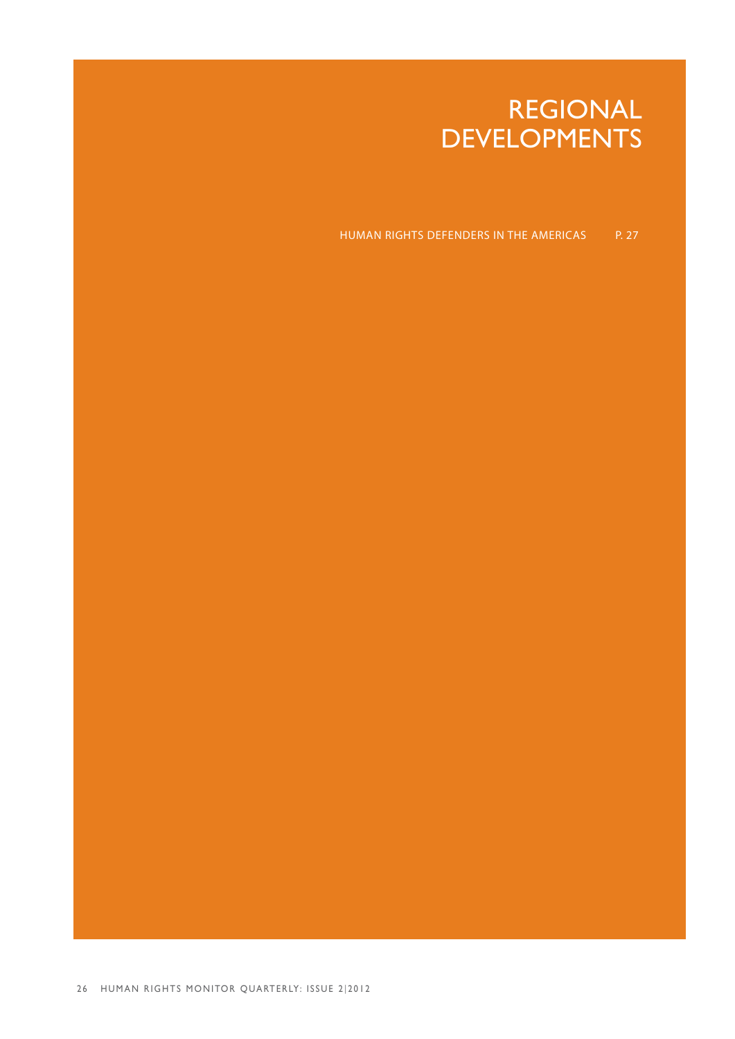# REGIONAL **DEVELOPMENTS**

HUMAN RIGHTS DEFENDERS IN THE AMERICAS P. 27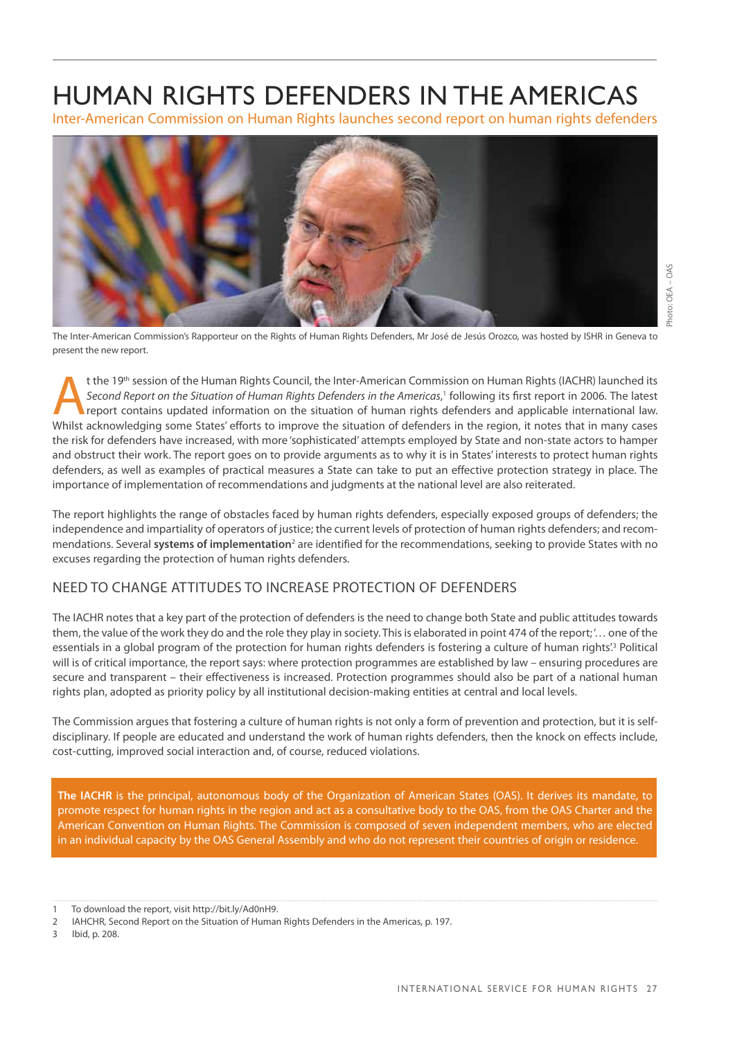# HUMAN RIGHTS DEFENDERS IN THE AMERICAS

Inter-American Commission on Human Rights launches second report on human rights defenders



The Inter-American Commission's Rapporteur on the Rights of Human Rights Defenders, Mr José de Jesús Orozco, was hosted by ISHR in Geneva to present the new report.

the 19<sup>th</sup> session of the Human Rights Council, the Inter-American Commission on Human Rights (IACHR) launched its<br>Second Report on the Situation of Human Rights Defenders in the Americas,<sup>1</sup> following its first report in *Second Report on the Situation of Human Rights Defenders in the Americas*, 1 following its first report in 2006. The latest report contains updated information on the situation of human rights defenders and applicable international law. Whilst acknowledging some States' efforts to improve the situation of defenders in the region, it notes that in many cases the risk for defenders have increased, with more 'sophisticated' attempts employed by State and non-state actors to hamper and obstruct their work. The report goes on to provide arguments as to why it is in States' interests to protect human rights defenders, as well as examples of practical measures a State can take to put an effective protection strategy in place. The importance of implementation of recommendations and judgments at the national level are also reiterated.

The report highlights the range of obstacles faced by human rights defenders, especially exposed groups of defenders; the independence and impartiality of operators of justice; the current levels of protection of human rights defenders; and recommendations. Several systems of implementation<sup>2</sup> are identified for the recommendations, seeking to provide States with no excuses regarding the protection of human rights defenders.

# NEED TO CHANGE ATTITUDES TO INCREASE PROTECTION OF DEFENDERS

The IACHR notes that a key part of the protection of defenders is the need to change both State and public attitudes towards them, the value of the work they do and the role they play in society. This is elaborated in point 474 of the report; '… one of the essentials in a global program of the protection for human rights defenders is fostering a culture of human rights<sup>'3</sup> Political will is of critical importance, the report says: where protection programmes are established by law – ensuring procedures are secure and transparent – their effectiveness is increased. Protection programmes should also be part of a national human rights plan, adopted as priority policy by all institutional decision-making entities at central and local levels.

The Commission argues that fostering a culture of human rights is not only a form of prevention and protection, but it is selfdisciplinary. If people are educated and understand the work of human rights defenders, then the knock on effects include, cost-cutting, improved social interaction and, of course, reduced violations.

**The IACHR** is the principal, autonomous body of the Organization of American States (OAS). It derives its mandate, to promote respect for human rights in the region and act as a consultative body to the OAS, from the OAS Charter and the American Convention on Human Rights. The Commission is composed of seven independent members, who are elected in an individual capacity by the OAS General Assembly and who do not represent their countries of origin or residence.

3 Ibid, p. 208.

To download the report, visit http://bit.ly/Ad0nH9.

<sup>2</sup> IAHCHR, Second Report on the Situation of Human Rights Defenders in the Americas, p. 197.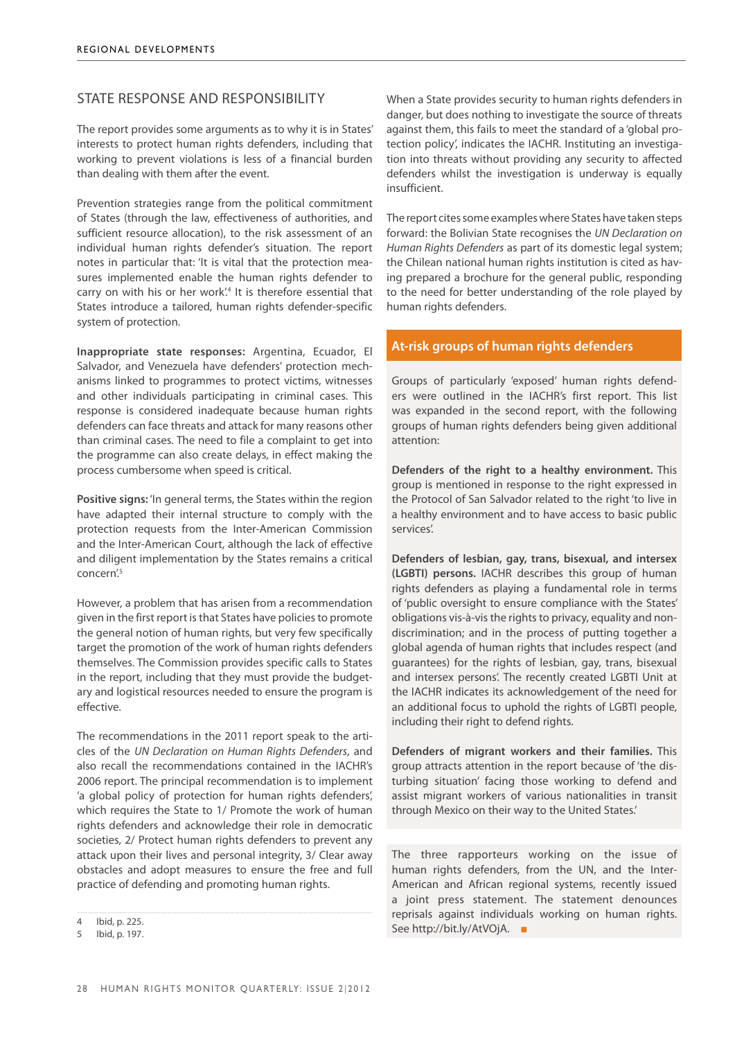# STATE RESPONSE AND RESPONSIBILITY

The report provides some arguments as to why it is in States' interests to protect human rights defenders, including that working to prevent violations is less of a financial burden than dealing with them after the event.

Prevention strategies range from the political commitment of States (through the law, effectiveness of authorities, and sufficient resource allocation), to the risk assessment of an individual human rights defender's situation. The report notes in particular that: 'It is vital that the protection measures implemented enable the human rights defender to carry on with his or her work.<sup>4</sup> It is therefore essential that States introduce a tailored, human rights defender-specific system of protection.

**Inappropriate state responses:** Argentina, Ecuador, El Salvador, and Venezuela have defenders' protection mechanisms linked to programmes to protect victims, witnesses and other individuals participating in criminal cases. This response is considered inadequate because human rights defenders can face threats and attack for many reasons other than criminal cases. The need to file a complaint to get into the programme can also create delays, in effect making the process cumbersome when speed is critical.

**Positive signs:** 'In general terms, the States within the region have adapted their internal structure to comply with the protection requests from the Inter-American Commission and the Inter-American Court, although the lack of effective and diligent implementation by the States remains a critical concern<sup>'5</sup>

However, a problem that has arisen from a recommendation given in the first report is that States have policies to promote the general notion of human rights, but very few specifically target the promotion of the work of human rights defenders themselves. The Commission provides specific calls to States in the report, including that they must provide the budgetary and logistical resources needed to ensure the program is effective.

The recommendations in the 2011 report speak to the articles of the *UN Declaration on Human Rights Defenders*, and also recall the recommendations contained in the IACHR's 2006 report. The principal recommendation is to implement 'a global policy of protection for human rights defenders', which requires the State to 1/ Promote the work of human rights defenders and acknowledge their role in democratic societies, 2/ Protect human rights defenders to prevent any attack upon their lives and personal integrity, 3/ Clear away obstacles and adopt measures to ensure the free and full practice of defending and promoting human rights.

When a State provides security to human rights defenders in danger, but does nothing to investigate the source of threats against them, this fails to meet the standard of a 'global protection policy', indicates the IACHR. Instituting an investigation into threats without providing any security to affected defenders whilst the investigation is underway is equally insufficient.

The report cites some examples where States have taken steps forward: the Bolivian State recognises the *UN Declaration on Human Rights Defenders* as part of its domestic legal system; the Chilean national human rights institution is cited as having prepared a brochure for the general public, responding to the need for better understanding of the role played by human rights defenders.

# **At-risk groups of human rights defenders**

Groups of particularly 'exposed' human rights defenders were outlined in the IACHR's first report. This list was expanded in the second report, with the following groups of human rights defenders being given additional attention:

**Defenders of the right to a healthy environment.** This group is mentioned in response to the right expressed in the Protocol of San Salvador related to the right 'to live in a healthy environment and to have access to basic public services'.

**Defenders of lesbian, gay, trans, bisexual, and intersex (LGBTI) persons.** IACHR describes this group of human rights defenders as playing a fundamental role in terms of 'public oversight to ensure compliance with the States' obligations vis-à-vis the rights to privacy, equality and nondiscrimination; and in the process of putting together a global agenda of human rights that includes respect (and guarantees) for the rights of lesbian, gay, trans, bisexual and intersex persons'. The recently created LGBTI Unit at the IACHR indicates its acknowledgement of the need for an additional focus to uphold the rights of LGBTI people, including their right to defend rights.

**Defenders of migrant workers and their families.** This group attracts attention in the report because of 'the disturbing situation' facing those working to defend and assist migrant workers of various nationalities in transit through Mexico on their way to the United States.'

The three rapporteurs working on the issue of human rights defenders, from the UN, and the Inter-American and African regional systems, recently issued a joint press statement. The statement denounces reprisals against individuals working on human rights. See http://bit.ly/AtVOjA. ■

<sup>4</sup> Ibid, p. 225.

<sup>5</sup> Ibid, p. 197.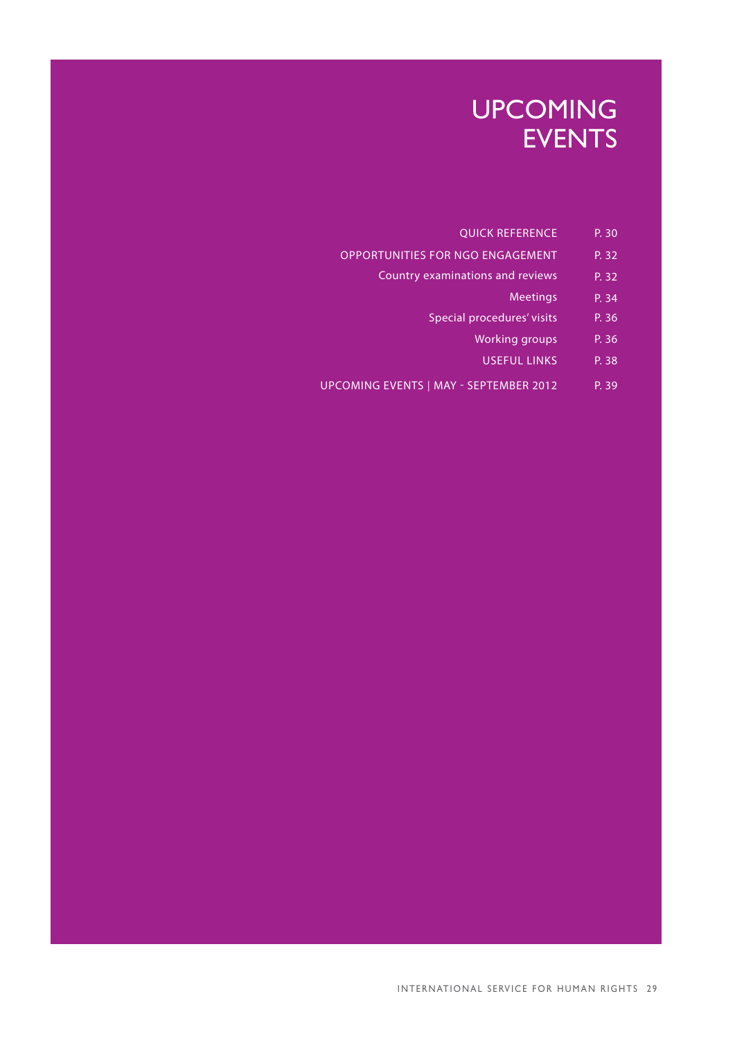# UPCOMING **EVENTS**

- QUICK REFERENCE P. 30
- OPPORTUNITIES FOR NGO ENGAGEMENT P. 32
	- Country examinations and reviews P. 32
		- Meetings P. 34
		- Special procedures' visits P. 36
			- Working groups P. 36
			- useful links p. 38
- UPCOMING EVENTS | MAY SEPTEMBER 2012 P. 39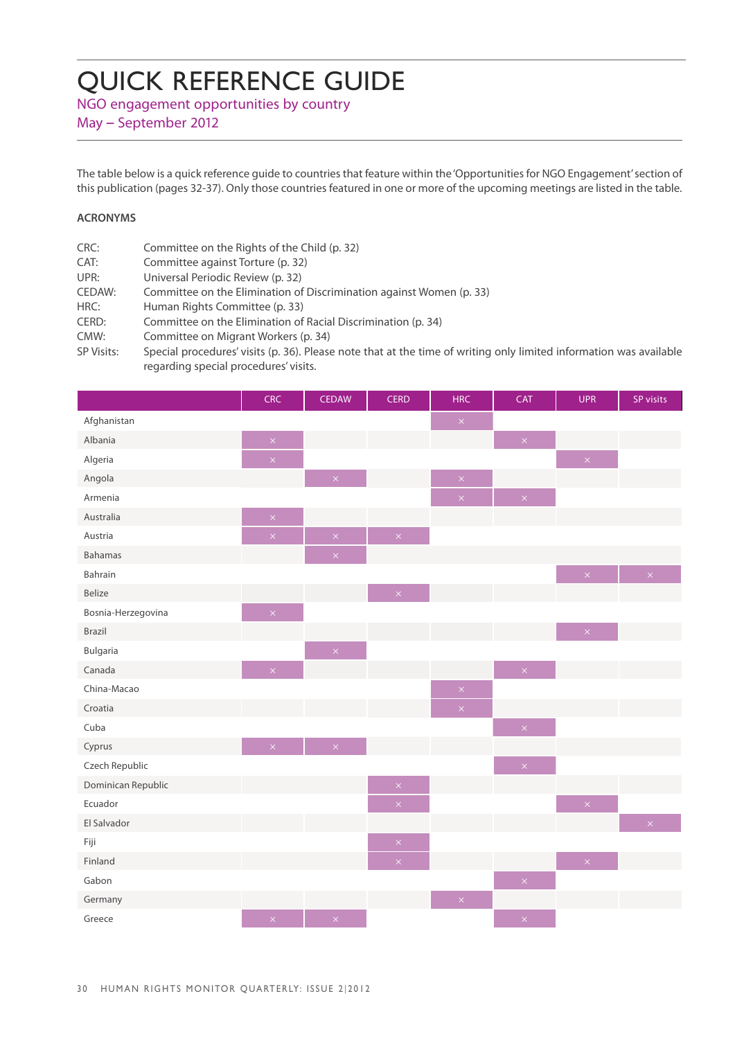# QUICK REFERENCE GUIDE

NGO engagement opportunities by country

May – September 2012

The table below is a quick reference guide to countries that feature within the 'Opportunities for NGO Engagement' section of this publication (pages 32-37). Only those countries featured in one or more of the upcoming meetings are listed in the table.

# **ACRONYMS**

| CRC:              | Committee on the Rights of the Child (p. 32)                                                                       |
|-------------------|--------------------------------------------------------------------------------------------------------------------|
| CAT:              | Committee against Torture (p. 32)                                                                                  |
| UPR:              | Universal Periodic Review (p. 32)                                                                                  |
| CEDAW:            | Committee on the Elimination of Discrimination against Women (p. 33)                                               |
| HRC:              | Human Rights Committee (p. 33)                                                                                     |
| CERD:             | Committee on the Elimination of Racial Discrimination (p. 34)                                                      |
| CMW:              | Committee on Migrant Workers (p. 34)                                                                               |
| <b>SP Visits:</b> | Special procedures' visits (p. 36). Please note that at the time of writing only limited information was available |
|                   | regarding special procedures' visits.                                                                              |

|                    | CRC                | <b>CEDAW</b>       | <b>CERD</b>        | <b>HRC</b>         | CAT                                    | <b>UPR</b>     | SP visits                 |
|--------------------|--------------------|--------------------|--------------------|--------------------|----------------------------------------|----------------|---------------------------|
| Afghanistan        |                    |                    |                    | $\mathsf{x}$       |                                        |                |                           |
| Albania            | $\times$           |                    |                    |                    | $\mathsf{x}^{\scriptscriptstyle \top}$ |                |                           |
| Algeria            | $\bar{\mathsf{x}}$ |                    |                    |                    |                                        | $\propto$      |                           |
| Angola             |                    | $\bar{\mathsf{x}}$ |                    | $\bar{\times}$     |                                        |                |                           |
| Armenia            |                    |                    |                    | $\bar{\mathsf{x}}$ | $\bar{\times}$                         |                |                           |
| Australia          | $\bar{\times}$     |                    |                    |                    |                                        |                |                           |
| Austria            | $\bar{\mathsf{x}}$ | $\bar{\mathsf{x}}$ | $\mathsf{x}$       |                    |                                        |                |                           |
| Bahamas            |                    | $\bar{\mathsf{x}}$ |                    |                    |                                        |                |                           |
| Bahrain            |                    |                    |                    |                    |                                        | $\propto$      | $\mathbf{X}^{\mathbb{R}}$ |
| Belize             |                    |                    | $\bar{\times}$     |                    |                                        |                |                           |
| Bosnia-Herzegovina | $\propto$          |                    |                    |                    |                                        |                |                           |
| Brazil             |                    |                    |                    |                    |                                        | $\bar{\times}$ |                           |
| Bulgaria           |                    | $\infty$           |                    |                    |                                        |                |                           |
| Canada             | $\times$           |                    |                    |                    | $\bar{\times}$                         |                |                           |
| China-Macao        |                    |                    |                    | $\bar{\times}$     |                                        |                |                           |
| Croatia            |                    |                    |                    | $\bar{\mathsf{x}}$ |                                        |                |                           |
| Cuba               |                    |                    |                    |                    | $\bar{\times}$                         |                |                           |
| Cyprus             | $\bar{\times}$     | $\bar{\times}$     |                    |                    |                                        |                |                           |
| Czech Republic     |                    |                    |                    |                    | $\bar{\mathsf{x}}$                     |                |                           |
| Dominican Republic |                    |                    | $\bar{\mathsf{x}}$ |                    |                                        |                |                           |
| Ecuador            |                    |                    | $\times$           |                    |                                        | $\times$       |                           |
| El Salvador        |                    |                    |                    |                    |                                        |                | $\mathbf{x}^{\top}$       |
| Fiji               |                    |                    | $\times$           |                    |                                        |                |                           |
| Finland            |                    |                    | $\bar{\mathsf{x}}$ |                    |                                        | $\bar{\times}$ |                           |
| Gabon              |                    |                    |                    |                    | $\bar{\mathsf{x}}$                     |                |                           |
| Germany            |                    |                    |                    | $\bar{\times}$     |                                        |                |                           |
| Greece             | $\bar{\times}$     | $\bar{\times}$     |                    |                    | $\bar{\times}$                         |                |                           |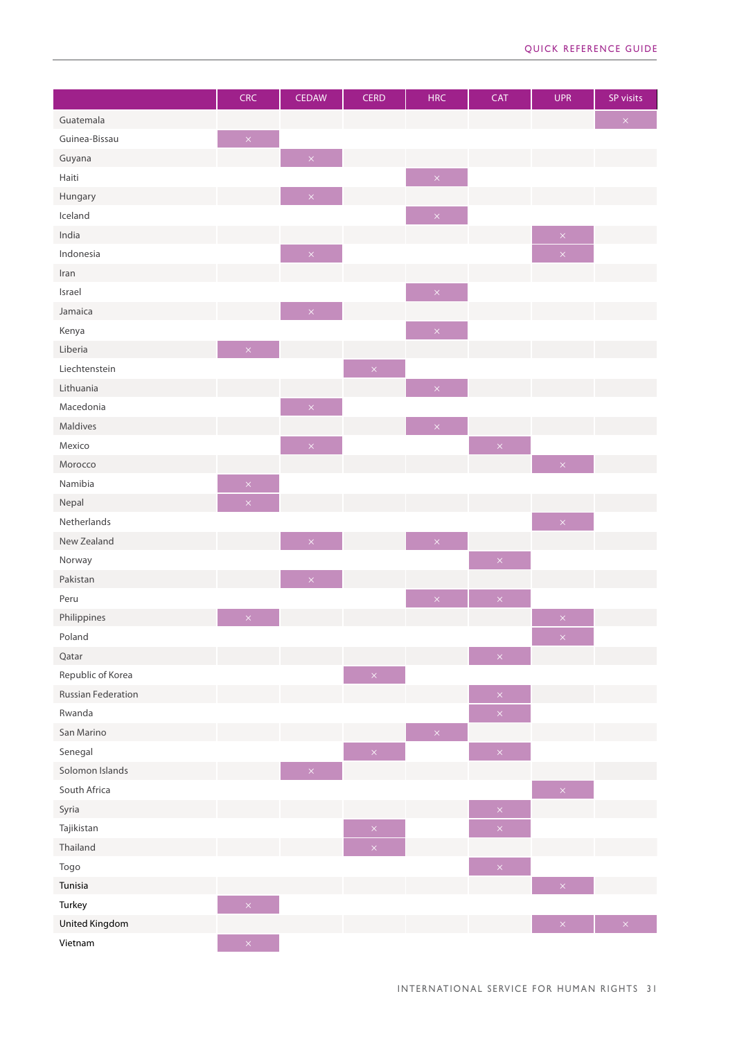|                           | <b>CRC</b>                             | <b>CEDAW</b>                           | <b>CERD</b>            | <b>HRC</b>         | <b>CAT</b>                             | <b>UPR</b>             | SP visits                 |
|---------------------------|----------------------------------------|----------------------------------------|------------------------|--------------------|----------------------------------------|------------------------|---------------------------|
| Guatemala                 |                                        |                                        |                        |                    |                                        |                        | $\mathsf{x}$              |
| Guinea-Bissau             | $\mathsf{x}^{\scriptscriptstyle \top}$ |                                        |                        |                    |                                        |                        |                           |
| Guyana                    |                                        | $\times$                               |                        |                    |                                        |                        |                           |
| Haiti                     |                                        |                                        |                        | $\bar{\mathsf{x}}$ |                                        |                        |                           |
| Hungary                   |                                        | $\times$                               |                        |                    |                                        |                        |                           |
| Iceland                   |                                        |                                        |                        | $\bar{\mathsf{x}}$ |                                        |                        |                           |
| India                     |                                        |                                        |                        |                    |                                        | $\mathsf{x}$           |                           |
| Indonesia                 |                                        | $\times$                               |                        |                    |                                        | $\bar{\mathsf{x}}$     |                           |
| Iran                      |                                        |                                        |                        |                    |                                        |                        |                           |
| Israel                    |                                        |                                        |                        | $\bar{\times}$     |                                        |                        |                           |
| Jamaica                   |                                        | $\mathsf{x}^{\scriptscriptstyle \top}$ |                        |                    |                                        |                        |                           |
| Kenya                     |                                        |                                        |                        | $\bar{\mathsf{x}}$ |                                        |                        |                           |
| Liberia                   | $\bar{\times}$                         |                                        |                        |                    |                                        |                        |                           |
| Liechtenstein             |                                        |                                        | $\vert\mathsf{x}\vert$ |                    |                                        |                        |                           |
| Lithuania                 |                                        |                                        |                        | $\bar{\times}$     |                                        |                        |                           |
| Macedonia                 |                                        | $\mathsf{x}^{\scriptscriptstyle \top}$ |                        |                    |                                        |                        |                           |
| Maldives                  |                                        |                                        |                        | $\bar{\times}$     |                                        |                        |                           |
| Mexico                    |                                        | $\bar{\mathsf{x}}$                     |                        |                    | $\bar{\times}$                         |                        |                           |
| Morocco                   |                                        |                                        |                        |                    |                                        | $\bar{\mathsf{x}}$     |                           |
| Namibia                   | $\bar{\times}$                         |                                        |                        |                    |                                        |                        |                           |
| Nepal                     | $\bar{\times}$                         |                                        |                        |                    |                                        |                        |                           |
| Netherlands               |                                        |                                        |                        |                    |                                        | $\vert\mathsf{x}\vert$ |                           |
| New Zealand               |                                        | $\times$                               |                        | $\mathsf{x}$       |                                        |                        |                           |
| Norway                    |                                        |                                        |                        |                    | $\bar{\times}$                         |                        |                           |
| Pakistan                  |                                        | $\bar{\times}$                         |                        |                    |                                        |                        |                           |
| Peru                      |                                        |                                        |                        | $\propto$          | $\bar{\mathsf{x}}$                     |                        |                           |
| Philippines               | $\times$                               |                                        |                        |                    |                                        | $\times$               |                           |
| Poland                    |                                        |                                        |                        |                    |                                        | $\bar{\times}$         |                           |
| Qatar                     |                                        |                                        |                        |                    | $\times$                               |                        |                           |
| Republic of Korea         |                                        |                                        | $\mathsf{x}$           |                    |                                        |                        |                           |
| <b>Russian Federation</b> |                                        |                                        |                        |                    | $\bar{\mathsf{x}}$                     |                        |                           |
| Rwanda                    |                                        |                                        |                        |                    | $\bar{\mathsf{x}}$                     |                        |                           |
| San Marino                |                                        |                                        |                        | $\bar{\mathsf{x}}$ |                                        |                        |                           |
| Senegal                   |                                        |                                        | $\propto$              |                    | $\bar{\mathsf{x}}$                     |                        |                           |
| Solomon Islands           |                                        | $\times$                               |                        |                    |                                        |                        |                           |
| South Africa              |                                        |                                        |                        |                    |                                        | $\mathsf{x}$           |                           |
| Syria                     |                                        |                                        |                        |                    | $\bar{\mathsf{x}}$                     |                        |                           |
| Tajikistan                |                                        |                                        | $\mathsf{x}$           |                    | $\bar{\mathsf{x}}$                     |                        |                           |
| Thailand                  |                                        |                                        | $\bar{\mathsf{x}}$     |                    |                                        |                        |                           |
| Togo                      |                                        |                                        |                        |                    | $\mathsf{x}^{\scriptscriptstyle \top}$ |                        |                           |
| Tunisia                   |                                        |                                        |                        |                    |                                        | $\bar{\times}$         |                           |
| Turkey                    | $\bar{\mathsf{x}}$                     |                                        |                        |                    |                                        |                        |                           |
| United Kingdom            |                                        |                                        |                        |                    |                                        | $\vert \times \vert$   | $\mathbf{x} = \mathbf{y}$ |
| Vietnam                   | $\times$                               |                                        |                        |                    |                                        |                        |                           |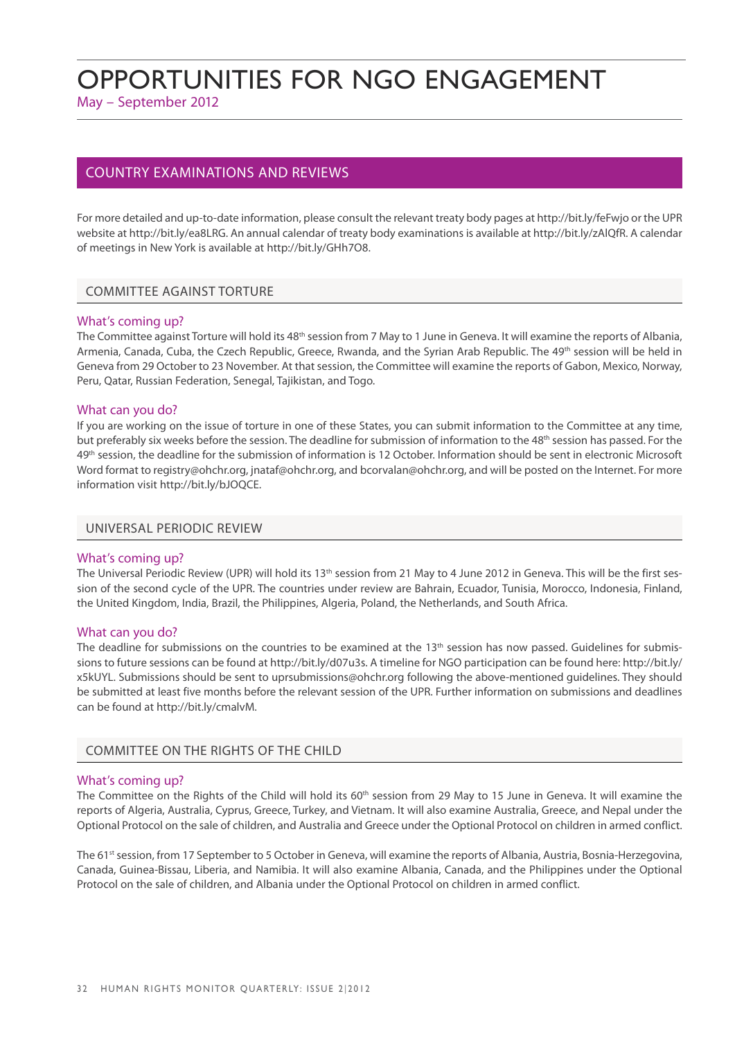# Opportunities for NGO Engagement

May – September 2012

# COUNTRY EXAMINATIONS AND REVIEWS

For more detailed and up-to-date information, please consult the relevant treaty body pages at http://bit.ly/feFwjo or the UPR website at http://bit.ly/ea8LRG. An annual calendar of treaty body examinations is available at http://bit.ly/zAlQfR. A calendar of meetings in New York is available at http://bit.ly/GHh7O8.

## COMMITTEE AGAINST TORTURE

### What's coming up?

The Committee against Torture will hold its 48<sup>th</sup> session from 7 May to 1 June in Geneva. It will examine the reports of Albania, Armenia, Canada, Cuba, the Czech Republic, Greece, Rwanda, and the Syrian Arab Republic. The 49<sup>th</sup> session will be held in Geneva from 29 October to 23 November. At that session, the Committee will examine the reports of Gabon, Mexico, Norway, Peru, Qatar, Russian Federation, Senegal, Tajikistan, and Togo.

### What can you do?

If you are working on the issue of torture in one of these States, you can submit information to the Committee at any time, but preferably six weeks before the session. The deadline for submission of information to the 48th session has passed. For the 49th session, the deadline for the submission of information is 12 October. Information should be sent in electronic Microsoft Word format to registry@ohchr.org, jnataf@ohchr.org, and bcorvalan@ohchr.org, and will be posted on the Internet. For more information visit http://bit.ly/bJOQCE.

### UNIVERSAL PERIODIC REVIEW

### What's coming up?

The Universal Periodic Review (UPR) will hold its 13<sup>th</sup> session from 21 May to 4 June 2012 in Geneva. This will be the first session of the second cycle of the UPR. The countries under review are Bahrain, Ecuador, Tunisia, Morocco, Indonesia, Finland, the United Kingdom, India, Brazil, the Philippines, Algeria, Poland, the Netherlands, and South Africa.

### What can you do?

The deadline for submissions on the countries to be examined at the  $13<sup>th</sup>$  session has now passed. Guidelines for submissions to future sessions can be found at http://bit.ly/d07u3s. A timeline for NGO participation can be found here: http://bit.ly/ x5kUYL. Submissions should be sent to uprsubmissions@ohchr.org following the above-mentioned guidelines. They should be submitted at least five months before the relevant session of the UPR. Further information on submissions and deadlines can be found at http://bit.ly/cmalvM.

### COMMITTEE ON THE RIGHTS OF THE CHILD

### What's coming up?

The Committee on the Rights of the Child will hold its 60<sup>th</sup> session from 29 May to 15 June in Geneva. It will examine the reports of Algeria, Australia, Cyprus, Greece, Turkey, and Vietnam. It will also examine Australia, Greece, and Nepal under the Optional Protocol on the sale of children, and Australia and Greece under the Optional Protocol on children in armed conflict.

The 61<sup>st</sup> session, from 17 September to 5 October in Geneva, will examine the reports of Albania, Austria, Bosnia-Herzegovina, Canada, Guinea-Bissau, Liberia, and Namibia. It will also examine Albania, Canada, and the Philippines under the Optional Protocol on the sale of children, and Albania under the Optional Protocol on children in armed conflict.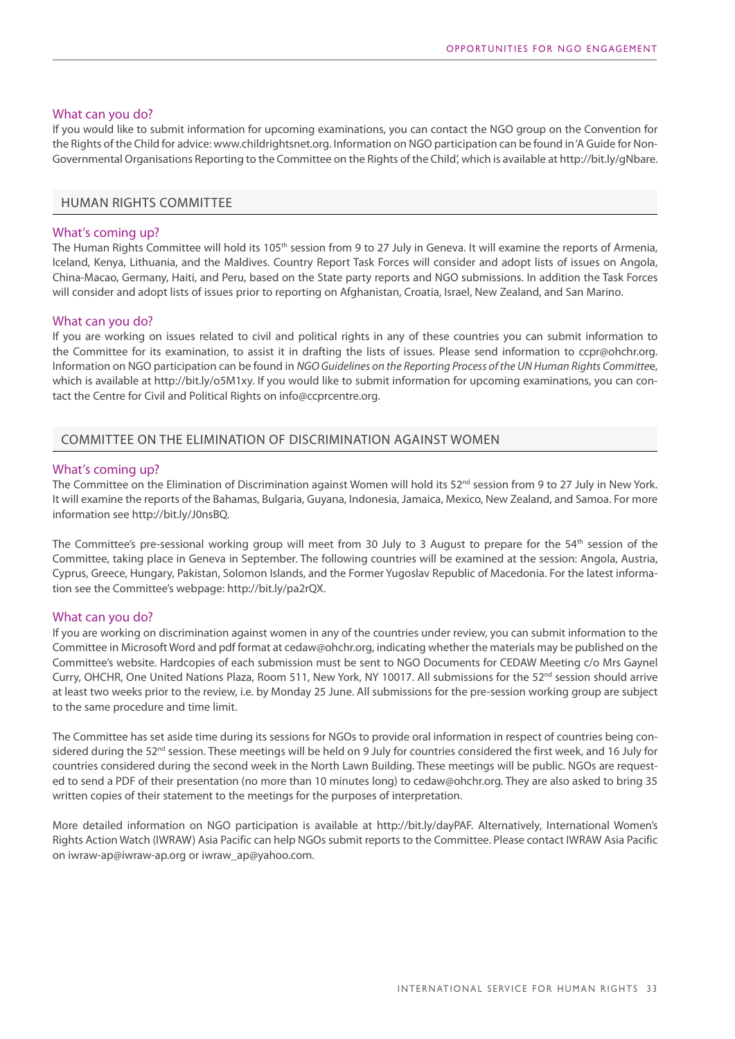### What can you do?

If you would like to submit information for upcoming examinations, you can contact the NGO group on the Convention for the Rights of the Child for advice: www.childrightsnet.org. Information on NGO participation can be found in 'A Guide for Non-Governmental Organisations Reporting to the Committee on the Rights of the Child', which is available at http://bit.ly/gNbare.

### HUMAN RIGHTS COMMITTEE

### What's coming up?

The Human Rights Committee will hold its 105<sup>th</sup> session from 9 to 27 July in Geneva. It will examine the reports of Armenia, Iceland, Kenya, Lithuania, and the Maldives. Country Report Task Forces will consider and adopt lists of issues on Angola, China-Macao, Germany, Haiti, and Peru, based on the State party reports and NGO submissions. In addition the Task Forces will consider and adopt lists of issues prior to reporting on Afghanistan, Croatia, Israel, New Zealand, and San Marino.

### What can you do?

If you are working on issues related to civil and political rights in any of these countries you can submit information to the Committee for its examination, to assist it in drafting the lists of issues. Please send information to ccpr@ohchr.org. Information on NGO participation can be found in *NGO Guidelines on the Reporting Process of the UN Human Rights Committe*e, which is available at http://bit.ly/o5M1xy. If you would like to submit information for upcoming examinations, you can contact the Centre for Civil and Political Rights on info@ccprcentre.org.

# COMMITTEE ON THE ELIMINATION OF DISCRIMINATION AGAINST WOMEN

### What's coming up?

The Committee on the Elimination of Discrimination against Women will hold its 52<sup>nd</sup> session from 9 to 27 July in New York. It will examine the reports of the Bahamas, Bulgaria, Guyana, Indonesia, Jamaica, Mexico, New Zealand, and Samoa. For more information see http://bit.ly/J0nsBQ.

The Committee's pre-sessional working group will meet from 30 July to 3 August to prepare for the 54<sup>th</sup> session of the Committee, taking place in Geneva in September. The following countries will be examined at the session: Angola, Austria, Cyprus, Greece, Hungary, Pakistan, Solomon Islands, and the Former Yugoslav Republic of Macedonia. For the latest information see the Committee's webpage: http://bit.ly/pa2rQX.

### What can you do?

If you are working on discrimination against women in any of the countries under review, you can submit information to the Committee in Microsoft Word and pdf format at cedaw@ohchr.org, indicating whether the materials may be published on the Committee's website. Hardcopies of each submission must be sent to NGO Documents for CEDAW Meeting c/o Mrs Gaynel Curry, OHCHR, One United Nations Plaza, Room 511, New York, NY 10017. All submissions for the 52<sup>nd</sup> session should arrive at least two weeks prior to the review, i.e. by Monday 25 June. All submissions for the pre-session working group are subject to the same procedure and time limit.

The Committee has set aside time during its sessions for NGOs to provide oral information in respect of countries being considered during the 52<sup>nd</sup> session. These meetings will be held on 9 July for countries considered the first week, and 16 July for countries considered during the second week in the North Lawn Building. These meetings will be public. NGOs are requested to send a PDF of their presentation (no more than 10 minutes long) to cedaw@ohchr.org. They are also asked to bring 35 written copies of their statement to the meetings for the purposes of interpretation.

More detailed information on NGO participation is available at http://bit.ly/dayPAF. Alternatively, International Women's Rights Action Watch (IWRAW) Asia Pacific can help NGOs submit reports to the Committee. Please contact IWRAW Asia Pacific on iwraw-ap@iwraw-ap.org or iwraw\_ap@yahoo.com.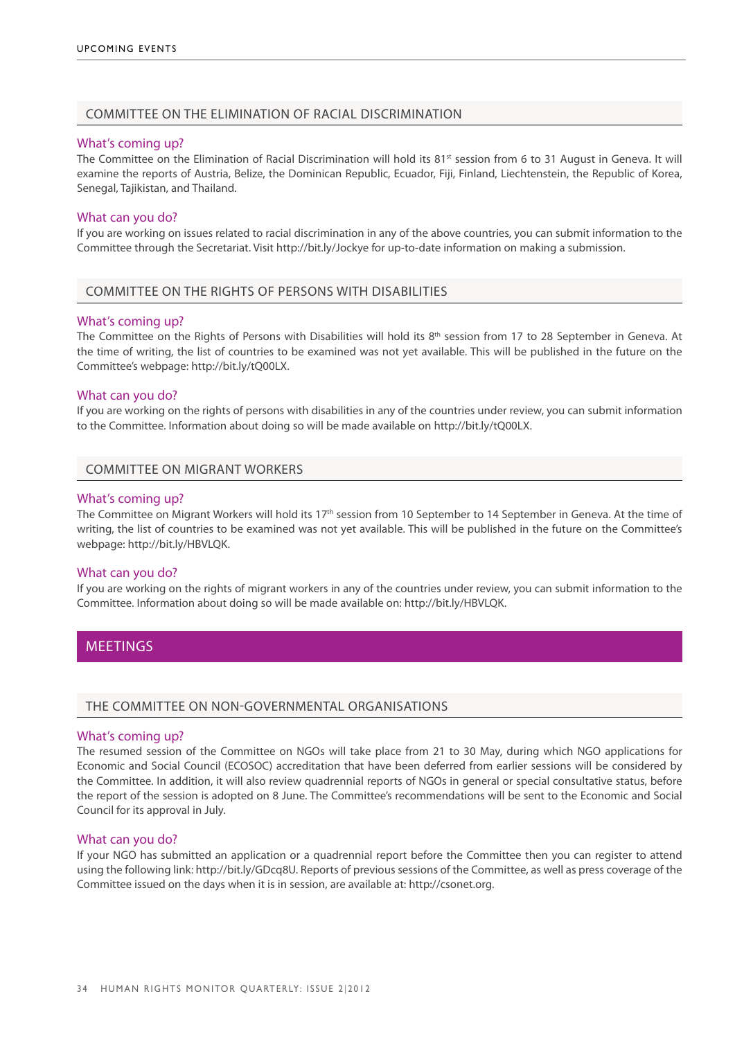### COMMITTEE ON THE ELIMINATION OF RACIAL DISCRIMINATION

### What's coming up?

The Committee on the Elimination of Racial Discrimination will hold its 81<sup>st</sup> session from 6 to 31 August in Geneva. It will examine the reports of Austria, Belize, the Dominican Republic, Ecuador, Fiji, Finland, Liechtenstein, the Republic of Korea, Senegal, Tajikistan, and Thailand.

### What can you do?

If you are working on issues related to racial discrimination in any of the above countries, you can submit information to the Committee through the Secretariat. Visit http://bit.ly/Jockye for up-to-date information on making a submission.

### COMMITTEE ON THE RIGHTS OF PERSONS WITH DISABILITIES

### What's coming up?

The Committee on the Rights of Persons with Disabilities will hold its  $8<sup>th</sup>$  session from 17 to 28 September in Geneva. At the time of writing, the list of countries to be examined was not yet available. This will be published in the future on the Committee's webpage: http://bit.ly/tQ00LX.

### What can you do?

If you are working on the rights of persons with disabilities in any of the countries under review, you can submit information to the Committee. Information about doing so will be made available on http://bit.ly/tQ00LX.

### COMMITTEE ON MIGRANT WORKERS

### What's coming up?

The Committee on Migrant Workers will hold its 17<sup>th</sup> session from 10 September to 14 September in Geneva. At the time of writing, the list of countries to be examined was not yet available. This will be published in the future on the Committee's webpage: http://bit.ly/HBVLQK.

### What can you do?

If you are working on the rights of migrant workers in any of the countries under review, you can submit information to the Committee. Information about doing so will be made available on: http://bit.ly/HBVLQK.

# **MEETINGS**

### THE COMMITTEE ON NON-GOVERNMENTAL ORGANISATIONS

### What's coming up?

The resumed session of the Committee on NGOs will take place from 21 to 30 May, during which NGO applications for Economic and Social Council (ECOSOC) accreditation that have been deferred from earlier sessions will be considered by the Committee. In addition, it will also review quadrennial reports of NGOs in general or special consultative status, before the report of the session is adopted on 8 June. The Committee's recommendations will be sent to the Economic and Social Council for its approval in July.

### What can you do?

If your NGO has submitted an application or a quadrennial report before the Committee then you can register to attend using the following link: http://bit.ly/GDcq8U. Reports of previous sessions of the Committee, as well as press coverage of the Committee issued on the days when it is in session, are available at: http://csonet.org.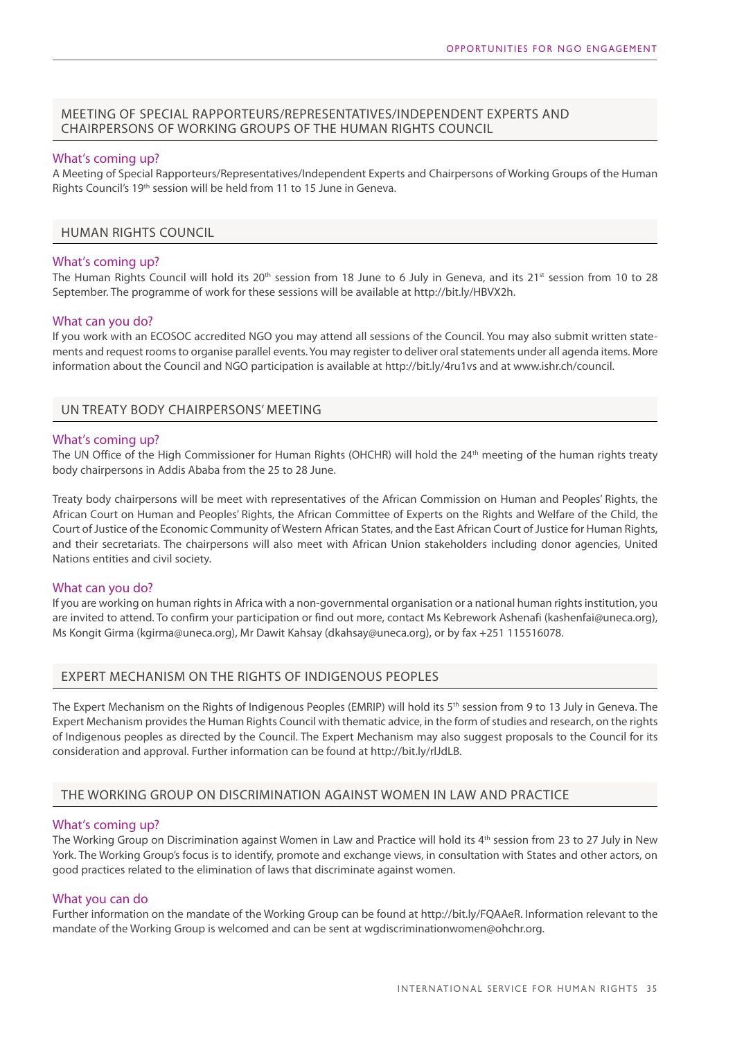# MEETING OF SPECIAL RAPPORTEURS/REPRESENTATIVES/INDEPENDENT EXPERTS AND CHAIRPERSONS OF WORKING GROUPS OF THE HUMAN RIGHTS COUNCIL

### What's coming up?

A Meeting of Special Rapporteurs/Representatives/Independent Experts and Chairpersons of Working Groups of the Human Rights Council's 19<sup>th</sup> session will be held from 11 to 15 June in Geneva.

### HUMAN RIGHTS COUNCIL

### What's coming up?

The Human Rights Council will hold its 20<sup>th</sup> session from 18 June to 6 July in Geneva, and its 21<sup>st</sup> session from 10 to 28 September. The programme of work for these sessions will be available at http://bit.ly/HBVX2h.

### What can you do?

If you work with an ECOSOC accredited NGO you may attend all sessions of the Council. You may also submit written statements and request rooms to organise parallel events. You may register to deliver oral statements under all agenda items. More information about the Council and NGO participation is available at http://bit.ly/4ru1vs and at www.ishr.ch/council.

### UN Treaty Body Chairpersons' Meeting

### What's coming up?

The UN Office of the High Commissioner for Human Rights (OHCHR) will hold the 24<sup>th</sup> meeting of the human rights treaty body chairpersons in Addis Ababa from the 25 to 28 June.

Treaty body chairpersons will be meet with representatives of the African Commission on Human and Peoples' Rights, the African Court on Human and Peoples' Rights, the African Committee of Experts on the Rights and Welfare of the Child, the Court of Justice of the Economic Community of Western African States, and the East African Court of Justice for Human Rights, and their secretariats. The chairpersons will also meet with African Union stakeholders including donor agencies, United Nations entities and civil society.

### What can you do?

If you are working on human rights in Africa with a non-governmental organisation or a national human rights institution, you are invited to attend. To confirm your participation or find out more, contact Ms Kebrework Ashenafi (kashenfai@uneca.org), Ms Kongit Girma (kgirma@uneca.org), Mr Dawit Kahsay (dkahsay@uneca.org), or by fax +251 115516078.

### EXPERT MECHANISM ON THE RIGHTS OF INDIGENOUS PEOPLES

The Expert Mechanism on the Rights of Indigenous Peoples (EMRIP) will hold its 5<sup>th</sup> session from 9 to 13 July in Geneva. The Expert Mechanism provides the Human Rights Council with thematic advice, in the form of studies and research, on the rights of Indigenous peoples as directed by the Council. The Expert Mechanism may also suggest proposals to the Council for its consideration and approval. Further information can be found at http://bit.ly/rlJdLB.

# THE WORKING GROUP ON DISCRIMINATION AGAINST WOMEN IN LAW AND PRACTICE

### What's coming up?

The Working Group on Discrimination against Women in Law and Practice will hold its 4th session from 23 to 27 July in New York. The Working Group's focus is to identify, promote and exchange views, in consultation with States and other actors, on good practices related to the elimination of laws that discriminate against women.

### What you can do

Further information on the mandate of the Working Group can be found at http://bit.ly/FQAAeR. Information relevant to the mandate of the Working Group is welcomed and can be sent at wgdiscriminationwomen@ohchr.org.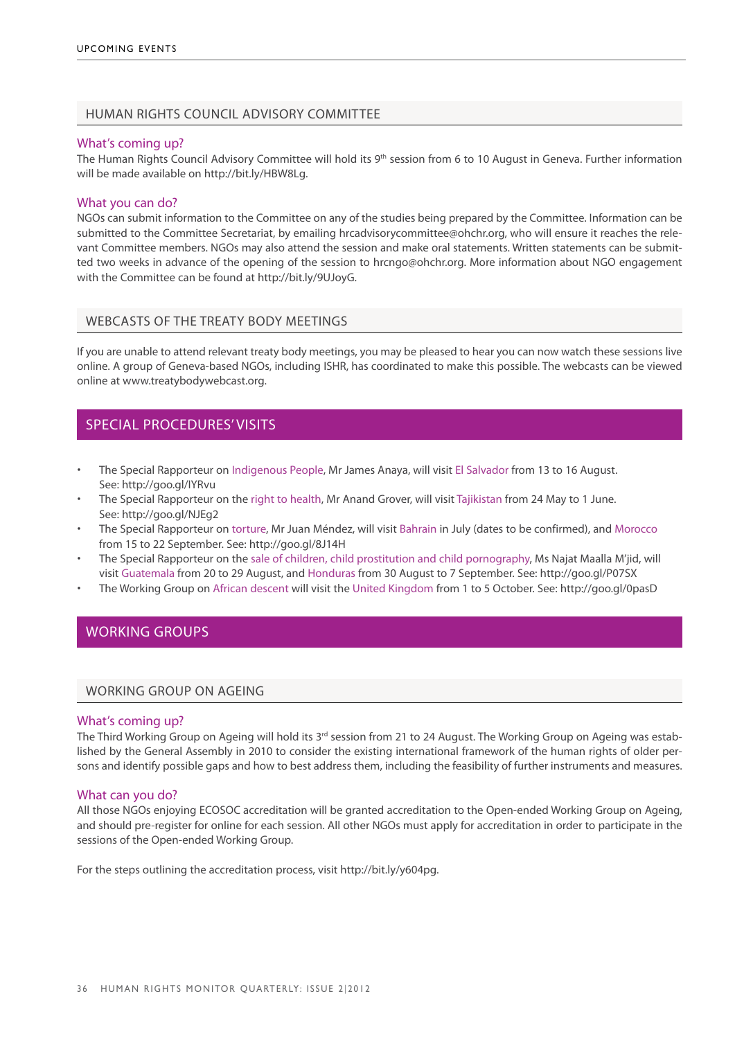# HUMAN RIGHTS COUNCIL ADVISORY COMMITTEE

### What's coming up?

The Human Rights Council Advisory Committee will hold its 9<sup>th</sup> session from 6 to 10 August in Geneva. Further information will be made available on http://bit.ly/HBW8Lg.

### What you can do?

NGOs can submit information to the Committee on any of the studies being prepared by the Committee. Information can be submitted to the Committee Secretariat, by emailing hrcadvisorycommittee@ohchr.org, who will ensure it reaches the relevant Committee members. NGOs may also attend the session and make oral statements. Written statements can be submitted two weeks in advance of the opening of the session to hrcngo@ohchr.org. More information about NGO engagement with the Committee can be found at http://bit.ly/9UJoyG.

### Webcasts of the treaty body meetings

If you are unable to attend relevant treaty body meetings, you may be pleased to hear you can now watch these sessions live online. A group of Geneva-based NGOs, including ISHR, has coordinated to make this possible. The webcasts can be viewed online at www.treatybodywebcast.org.

# SPECIAL PROCEDURES' VISITS

- The Special Rapporteur on Indigenous People, Mr James Anaya, will visit El Salvador from 13 to 16 August. See: http://goo.gl/IYRvu
- The Special Rapporteur on the right to health, Mr Anand Grover, will visit Tajikistan from 24 May to 1 June. See: http://goo.gl/NJEg2
- The Special Rapporteur on torture, Mr Juan Méndez, will visit Bahrain in July (dates to be confirmed), and Morocco from 15 to 22 September. See: http://goo.gl/8J14H
- The Special Rapporteur on the sale of children, child prostitution and child pornography, Ms Najat Maalla M'jid, will visit Guatemala from 20 to 29 August, and Honduras from 30 August to 7 September. See: http://goo.gl/P07SX
- The Working Group on African descent will visit the United Kingdom from 1 to 5 October. See: http://goo.gl/0pasD

# WORKING GROUPS

### WORKING GROUP ON AGEING

### What's coming up?

The Third Working Group on Ageing will hold its 3<sup>rd</sup> session from 21 to 24 August. The Working Group on Ageing was established by the General Assembly in 2010 to consider the existing international framework of the human rights of older persons and identify possible gaps and how to best address them, including the feasibility of further instruments and measures.

### What can you do?

All those NGOs enjoying ECOSOC accreditation will be granted accreditation to the Open-ended Working Group on Ageing, and should pre-register for online for each session. All other NGOs must apply for accreditation in order to participate in the sessions of the Open-ended Working Group.

For the steps outlining the accreditation process, visit http://bit.ly/y604pg.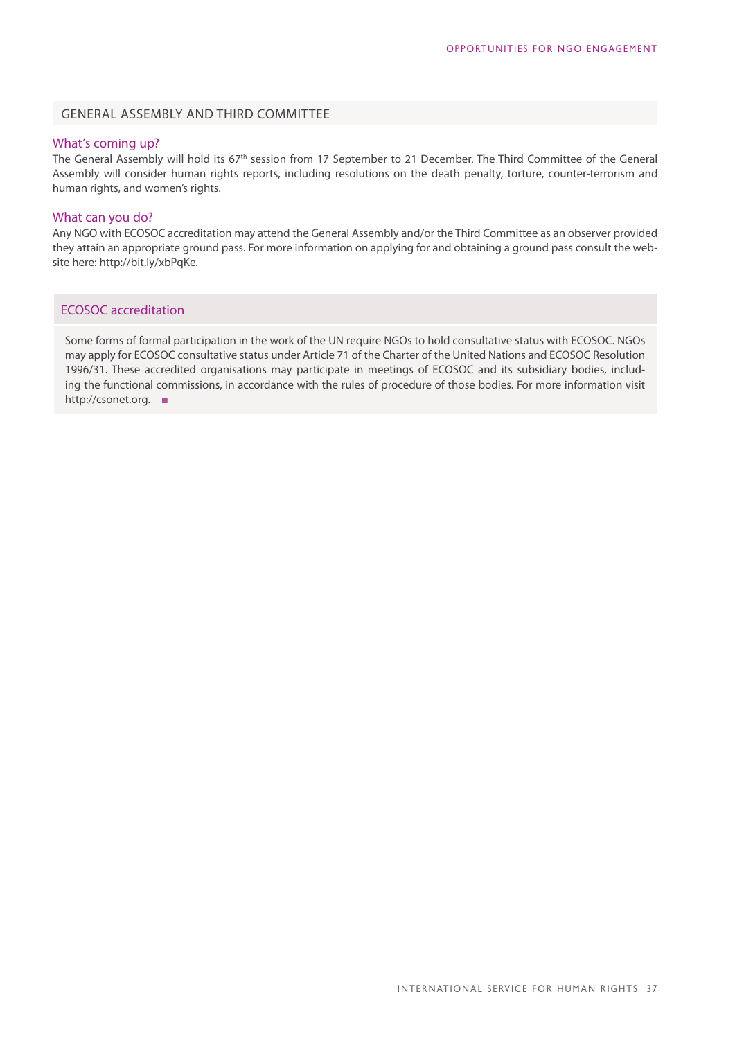# GENERAL ASSEMBLY and THIRD COMMITTEE

### What's coming up?

The General Assembly will hold its 67<sup>th</sup> session from 17 September to 21 December. The Third Committee of the General Assembly will consider human rights reports, including resolutions on the death penalty, torture, counter-terrorism and human rights, and women's rights.

### What can you do?

Any NGO with ECOSOC accreditation may attend the General Assembly and/or the Third Committee as an observer provided they attain an appropriate ground pass. For more information on applying for and obtaining a ground pass consult the website here: http://bit.ly/xbPqKe.

# ECOSOC accreditation

Some forms of formal participation in the work of the UN require NGOs to hold consultative status with ECOSOC. NGOs may apply for ECOSOC consultative status under Article 71 of the Charter of the United Nations and ECOSOC Resolution 1996/31. These accredited organisations may participate in meetings of ECOSOC and its subsidiary bodies, including the functional commissions, in accordance with the rules of procedure of those bodies. For more information visit http://csonet.org. ■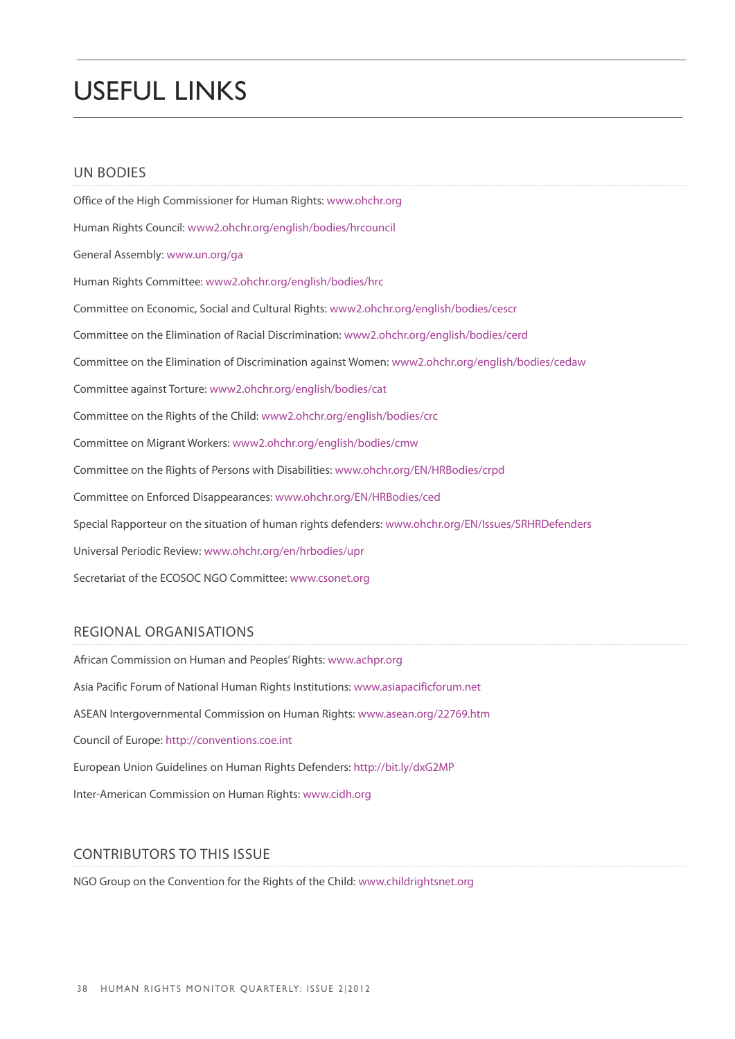# USEFUL LINKS

# UN BODIES

Office of the High Commissioner for Human Rights: www.ohchr.org Human Rights Council: www2.ohchr.org/english/bodies/hrcouncil General Assembly: www.un.org/ga Human Rights Committee: www2.ohchr.org/english/bodies/hrc Committee on Economic, Social and Cultural Rights: www2.ohchr.org/english/bodies/cescr Committee on the Elimination of Racial Discrimination: www2.ohchr.org/english/bodies/cerd Committee on the Elimination of Discrimination against Women: www2.ohchr.org/english/bodies/cedaw Committee against Torture: www2.ohchr.org/english/bodies/cat Committee on the Rights of the Child: www2.ohchr.org/english/bodies/crc Committee on Migrant Workers: www2.ohchr.org/english/bodies/cmw Committee on the Rights of Persons with Disabilities: www.ohchr.org/EN/HRBodies/crpd Committee on Enforced Disappearances: www.ohchr.org/EN/HRBodies/ced Special Rapporteur on the situation of human rights defenders: www.ohchr.org/EN/Issues/SRHRDefenders Universal Periodic Review: www.ohchr.org/en/hrbodies/upr Secretariat of the ECOSOC NGO Committee: www.csonet.org

# REGIONAL ORGANISATIONS

African Commission on Human and Peoples' Rights: www.achpr.org Asia Pacific Forum of National Human Rights Institutions: www.asiapacificforum.net ASEAN Intergovernmental Commission on Human Rights: www.asean.org/22769.htm Council of Europe: http://conventions.coe.int European Union Guidelines on Human Rights Defenders: http://bit.ly/dxG2MP Inter-American Commission on Human Rights: www.cidh.org

# CONTRIBUTORS TO THIS ISSUE

NGO Group on the Convention for the Rights of the Child: www.childrightsnet.org